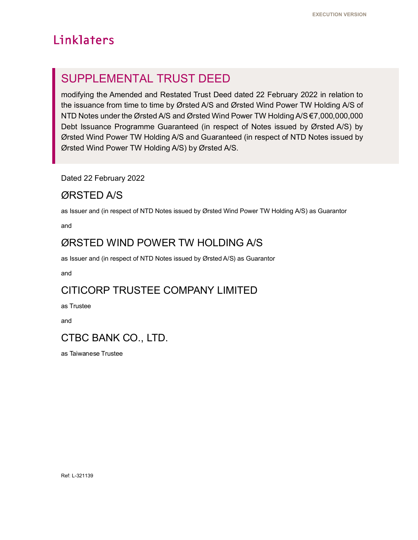# Linklaters

# SUPPLEMENTAL TRUST DEED

modifying the Amended and Restated Trust Deed dated 22 February 2022 in relation to the issuance from time to time by Ørsted A/S and Ørsted Wind Power TW Holding A/S of NTD Notes under the Ørsted A/S and Ørsted Wind Power TW Holding A/S €7,000,000,000 Debt Issuance Programme Guaranteed (in respect of Notes issued by Ørsted A/S) by Ørsted Wind Power TW Holding A/S and Guaranteed (in respect of NTD Notes issued by Ørsted Wind Power TW Holding A/S) by Ørsted A/S.

Dated 22 February 2022

# ØRSTED A/S

as Issuer and (in respect of NTD Notes issued by Ørsted Wind Power TW Holding A/S) as Guarantor

and

# ØRSTED WIND POWER TW HOLDING A/S

as Issuer and (in respect of NTD Notes issued by Ørsted A/S) as Guarantor

and

# CITICORP TRUSTEE COMPANY LIMITED

as Trustee

and

# CTBC BANK CO., LTD.

as Taiwanese Trustee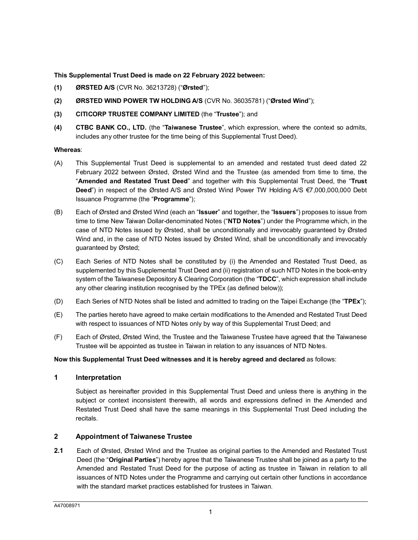## **This Supplemental Trust Deed is made on 22 February 2022 between:**

- **(1) ØRSTED A/S** (CVR No. 36213728) ("**Ørsted**");
- **(2) ØRSTED WIND POWER TW HOLDING A/S** (CVR No. 36035781) ("**Ørsted Wind**");
- **(3) CITICORP TRUSTEE COMPANY LIMITED** (the "**Trustee**"); and
- **(4) CTBC BANK CO., LTD.** (the "**Taiwanese Trustee**", which expression, where the context so admits, includes any other trustee for the time being of this Supplemental Trust Deed).

#### **Whereas**:

- (A) This Supplemental Trust Deed is supplemental to an amended and restated trust deed dated 22 February 2022 between Ørsted, Ørsted Wind and the Trustee (as amended from time to time, the "**Amended and Restated Trust Deed**" and together with this Supplemental Trust Deed, the "**Trust Deed**") in respect of the Ørsted A/S and Ørsted Wind Power TW Holding A/S €7,000,000,000 Debt Issuance Programme (the "**Programme**");
- (B) Each of Ørsted and Ørsted Wind (each an "**Issuer**" and together, the "**Issuers**") proposes to issue from time to time New Taiwan Dollar-denominated Notes ("**NTD Notes**") under the Programme which, in the case of NTD Notes issued by Ørsted, shall be unconditionally and irrevocably guaranteed by Ørsted Wind and, in the case of NTD Notes issued by Ørsted Wind, shall be unconditionally and irrevocably guaranteed by Ørsted;
- (C) Each Series of NTD Notes shall be constituted by (i) the Amended and Restated Trust Deed, as supplemented by this Supplemental Trust Deed and (ii) registration of such NTD Notes in the book-entry system of the Taiwanese Depository & Clearing Corporation (the "**TDCC**", which expression shall include any other clearing institution recognised by the TPEx (as defined below));
- (D) Each Series of NTD Notes shall be listed and admitted to trading on the Taipei Exchange (the "**TPEx**");
- (E) The parties hereto have agreed to make certain modifications to the Amended and Restated Trust Deed with respect to issuances of NTD Notes only by way of this Supplemental Trust Deed; and
- (F) Each of Ørsted, Ørsted Wind, the Trustee and the Taiwanese Trustee have agreed that the Taiwanese Trustee will be appointed as trustee in Taiwan in relation to any issuances of NTD Notes.

#### **Now this Supplemental Trust Deed witnesses and it is hereby agreed and declared** as follows:

#### **1 Interpretation**

Subject as hereinafter provided in this Supplemental Trust Deed and unless there is anything in the subject or context inconsistent therewith, all words and expressions defined in the Amended and Restated Trust Deed shall have the same meanings in this Supplemental Trust Deed including the recitals.

#### **2 Appointment of Taiwanese Trustee**

**2.1** Each of Ørsted, Ørsted Wind and the Trustee as original parties to the Amended and Restated Trust Deed (the "**Original Parties**") hereby agree that the Taiwanese Trustee shall be joined as a party to the Amended and Restated Trust Deed for the purpose of acting as trustee in Taiwan in relation to all issuances of NTD Notes under the Programme and carrying out certain other functions in accordance with the standard market practices established for trustees in Taiwan.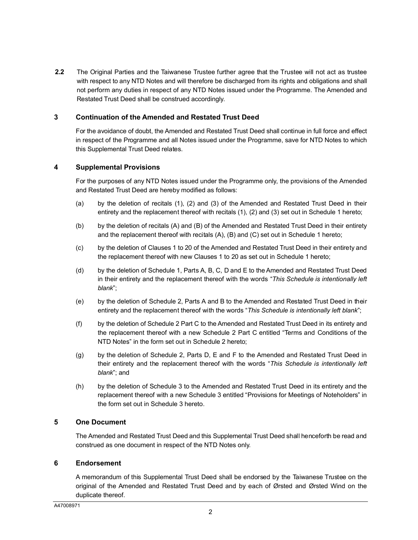**2.2** The Original Parties and the Taiwanese Trustee further agree that the Trustee will not act as trustee with respect to any NTD Notes and will therefore be discharged from its rights and obligations and shall not perform any duties in respect of any NTD Notes issued under the Programme. The Amended and Restated Trust Deed shall be construed accordingly.

#### **3 Continuation of the Amended and Restated Trust Deed**

For the avoidance of doubt, the Amended and Restated Trust Deed shall continue in full force and effect in respect of the Programme and all Notes issued under the Programme, save for NTD Notes to which this Supplemental Trust Deed relates.

#### **4 Supplemental Provisions**

For the purposes of any NTD Notes issued under the Programme only, the provisions of the Amended and Restated Trust Deed are hereby modified as follows:

- (a) by the deletion of recitals (1), (2) and (3) of the Amended and Restated Trust Deed in their entirety and the replacement thereof with recitals (1), (2) and (3) set out in Schedule 1 hereto;
- (b) by the deletion of recitals (A) and (B) of the Amended and Restated Trust Deed in their entirety and the replacement thereof with recitals (A), (B) and (C) set out in Schedule 1 hereto;
- (c) by the deletion of Clauses 1 to 20 of the Amended and Restated Trust Deed in their entirety and the replacement thereof with new Clauses 1 to 20 as set out in Schedule 1 hereto;
- (d) by the deletion of Schedule 1, Parts A, B, C, D and E to the Amended and Restated Trust Deed in their entirety and the replacement thereof with the words "*This Schedule is intentionally left blank*";
- (e) by the deletion of Schedule 2, Parts A and B to the Amended and Restated Trust Deed in their entirety and the replacement thereof with the words "*This Schedule is intentionally left blank*";
- (f) by the deletion of Schedule 2 Part C to the Amended and Restated Trust Deed in its entirety and the replacement thereof with a new Schedule 2 Part C entitled "Terms and Conditions of the NTD Notes" in the form set out in Schedule 2 hereto;
- (g) by the deletion of Schedule 2, Parts D, E and F to the Amended and Restated Trust Deed in their entirety and the replacement thereof with the words "*This Schedule is intentionally left blank*"; and
- (h) by the deletion of Schedule 3 to the Amended and Restated Trust Deed in its entirety and the replacement thereof with a new Schedule 3 entitled "Provisions for Meetings of Noteholders" in the form set out in Schedule 3 hereto.

## **5 One Document**

The Amended and Restated Trust Deed and this Supplemental Trust Deed shall henceforth be read and construed as one document in respect of the NTD Notes only.

#### **6 Endorsement**

A memorandum of this Supplemental Trust Deed shall be endorsed by the Taiwanese Trustee on the original of the Amended and Restated Trust Deed and by each of Ørsted and Ørsted Wind on the duplicate thereof.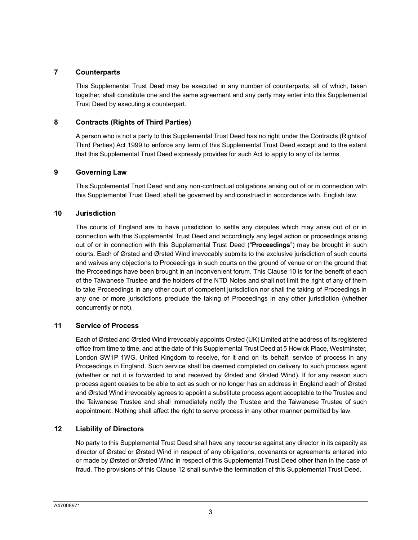## **7 Counterparts**

This Supplemental Trust Deed may be executed in any number of counterparts, all of which, taken together, shall constitute one and the same agreement and any party may enter into this Supplemental Trust Deed by executing a counterpart.

## **8 Contracts (Rights of Third Parties)**

A person who is not a party to this Supplemental Trust Deed has no right under the Contracts (Rights of Third Parties) Act 1999 to enforce any term of this Supplemental Trust Deed except and to the extent that this Supplemental Trust Deed expressly provides for such Act to apply to any of its terms.

## **9 Governing Law**

This Supplemental Trust Deed and any non-contractual obligations arising out of or in connection with this Supplemental Trust Deed, shall be governed by and construed in accordance with, English law.

## **10 Jurisdiction**

The courts of England are to have jurisdiction to settle any disputes which may arise out of or in connection with this Supplemental Trust Deed and accordingly any legal action or proceedings arising out of or in connection with this Supplemental Trust Deed ("**Proceedings**") may be brought in such courts. Each of Ørsted and Ørsted Wind irrevocably submits to the exclusi[ve ju](#page-18-0)risdiction of such courts and waives any objections to Proceedings in such courts on the ground of venue or on the ground that the Proceedings have been brought in an inconvenient forum. This Clause 10 is for the benefit of each of the Taiwanese Trustee and the holders of the NTD Notes and shall not limit the right of any of them to take Proceedings in any other court of competent jurisdiction nor shall the taking of Proceedings in any one or more jurisdictions preclude the taking of Proceedings in any other jurisdiction (whether concurrently or not).

## **11 Service of Process**

Each of Ørsted and Ørsted Wind irrevocably appoints Orsted (UK) Limited at the address of its registered office from time to time, and at the date of this Supplemental Trust Deed at 5 Howick Place, Westminster, London SW1P 1WG, United Kingdom to receive, for it and on its behalf, service of process in any Proceedings in England. Such service shall be deemed completed on delivery to such process agent (whether or not it is forwarded to and received by Ørsted and Ørsted Wind). If for any reason such process agent ceases to be able to act as such or no longer has an address in England each of Ørsted and Ørsted Wind irrevocably agrees to appoint a substitute process agent acceptable to the Trustee and the Taiwanese Trustee and shall immediately notify the Trustee and the Taiwanese Trustee of such appointment. Nothing shall affect the right to serve process in any other manner permitted by law.

# **12 Liability of Directors**

No party to this Supplemental Trust Deed shall have any recourse against any director in its capacity as director of Ørsted or Ørsted Wind in respect of any obligations, covenants or agreements entered into or made by Ørsted or Ørsted Wind in respect of this Supplemental Trust Deed other than in the case of fraud. The provisions of this Cla[use 1](#page-22-0)2 shall survive the termination of this Supplemental Trust Deed.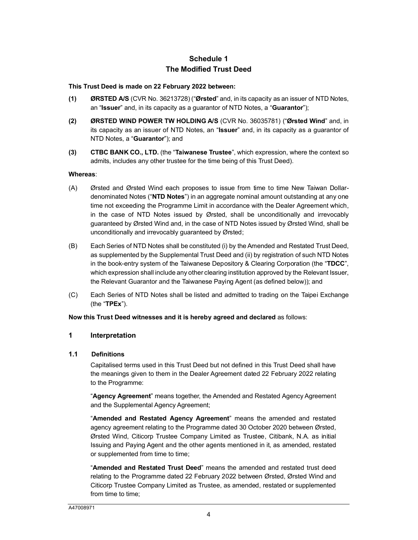# **Schedule 1 The Modified Trust Deed**

#### **This Trust Deed is made on 22 February 2022 between:**

- **(1) ØRSTED A/S** (CVR No. 36213728) ("**Ørsted**" and, in its capacity as an issuer of NTD Notes, an "**Issuer**" and, in its capacity as a guarantor of NTD Notes, a "**Guarantor**");
- **(2) ØRSTED WIND POWER TW HOLDING A/S** (CVR No. 36035781) ("**Ørsted Wind**" and, in its capacity as an issuer of NTD Notes, an "**Issuer**" and, in its capacity as a guarantor of NTD Notes, a "**Guarantor**"); and
- **(3) CTBC BANK CO., LTD.** (the "**Taiwanese Trustee**", which expression, where the context so admits, includes any other trustee for the time being of this Trust Deed).

#### **Whereas**:

- (A) Ørsted and Ørsted Wind each proposes to issue from time to time New Taiwan Dollardenominated Notes ("**NTD Notes**") in an aggregate nominal amount outstanding at any one time not exceeding the Programme Limit in accordance with the Dealer Agreement which, in the case of NTD Notes issued by Ørsted, shall be unconditionally and irrevocably guaranteed by Ørsted Wind and, in the case of NTD Notes issued by Ørsted Wind, shall be unconditionally and irrevocably guaranteed by Ørsted;
- (B) Each Series of NTD Notes shall be constituted (i) by the Amended and Restated Trust Deed, as supplemented by the Supplemental Trust Deed and (ii) by registration of such NTD Notes in the book-entry system of the Taiwanese Depository & Clearing Corporation (the "**TDCC**", which expression shall include any other clearing institution approved by the Relevant Issuer, the Relevant Guarantor and the Taiwanese Paying Agent (as defined below)); and
- (C) Each Series of NTD Notes shall be listed and admitted to trading on the Taipei Exchange (the "**TPEx**").

#### **Now this Trust Deed witnesses and it is hereby agreed and declared** as follows:

#### **1 Interpretation**

#### **1.1 Definitions**

Capitalised terms used in this Trust Deed but not defined in this Trust Deed shall have the meanings given to them in the Dealer Agreement dated 22 February 2022 relating to the Programme:

"**Agency Agreement**" means together, the Amended and Restated Agency Agreement and the Supplemental Agency Agreement;

"**Amended and Restated Agency Agreement**" means the amended and restated agency agreement relating to the Programme dated 30 October 2020 between Ørsted, Ørsted Wind, Citicorp Trustee Company Limited as Trustee, Citibank, N.A. as initial Issuing and Paying Agent and the other agents mentioned in it, as amended, restated or supplemented from time to time;

"**Amended and Restated Trust Deed**" means the amended and restated trust deed relating to the Programme dated 22 February 2022 between Ørsted, Ørsted Wind and Citicorp Trustee Company Limited as Trustee, as amended, restated or supplemented from time to time;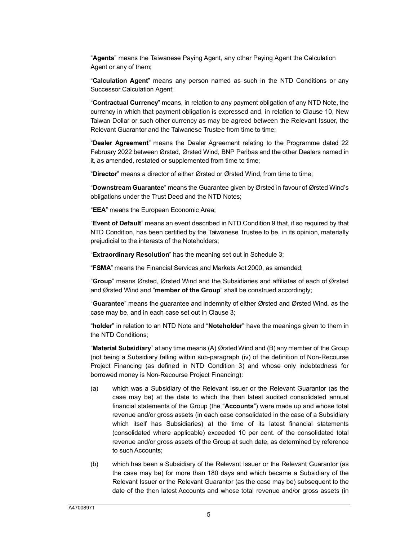"**Agents**" means the Taiwanese Paying Agent, any other Paying Agent the Calculation Agent or any of them;

"**Calculation Agent**" means any person named as such in the NTD Condition[s or](#page-18-0) any Successor Calculation Agent;

"**Contractual Currency**" means, in relation to any payment obligation of any NTD Note, the currency in which that payment obligation is expressed and, in relation to Clause 10, New Taiwan Dollar or such other currency as may be agreed between the Relevant Issuer, the Relevant Guarantor and the Taiwanese Trustee from time to time;

"**Dealer Agreement**" means the Dealer Agreement relating to the Programme dated 22 February 2022 between Ørsted, Ørsted Wind, BNP Paribas and the other Dealers named in it, as amended, restated or supplemented from time to time;

"**Director**" means a director of either Ørsted or Ørsted Wind, from time to time;

"**Downstream Guarantee**" means the Guarantee given by Ørsted in favour of Ørsted Wind's obligations under the Trust Deed and the NTD Notes;

"**EEA**" means the European Economic Area;

"**Event of Default**" means an event described in NTD Condition 9 that, if so required by that NTD Condition, has been certified by the Taiwanese Trustee to be, in its opinion, materially prejudicial to the interests of the Noteholders;

"**Extraordinary Resolution**" has the meaning set out in Schedule 3;

"**FSMA**" means the Financial Services and Markets Act 2000, as amended;

"**Group**" means Ørsted, Ørsted Wind and the Subsidiaries and affiliates of each of Ørsted and Ørsted Wind and "**member of the Group**" shall be construed accordingly;

"**Guarantee**" means the guarantee and indem[nity](#page-11-0) of either Ørsted and Ørsted Wind, as the case may be, and in each case set out in Clause 3;

"**holder**" in relation to an NTD Note and "**Noteholder**" have the meanings given to them in the NTD Conditions;

"**Material Subsidiary**" at any time means (A) Ørsted Wind and (B) any member of the Group (not being a Subsidiary falling within sub-paragraph (iv) of the definition of Non-Recourse Project Financing (as defined in NTD Condition 3) and whose only indebtedness for borrowed money is Non-Recourse Project Financing):

- (a) which was a Subsidiary of the Relevant Issuer or the Relevant Guarantor (as the case may be) at the date to which the then latest audited consolidated annual financial statements of the Group (the "**Accounts**") were made up and whose total revenue and/or gross assets (in each case consolidated in the case of a Subsidiary which itself has Subsidiaries) at the time of its latest financial statements (consolidated where applicable) exceeded 10 per cent. of the consolidated total revenue and/or gross assets of the Group at such date, as determined by reference to such Accounts;
- (b) which has been a Subsidiary of the Relevant Issuer or the Relevant Guarantor (as the case may be) for more than 180 days and which became a Subsidiary of the Relevant Issuer or the Relevant Guarantor (as the case may be) subsequent to the date of the then latest Accounts and whose total revenue and/or gross assets (in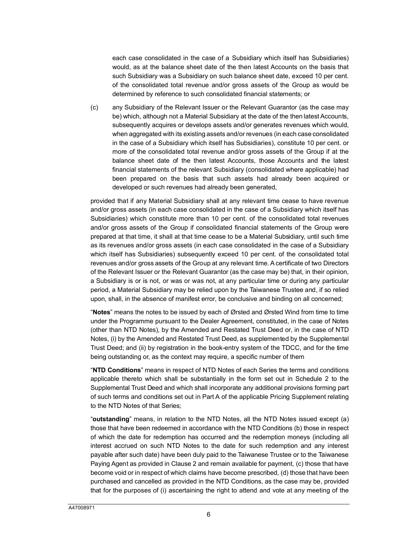each case consolidated in the case of a Subsidiary which itself has Subsidiaries) would, as at the balance sheet date of the then latest Accounts on the basis that such Subsidiary was a Subsidiary on such balance sheet date, exceed 10 per cent. of the consolidated total revenue and/or gross assets of the Group as would be determined by reference to such consolidated financial statements; or

(c) any Subsidiary of the Relevant Issuer or the Relevant Guarantor (as the case may be) which, although not a Material Subsidiary at the date of the then latest Accounts, subsequently acquires or develops assets and/or generates revenues which would, when aggregated with its existing assets and/or revenues (in each case consolidated in the case of a Subsidiary which itself has Subsidiaries), constitute 10 per cent. or more of the consolidated total revenue and/or gross assets of the Group if at the balance sheet date of the then latest Accounts, those Accounts and the latest financial statements of the relevant Subsidiary (consolidated where applicable) had been prepared on the basis that such assets had already been acquired or developed or such revenues had already been generated,

provided that if any Material Subsidiary shall at any relevant time cease to have revenue and/or gross assets (in each case consolidated in the case of a Subsidiary which itself has Subsidiaries) which constitute more than 10 per cent. of the consolidated total revenues and/or gross assets of the Group if consolidated financial statements of the Group were prepared at that time, it shall at that time cease to be a Material Subsidiary, until such time as its revenues and/or gross assets (in each case consolidated in the case of a Subsidiary which itself has Subsidiaries) subsequently exceed 10 per cent. of the consolidated total revenues and/or gross assets of the Group at any relevant time. A certificate of two Directors of the Relevant Issuer or the Relevant Guarantor (as the case may be) that, in their opinion, a Subsidiary is or is not, or was or was not, at any particular time or during any particular period, a Material Subsidiary may be relied upon by the Taiwanese Trustee and, if so relied upon, shall, in the absence of manifest error, be conclusive and binding on all concerned;

"**Notes**" means the notes to be issued by each of Ørsted and Ørsted Wind from time to time under the Programme pursuant to the Dealer Agreement, constituted, in the case of Notes (other than NTD Notes), by the Amended and Restated Trust Deed or, in the case of NTD Notes, (i) by the Amended and Restated Trust Deed, as supplemented by the Supplemental Trust Deed; and (ii) by registration in the book-entry system of the TDCC, and for the time being outstanding or, as the context may require, a specific number of them

"**NTD Conditions**" means in respect of NTD Notes of each Series the terms and conditions applicable thereto which shall be substantially in the form set out in Schedule 2 to the Supplemental Trust Deed and which shall incorporate any additional provisions forming part of such terms and conditions set out in Part A of the applicable Pricing Supplement relating to the NTD Notes of that Series;

"**outstanding**" means, in relation to the NTD Notes, all the NTD Notes issued except (a) those that have been redeemed in accordance with the NTD Conditions (b) those in respect of which the date for redemption has occurred and the redemption moneys (including all interest accrued on such NTD Notes to the date for such redemption and any interest payable after such date) have been duly paid to the Taiwanese Trustee or to the Taiwanese Paying Agent as provided in Cla[use](#page-9-0) 2 and remain available for payment, (c) those that have become void or in respect of which claims have become prescribed, (d) those that have been purchased and cancelled as provided in the NTD Conditions, as the case may be, provided that for the purposes of (i) ascertaining the right to attend and vote at any meeting of the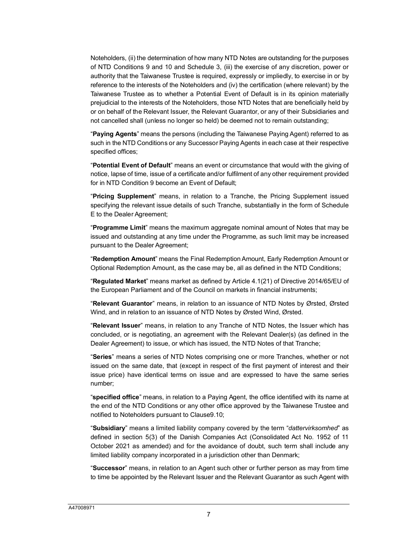Noteholders, (ii) the determination of how many NTD Notes are outstanding for the purposes of NTD Conditions 9 and 10 and Schedule 3, (iii) the exercise of any discretion, power or authority that the Taiwanese Trustee is required, expressly or impliedly, to exercise in or by reference to the interests of the Noteholders and (iv) the certification (where relevant) by the Taiwanese Trustee as to whether a Potential Event of Default is in its opinion materially prejudicial to the interests of the Noteholders, those NTD Notes that are beneficially held by or on behalf of the Relevant Issuer, the Relevant Guarantor, or any of their Subsidiaries and not cancelled shall (unless no longer so held) be deemed not to remain outstanding;

"**Paying Agents**" means the persons (including the Taiwanese Paying Agent) referred to as such in the NTD Conditions or any Successor Paying Agents in each case at their respective specified offices;

"**Potential Event of Default**" means an event or circumstance that would with the giving of notice, lapse of time, issue of a certificate and/or fulfilment of any other requirement provided for in NTD Condition 9 become an Event of Default;

"**Pricing Supplement**" means, in relation to a Tranche, the Pricing Supplement issued specifying the relevant issue details of such Tranche, substantially in the form of Schedule E to the Dealer Agreement;

"**Programme Limit**" means the maximum aggregate nominal amount of Notes that may be issued and outstanding at any time under the Programme, as such limit may be increased pursuant to the Dealer Agreement;

"**Redemption Amount**" means the Final Redemption Amount, Early Redemption Amount or Optional Redemption Amount, as the case may be, all as defined in the NTD Conditions;

"**Regulated Market**" means market as defined by Article 4.1(21) of Directive 2014/65/EU of the European Parliament and of the Council on markets in financial instruments;

"**Relevant Guarantor**" means, in relation to an issuance of NTD Notes by Ørsted, Ørsted Wind, and in relation to an issuance of NTD Notes by Ørsted Wind, Ørsted.

"**Relevant Issuer**" means, in relation to any Tranche of NTD Notes, the Issuer which has concluded, or is negotiating, an agreement with the Relevant Dealer(s) (as defined in the Dealer Agreement) to issue, or which has issued, the NTD Notes of that Tranche;

"**Series**" means a series of NTD Notes comprising one or more Tranches, whether or not issued on the same date, that (except in respect of the first payment of interest and their issue price) have identical terms on issue and are expressed to have the same series number;

"**specified office**" means, in relation to a Paying Agent, the office identified with its name at the end of the NTD Conditions or any other office approved by the Taiwanese Trustee and notified to Noteholders pursuant to Cla[use9.1](#page-17-0)0;

"**Subsidiary**" means a limited liability company covered by the term "*dattervirksomhed*" as defined in section 5(3) of the Danish Companies Act (Consolidated Act No. 1952 of 11 October 2021 as amended) and for the avoidance of doubt, such term shall include any limited liability company incorporated in a jurisdiction other than Denmark;

"**Successor**" means, in relation to an Agent such other or further person as may from time to time be appointed by the Relevant Issuer and the Relevant Guarantor as such Agent with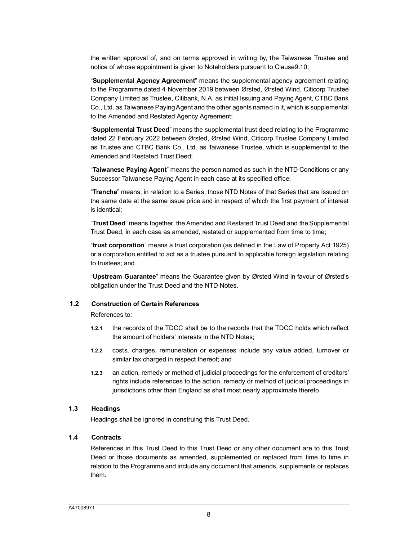the written approval of, and on terms approved in writing by, the Taiwanese Trustee and notice of whose appointment is given to Noteholders pursuant to Clause9.10;

"**Supplemental Agency Agreement**" means the supplemental agency agreement relating to the Programme dated 4 November 2019 between Ørsted, Ørsted Wind, Citicorp Trustee Company Limited as Trustee, Citibank, N.A. as initial Issuing and Paying Agent, CTBC Bank Co., Ltd. as Taiwanese Paying Agent and the other agents named in it, which is supplemental to the Amended and Restated Agency Agreement;

"**Supplemental Trust Deed**" means the supplemental trust deed relating to the Programme dated 22 February 2022 between Ørsted, Ørsted Wind, Citicorp Trustee Company Limited as Trustee and CTBC Bank Co., Ltd. as Taiwanese Trustee, which is supplemental to the Amended and Restated Trust Deed;

"**Taiwanese Paying Agent**" means the person named as such in the NTD Conditions or any Successor Taiwanese Paying Agent in each case at its specified office;

"**Tranche**" means, in relation to a Series, those NTD Notes of that Series that are issued on the same date at the same issue price and in respect of which the first payment of interest is identical;

"**Trust Deed**" means together, the Amended and Restated Trust Deed and the Supplemental Trust Deed, in each case as amended, restated or supplemented from time to time;

"**trust corporation**" means a trust corporation (as defined in the Law of Property Act 1925) or a corporation entitled to act as a trustee pursuant to applicable foreign legislation relating to trustees; and

"**Upstream Guarantee**" means the Guarantee given by Ørsted Wind in favour of Ørsted's obligation under the Trust Deed and the NTD Notes.

#### **1.2 Construction of Certain References**

References to:

- **1.2.1** the records of the TDCC shall be to the records that the TDCC holds which reflect the amount of holders' interests in the NTD Notes;
- **1.2.2** costs, charges, remuneration or expenses include any value added, turnover or similar tax charged in respect thereof; and
- **1.2.3** an action, remedy or method of judicial proceedings for the enforcement of creditors' rights include references to the action, remedy or method of judicial proceedings in jurisdictions other than England as shall most nearly approximate thereto.

#### **1.3 Headings**

Headings shall be ignored in construing this Trust Deed.

#### **1.4 Contracts**

References in this Trust Deed to this Trust Deed or any other document are to this Trust Deed or those documents as amended, supplemented or replaced from time to time in relation to the Programme and include any document that amends, supplements or replaces them.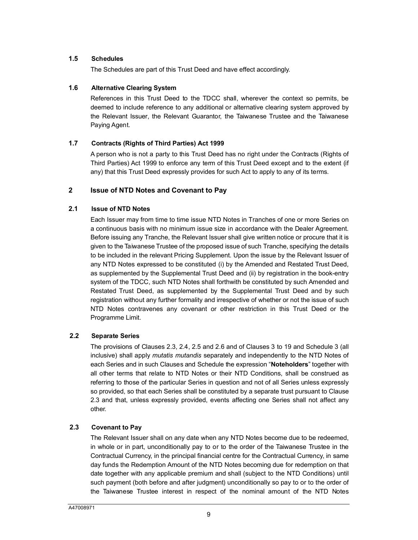## **1.5 Schedules**

The Schedules are part of this Trust Deed and have effect accordingly.

#### **1.6 Alternative Clearing System**

References in this Trust Deed to the TDCC shall, wherever the context so permits, be deemed to include reference to any additional or alternative clearing system approved by the Relevant Issuer, the Relevant Guarantor, the Taiwanese Trustee and the Taiwanese Paying Agent.

#### <span id="page-9-0"></span>**1.7 Contracts (Rights of Third Parties) Act 1999**

A person who is not a party to this Trust Deed has no right under the Contracts (Rights of Third Parties) Act 1999 to enforce any term of this Trust Deed except and to the extent (if any) that this Trust Deed expressly provides for such Act to apply to any of its terms.

## **2 Issue of NTD Notes and Covenant to Pay**

#### **2.1 Issue of NTD Notes**

Each Issuer may from time to time issue NTD Notes in Tranches of one or more Series on a continuous basis with no minimum issue size in accordance with the Dealer Agreement. Before issuing any Tranche, the Relevant Issuer shall give written notice or procure that it is given to the Taiwanese Trustee of the proposed issue of such Tranche, specifying the details to be included in the relevant Pricing Supplement. Upon the issue by the Relevant Issuer of any NTD Notes expressed to be constituted (i) by the Amended and Restated Trust Deed, as supplemented by the Supplemental Trust Deed and (ii) by registration in the book-entry system of the TDCC, such NTD Notes shall forthwith be constituted by such Amended and Restated Trust Deed, as supplemented by the Supplemental Trust Deed and by such registration without any further formality and irrespective of whether or not the issue of such NTD Notes contravenes any covenant or other restriction in this Trust Deed or the Programme Limit.

## **2.2 Separate Series**

The provisions of Clauses 2.3, 2.4, 2.5 and 2.6 and of Clauses 3 to 19 and Schedule 3 (all inclusive) shall apply *mutatis mutandis* separately and independently to the NTD Notes of each Series and in such Clauses and Schedule the expression "**Noteholders**" together with all other terms that relate to NTD Notes or their NTD Conditions, shall be construed as referring to those of the particular Series in question and not of all Series unless expressly so provided, so that each Series shall be constituted by a separate trust pursuant to Clause 2.3 and that, unless expressly provided, events affecting one Series shall not affect any other.

## <span id="page-9-1"></span>**2.3 Covenant to Pay**

The Relevant Issuer shall on any date when any NTD Notes become due to be redeemed, in whole or in part, unconditionally pay to or to the order of the Taiwanese Trustee in the Contractual Currency, in the principal financial centre for the Contractual Currency, in same day funds the Redemption Amount of the NTD Notes becoming due for redemption on that date together with any applicable premium and shall (subject to the NTD Conditions) until such payment (both before and after judgment) unconditionally so pay to or to the order of the Taiwanese Trustee interest in respect of the nominal amount of the NTD Notes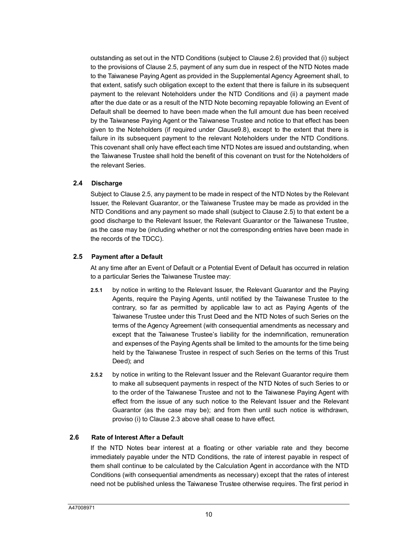outstanding as set out in the NTD Conditions (subject to Clause 2.6) provided that (i) subject to the provisions of Clause 2.5, payment of any sum due in respect of the NTD Notes made to the Taiwanese Paying Agent as provided in the Supplemental Agency Agreement shall, to that extent, satisfy such obligation except to the extent that there is failure in its subsequent payment to the relevant Noteholders under the NTD Conditions and (ii) a payment made after the due date or as a result of the NTD Note [becom](#page-17-1)ing repayable following an Event of Default shall be deemed to have been made when the full amount due has been received by the Taiwanese Paying Agent or the Taiwanese Trustee and notice to that effect has been given to the Noteholders (if required under Clause9.8), except to the extent that there is failure in its subsequent payment to the relevant Noteholders under the NTD Conditions. This covenant shall only have effect each time NTD Notes are issued and outstanding, when the Taiwanese Trustee shall hold the benefit of this covenant on trust for the Noteholders of the relevant Series.

#### **2.4 Discharge**

Subject to Clause 2.5, any payment to be made in respect of the NTD [No](#page-10-0)tes by the Relevant Issuer, the Relevant Guarantor, or the Taiwanese Trustee may be made as provided in the NTD Conditions and any payment so made shall (subject to Clause 2.5) to that extent be a good discharge to the Relevant Issuer, the Relevant Guarantor or the Taiwanese Trustee, as the case may be (including whether or not the corresponding entries have been made in the records of the TDCC).

## <span id="page-10-0"></span>**2.5 Payment after a Default**

At any time after an Event of Default or a Potential Event of Default has occurred in relation to a particular Series the Taiwanese Trustee may:

- **2.5.1** by notice in writing to the Relevant Issuer, the Relevant Guarantor and the Paying Agents, require the Paying Agents, until notified by the Taiwanese Trustee to the contrary, so far as permitted by applicable law to act as Paying Agents of the Taiwanese Trustee under this Trust Deed and the NTD Notes of such Series on the terms of the Agency Agreement (with consequential amendments as necessary and except that the Taiwanese Trustee's liability for the indemnification, remuneration and expenses of the Paying Agents shall be limited to the amounts for the time being held by the Taiwanese Trustee in respect of such Series on the terms of this Trust Deed); and
- **2.5.2** by notice in writing to the Relevant Issuer and the Relevant Guarantor require them to make all subsequent payments in respect of the NTD Notes of such Series to or to the order of the Taiwanese Trustee and not to the Taiwanese Paying Agent with effect from the issue of any such notice to the Relevant Issuer and the Relevant Guarantor (as the case may be); and from then until such notice is withdrawn, proviso (i) to Cla[use 2](#page-9-1).3 above shall cease to have effect.

## **2.6 Rate of Interest After a Default**

If the NTD Notes bear interest at a floating or other variable rate and they become immediately payable under the NTD Conditions, the rate of interest payable in respect of them shall continue to be calculated by the Calculation Agent in accordance with the NTD Conditions (with consequential amendments as necessary) except that the rates of interest need not be published unless the Taiwanese Trustee otherwise requires. The first period in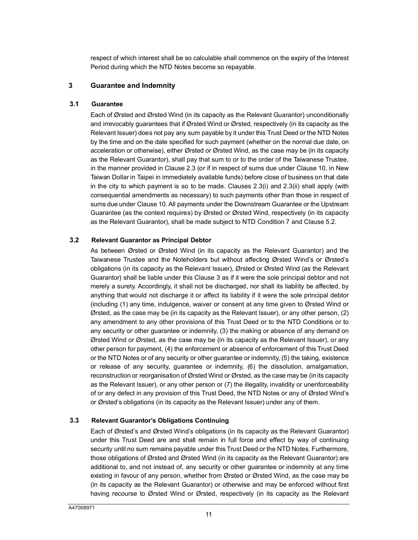<span id="page-11-0"></span>respect of which interest shall be so calculable shall commence on the expiry of the Interest Period during which the NTD Notes become so repayable.

#### **3 Guarantee and Indemnity**

#### **3.1 Guarantee**

Each of Ørsted and Ørsted Wind (in its capacity as the Relevant Guarantor) unconditionally and irrevocably guarantees that if Ørsted Wind or Ørsted, respectively (in its capacity as the Relevant Issuer) does not pay any sum payable by it under this Trust Deed or the NTD Notes by the time and on the date sp[ecifie](#page-9-1)d for such payment (whether on the normal d[ue d](#page-18-0)ate, on acceleration or otherwise), either Ørsted or Ørsted Wind, as the case may be (in its capacity as the Relevant Guarantor), shall pay that sum to or to the order of the Taiwanese Trustee, in the manner provided in Clause 2.3 (or if in respect of [sums](#page-9-1) due [under](#page-9-1) Clause 10, in New Taiwan Dollar in Taipei in immediately available funds) before close of business on that date in the city to which [paym](#page-18-0)ent is so to be made. Clauses 2.3(i) and 2.3(ii) shall apply (with consequential amendments as necessary) to such payments other than those in respect of sums due under Clause 10. All payments under the Downstream Guarantee or the [Upstre](#page-14-0)am Guarantee (as the context requires) by Ørsted or Ørsted Wind, respectively (in its capacity as the Relevant Guarantor), shall be made subject to NTD Condition 7 and Clause 5.2.

#### **3.2 Relevant Guarantor as Principal Debtor**

As between Ørsted or Ørsted Wind (in its capacity as the Relevant Guarantor) and the Taiwanese Trustee and the Noteholders [bu](#page-11-0)t without affecting Ørsted Wind's or Ørsted's obligations (in its capacity as the Relevant Issuer), Ørsted or Ørsted Wind (as the Relevant Guarantor) shall be liable under this Clause 3 as if it were the sole principal debtor and not merely a surety. Accordingly, it shall not be discharged, nor shall its liability be affected, by anything that would not discharge it or affect its liability if it were the sole principal debtor (including (1) any time, indulgence, waiver or consent at any time given to Ørsted Wind or Ørsted, as the case may be (in its capacity as the Relevant Issuer), or any other person,  $(2)$ any amendment to any other provisions of this Trust Deed or to the NTD Conditions or to any security or other guarantee or indemnity, (3) the making or absence of any demand on Ørsted Wind or Ørsted, as the case may be (in its capacity as the Relevant Issuer), or any other person for payment, (4) the enforcement or absence of enforcement of this Trust Deed or the NTD Notes or of any security or other guarantee or indemnity, (5) the taking, existence or release of any security, guarantee or indemnity, (6) the dissolution, amalgamation, reconstruction or reorganisation of Ørsted Wind or Ørsted, as the case may be (in its capacity as the Relevant Issuer), or any other person or (7) the illegality, invalidity or unenforceability of or any defect in any provision of this Trust Deed, the NTD Notes or any of Ørsted Wind's or Ørsted's obligations (in its capacity as the Relevant Issuer) under any of them.

## **3.3 Relevant Guarantor's Obligations Continuing**

Each of Ørsted's and Ørsted Wind's obligations (in its capacity as the Relevant Guarantor) under this Trust Deed are and shall remain in full force and effect by way of continuing security until no sum remains payable under this Trust Deed or the NTD Notes. Furthermore, those obligations of Ørsted and Ørsted Wind (in its capacity as the Relevant Guarantor) are additional to, and not instead of, any security or other guarantee or indemnity at any time existing in favour of any person, whether from Ørsted or Ørsted Wind, as the case may be (in its capacity as the Relevant Guarantor) or otherwise and may be enforced without first having recourse to Ørsted Wind or Ørsted, respectively (in its capacity as the Relevant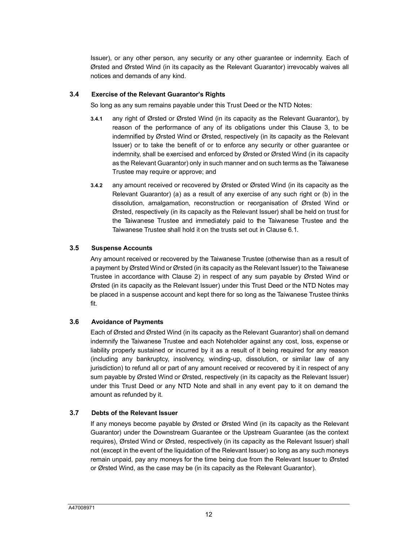Issuer), or any other person, any security or any other guarantee or indemnity. Each of Ørsted and Ørsted Wind (in its capacity as the Relevant Guarantor) irrevocably waives all notices and demands of any kind.

#### **3.4 Exercise of the Relevant Guarantor's Rights**

So long as any sum remains payable under this Trust Deed or the NTD Notes:

- **3.4.1** any right of Ørsted or Ørsted Wind (in its capacity as the Relevant Guarantor), by reason of the performance of any of its obligations under this Clause 3, to be indemnified by Ørsted Wind or Ørsted, respectively (in its capacity as the Relevant Issuer) or to take the benefit of or to enforce any security or other guarantee or indemnity, shall be exercised and enforced by Ørsted or Ørsted Wind (in its capacity as the Relevant Guarantor) only in such manner and on such terms as the Taiwanese Trustee may require or approve; and
- **3.4.2** any amount received or recovered by Ørsted or Ørsted Wind (in its capacity as the Relevant Guarantor) (a) as a result of any exercise of any such right or (b) in the dissolution, amalgamation, reconstruction or reorganisation of Ørsted Wind or Ørsted, respectively (in its capacity as the Relevant Issuer) s[hall b](#page-14-1)e held on trust for the Taiwanese Trustee and immediately paid to the Taiwanese Trustee and the Taiwanese Trustee shall hold it on the trusts set out in Clause 6.1.

#### **3.5 Suspense Accounts**

Any amount received or recovere[d b](#page-9-0)y the Taiwanese Trustee (otherwise than as a result of a payment by Ørsted Wind or Ørsted (in its capacity as the Relevant Issuer) to the Taiwanese Trustee in accordance with Clause 2) in respect of any sum payable by Ørsted Wind or Ørsted (in its capacity as the Relevant Issuer) under this Trust Deed or the NTD Notes may be placed in a suspense account and kept there for so long as the Taiwanese Trustee thinks fit.

## **3.6 Avoidance of Payments**

Each of Ørsted and Ørsted Wind (in its capacity as the Relevant Guarantor) shall on demand indemnify the Taiwanese Trustee and each Noteholder against any cost, loss, expense or liability properly sustained or incurred by it as a result of it being required for any reason (including any bankruptcy, insolvency, winding-up, dissolution, or similar law of any jurisdiction) to refund all or part of any amount received or recovered by it in respect of any sum payable by Ørsted Wind or Ørsted, respectively (in its capacity as the Relevant Issuer) under this Trust Deed or any NTD Note and shall in any event pay to it on demand the amount as refunded by it.

## **3.7 Debts of the Relevant Issuer**

If any moneys become payable by Ørsted or Ørsted Wind (in its capacity as the Relevant Guarantor) under the Downstream Guarantee or the Upstream Guarantee (as the context requires), Ørsted Wind or Ørsted, respectively (in its capacity as the Relevant Issuer) shall not (except in the event of the liquidation of the Relevant Issuer) so long as any such moneys remain unpaid, pay any moneys for the time being due from the Relevant Issuer to Ørsted or Ørsted Wind, as the case may be (in its capacity as the Relevant Guarantor).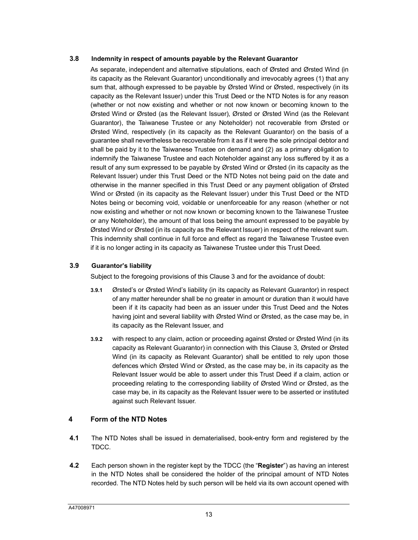#### <span id="page-13-0"></span>**3.8 Indemnity in respect of amounts payable by the Relevant Guarantor**

As separate, independent and alternative stipulations, each of Ørsted and Ørsted Wind (in its capacity as the Relevant Guarantor) unconditionally and irrevocably agrees (1) that any sum that, although expressed to be payable by Ørsted Wind or Ørsted, respectively (in its capacity as the Relevant Issuer) under this Trust Deed or the NTD Notes is for any reason (whether or not now existing and whether or not now known or becoming known to the Ørsted Wind or Ørsted (as the Relevant Issuer), Ørsted or Ørsted Wind (as the Relevant Guarantor), the Taiwanese Trustee or any Noteholder) not recoverable from Ørsted or Ørsted Wind, respectively (in its capacity as the Relevant Guarantor) on the basis of a guarantee shall nevertheless be recoverable from it as if it were the sole principal debtor and shall be paid by it to the Taiwanese Trustee on demand and (2) as a primary obligation to indemnify the Taiwanese Trustee and each Noteholder against any loss suffered by it as a result of any sum expressed to be payable by Ørsted Wind or Ørsted (in its capacity as the Relevant Issuer) under this Trust Deed or the NTD Notes not being paid on the date and otherwise in the manner specified in this Trust Deed or any payment obligation of Ørsted Wind or Ørsted (in its capacity as the Relevant Issuer) under this Trust Deed or the NTD Notes being or becoming void, voidable or unenforceable for any reason (whether or not now existing and whether or not now known or becoming known to the Taiwanese Trustee or any Noteholder), the amount of that loss being the amount expressed to be payable by Ørsted Wind or Ørsted (in its capacity as the Relevant Issuer) in respect of the relevant sum. This indemnity shall continue in full force and effect as regard the Taiwanese Trustee even if it is no longer acting in its capacity as Taiwanese Trustee under this Trust Deed.

#### **3.9 Guarantor's liability**

Subject to the foregoing provisions of this Clause 3 and for the avoidance of doubt:

- **3.9.1** Ørsted's or Ørsted Wind's liability (in its capacity as Relevant Guarantor) in respect of any matter hereunder shall be no greater in amount or duration than it would have been if it its capacity had been as an issuer under this Trust Deed and the Notes having joint and several liability with Ørsted Wind or Ørsted, as the case may be, in its capacity as the Relevant Issuer, and
- **3.9.2** with respect to any claim, action or proceeding against Ørsted [or](#page-11-0) Ørsted Wind (in its capacity as Relevant Guarantor) in connection with this Clause 3, Ørsted or Ørsted Wind (in its capacity as Relevant Guarantor) shall be entitled to rely upon those defences which Ørsted Wind or Ørsted, as the case may be, in its capacity as the Relevant Issuer would be able to assert under this Trust Deed if a claim, action or proceeding relating to the corresponding liability of Ørsted Wind or Ørsted, as the case may be, in its capacity as the Relevant Issuer were to be asserted or instituted against such Relevant Issuer.

## **4 Form of the NTD Notes**

- **4.1** The NTD Notes shall be issued in dematerialised, book-entry form and registered by the TDCC.
- **4.2** Each person shown in the register kept by the TDCC (the "**Register**") as having an interest in the NTD Notes shall be considered the holder of the principal amount of NTD Notes recorded. The NTD Notes held by such person will be held via its own account opened with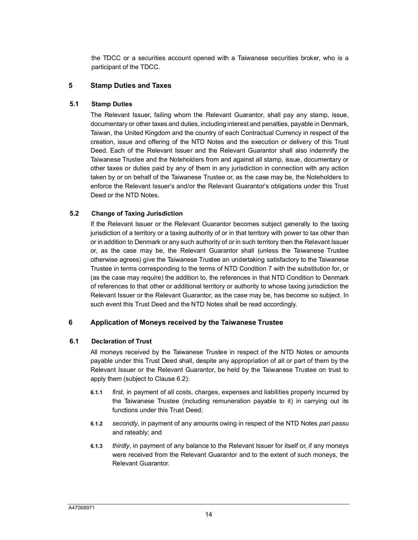the TDCC or a securities account opened with a Taiwanese securities broker, who is a participant of the TDCC.

#### **5 Stamp Duties and Taxes**

#### **5.1 Stamp Duties**

The Relevant Issuer, failing whom the Relevant Guarantor, shall pay any stamp, issue, documentary or other taxes and duties, including interest and penalties, payable in Denmark, Taiwan, the United Kingdom and the country of each Contractual Currency in respect of the creation, issue and offering of the NTD Notes and the execution or delivery of this Trust Deed. Each of the Relevant Issuer and the Relevant Guarantor shall also indemnify the Taiwanese Trustee and the Noteholders from and against all stamp, issue, documentary or other taxes or duties paid by any of them in any jurisdiction in connection with any action taken by or on behalf of the Taiwanese Trustee or, as the case may be, the Noteholders to enforce the Relevant Issuer's and/or the Relevant Guarantor's obligations under this Trust Deed or the NTD Notes.

#### <span id="page-14-0"></span>**5.2 Change of Taxing Jurisdiction**

If the Relevant Issuer or the Relevant Guarantor becomes subject generally to the taxing jurisdiction of a territory or a taxing authority of or in that territory with power to tax other than or in addition to Denmark or any such authority of or in such territory then the Relevant Issuer or, as the case may be, the Relevant Guarantor shall (unless the Taiwanese Trustee otherwise agrees) give the Taiwanese Trustee an undertaking satisfactory to the Taiwanese Trustee in terms corresponding to the terms of NTD Condition 7 with the substitution for, or (as the case may require) the addition to, the references in that NTD Condition to Denmark of references to that other or additional territory or authority to whose taxing jurisdiction the Relevant Issuer or the Relevant Guarantor, as the case may be, has become so subject. In such event this Trust Deed and the NTD Notes shall be read accordingly.

## <span id="page-14-1"></span>**6 Application of Moneys received by the Taiwanese Trustee**

#### **6.1 Declaration of Trust**

All moneys received by the Taiwanese Trustee in respect of the NTD Notes or amounts payable under this Trust Deed shall, despite any appropriation of all or part of them by the Relevant Issuer or the Re[levan](#page-15-0)t Guarantor, be held by the Taiwanese Trustee on trust to apply them (subject to Clause 6.2):

- **6.1.1** *first*, in payment of all costs, charges, expenses and liabilities properly incurred by the Taiwanese Trustee (including remuneration payable to it) in carrying out its functions under this Trust Deed;
- **6.1.2** *secondly*, in payment of any amounts owing in respect of the NTD Notes *pari passu* and rateably; and
- **6.1.3** *thirdly*, in payment of any balance to the Relevant Issuer for itself or, if any moneys were received from the Relevant Guarantor and to the extent of such moneys, the Relevant Guarantor.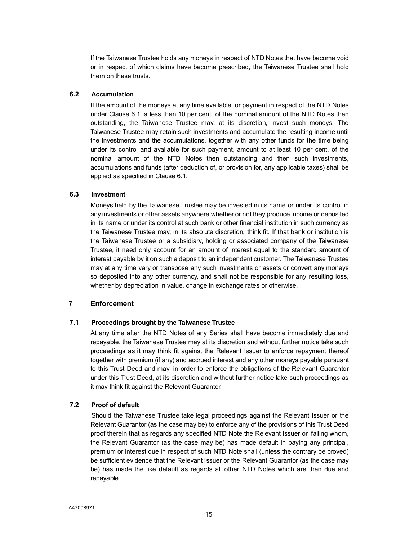<span id="page-15-0"></span>If the Taiwanese Trustee holds any moneys in respect of NTD Notes that have become void or in respect of which claims have become prescribed, the Taiwanese Trustee shall hold them on these trusts.

#### **6.2 Accumul[ation](#page-14-1)**

If the amount of the moneys at any time available for payment in respect of the NTD Notes under Clause 6.1 is less than 10 per cent. of the nominal amount of the NTD Notes then outstanding, the Taiwanese Trustee may, at its discretion, invest such moneys. The Taiwanese Trustee may retain such investments and accumulate the resulting income until the investments and the accumulations, together with any other funds for the time being under its control and available for such payment, amount to at least 10 per cent. of the nominal amount of the [NTD](#page-14-1) Notes then outstanding and then such investments, accumulations and funds (after deduction of, or provision for, any applicable taxes) shall be applied as specified in Clause 6.1.

#### **6.3 Investment**

Moneys held by the Taiwanese Trustee may be invested in its name or under its control in any investments or other assets anywhere whether or not they produce income or deposited in its name or under its control at such bank or other financial institution in such currency as the Taiwanese Trustee may, in its absolute discretion, think fit. If that bank or institution is the Taiwanese Trustee or a subsidiary, holding or associated company of the Taiwanese Trustee, it need only account for an amount of interest equal to the standard amount of interest payable by it on such a deposit to an independent customer. The Taiwanese Trustee may at any time vary or transpose any such investments or assets or convert any moneys so deposited into any other currency, and shall not be responsible for any resulting loss, whether by depreciation in value, change in exchange rates or otherwise.

# <span id="page-15-1"></span>**7 Enforcement**

## **7.1 Proceedings brought by the Taiwanese Trustee**

At any time after the NTD Notes of any Series shall have become immediately due and repayable, the Taiwanese Trustee may at its discretion and without further notice take such proceedings as it may think fit against the Relevant Issuer to enforce repayment thereof together with premium (if any) and accrued interest and any other moneys payable pursuant to this Trust Deed and may, in order to enforce the obligations of the Relevant Guarantor under this Trust Deed, at its discretion and without further notice take such proceedings as it may think fit against the Relevant Guarantor.

## **7.2 Proof of default**

Should the Taiwanese Trustee take legal proceedings against the Relevant Issuer or the Relevant Guarantor (as the case may be) to enforce any of the provisions of this Trust Deed proof therein that as regards any specified NTD Note the Relevant Issuer or, failing whom, the Relevant Guarantor (as the case may be) has made default in paying any principal, premium or interest due in respect of such NTD Note shall (unless the contrary be proved) be sufficient evidence that the Relevant Issuer or the Relevant Guarantor (as the case may be) has made the like default as regards all other NTD Notes which are then due and repayable.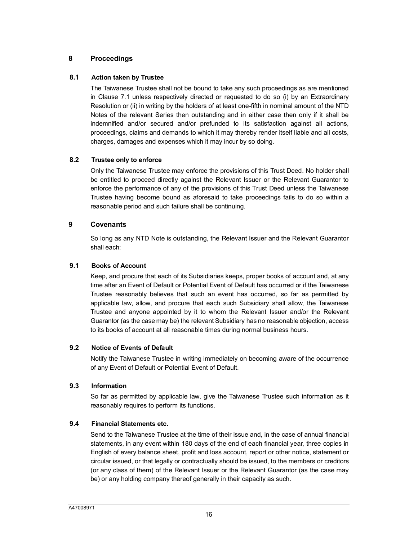## **8 Proceedings**

## **8.1 Actio[n tak](#page-15-1)en by Trustee**

The Taiwanese Trustee shall not be bound to take any such proceedings as are mentioned in Clause 7.1 unless respectively directed or requested to do so (i) by an Extraordinary Resolution or (ii) in writing by the holders of at least one-fifth in nominal amount of the NTD Notes of the relevant Series then outstanding and in either case then only if it shall be indemnified and/or secured and/or prefunded to its satisfaction against all actions, proceedings, claims and demands to which it may thereby render itself liable and all costs, charges, damages and expenses which it may incur by so doing.

#### **8.2 Trustee only to enforce**

Only the Taiwanese Trustee may enforce the provisions of this Trust Deed. No holder shall be entitled to proceed directly against the Relevant Issuer or the Relevant Guarantor to enforce the performance of any of the provisions of this Trust Deed unless the Taiwanese Trustee having become bound as aforesaid to take proceedings fails to do so within a reasonable period and such failure shall be continuing.

### **9 Covenants**

So long as any NTD Note is outstanding, the Relevant Issuer and the Relevant Guarantor shall each:

#### **9.1 Books of Account**

Keep, and procure that each of its Subsidiaries keeps, proper books of account and, at any time after an Event of Default or Potential Event of Default has occurred or if the Taiwanese Trustee reasonably believes that such an event has occurred, so far as permitted by applicable law, allow, and procure that each such Subsidiary shall allow, the Taiwanese Trustee and anyone appointed by it to whom the Relevant Issuer and/or the Relevant Guarantor (as the case may be) the relevant Subsidiary has no reasonable objection, access to its books of account at all reasonable times during normal business hours.

#### **9.2 Notice of Events of Default**

Notify the Taiwanese Trustee in writing immediately on becoming aware of the occurrence of any Event of Default or Potential Event of Default.

#### **9.3 Information**

So far as permitted by applicable law, give the Taiwanese Trustee such information as it reasonably requires to perform its functions.

## **9.4 Financial Statements etc.**

Send to the Taiwanese Trustee at the time of their issue and, in the case of annual financial statements, in any event within 180 days of the end of each financial year, three copies in English of every balance sheet, profit and loss account, report or other notice, statement or circular issued, or that legally or contractually should be issued, to the members or creditors (or any class of them) of the Relevant Issuer or the Relevant Guarantor (as the case may be) or any holding company thereof generally in their capacity as such.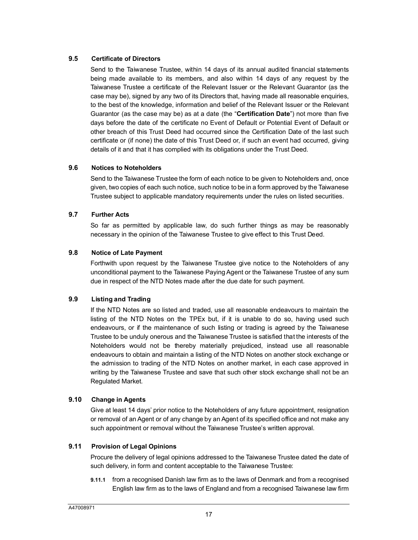#### <span id="page-17-2"></span>**9.5 Certificate of Directors**

Send to the Taiwanese Trustee, within 14 days of its annual audited financial statements being made available to its members, and also within 14 days of any request by the Taiwanese Trustee a certificate of the Relevant Issuer or the Relevant Guarantor (as the case may be), signed by any two of its Directors that, having made all reasonable enquiries, to the best of the knowledge, information and belief of the Relevant Issuer or the Relevant Guarantor (as the case may be) as at a date (the "**Certification Date**") not more than five days before the date of the certificate no Event of Default or Potential Event of Default or other breach of this Trust Deed had occurred since the Certification Date of the last such certificate or (if none) the date of this Trust Deed or, if such an event had occurred, giving details of it and that it has complied with its obligations under the Trust Deed.

#### **9.6 Notices to Noteholders**

Send to the Taiwanese Trustee the form of each notice to be given to Noteholders and, once given, two copies of each such notice, such notice to be in a form approved by the Taiwanese Trustee subject to applicable mandatory requirements under the rules on listed securities.

#### <span id="page-17-1"></span>**9.7 Further Acts**

So far as permitted by applicable law, do such further things as may be reasonably necessary in the opinion of the Taiwanese Trustee to give effect to this Trust Deed.

#### **9.8 Notice of Late Payment**

Forthwith upon request by the Taiwanese Trustee give notice to the Noteholders of any unconditional payment to the Taiwanese Paying Agent or the Taiwanese Trustee of any sum due in respect of the NTD Notes made after the due date for such payment.

## **9.9 Listing and Trading**

If the NTD Notes are so listed and traded, use all reasonable endeavours to maintain the listing of the NTD Notes on the TPEx but, if it is unable to do so, having used such endeavours, or if the maintenance of such listing or trading is agreed by the Taiwanese Trustee to be unduly onerous and the Taiwanese Trustee is satisfied that the interests of the Noteholders would not be thereby materially prejudiced, instead use all reasonable endeavours to obtain and maintain a listing of the NTD Notes on another stock exchange or the admission to trading of the NTD Notes on another market, in each case approved in writing by the Taiwanese Trustee and save that such other stock exchange shall not be an Regulated Market.

#### <span id="page-17-0"></span>**9.10 Change in Agents**

Give at least 14 days' prior notice to the Noteholders of any future appointment, resignation or removal of an Agent or of any change by an Agent of its specified office and not make any such appointment or removal without the Taiwanese Trustee's written approval.

## **9.11 Provision of Legal Opinions**

Procure the delivery of legal opinions addressed to the Taiwanese Trustee dated the date of such delivery, in form and content acceptable to the Taiwanese Trustee:

**9.11.1** from a recognised Danish law firm as to the laws of Denmark and from a recognised English law firm as to the laws of England and from a recognised Taiwanese law firm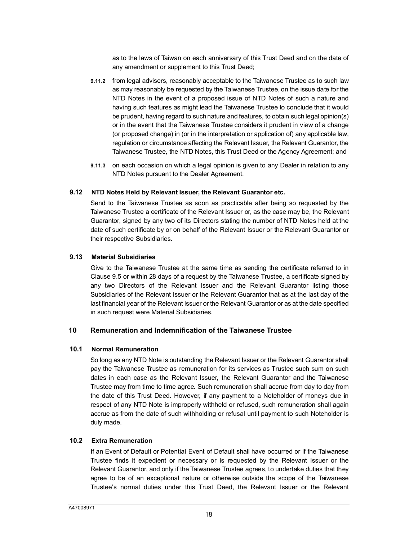as to the laws of Taiwan on each anniversary of this Trust Deed and on the date of any amendment or supplement to this Trust Deed;

- **9.11.2** from legal advisers, reasonably acceptable to the Taiwanese Trustee as to such law as may reasonably be requested by the Taiwanese Trustee, on the issue date for the NTD Notes in the event of a proposed issue of NTD Notes of such a nature and having such features as might lead the Taiwanese Trustee to conclude that it would be prudent, having regard to such nature and features, to obtain such legal opinion(s) or in the event that the Taiwanese Trustee considers it prudent in view of a change (or proposed change) in (or in the interpretation or application of) any applicable law, regulation or circumstance affecting the Relevant Issuer, the Relevant Guarantor, the Taiwanese Trustee, the NTD Notes, this Trust Deed or the Agency Agreement; and
- **9.11.3** on each occasion on which a legal opinion is given to any Dealer in relation to any NTD Notes pursuant to the Dealer Agreement.

#### **9.12 NTD Notes Held by Relevant Issuer, the Relevant Guarantor etc.**

Send to the Taiwanese Trustee as soon as practicable after being so requested by the Taiwanese Trustee a certificate of the Relevant Issuer or, as the case may be, the Relevant Guarantor, signed by any two of its Directors stating the number of NTD Notes held at the date of such certificate by or on behalf of the Relevant Issuer or the Relevant Guarantor or their respective Subsidiaries.

#### **9.13 M[ateria](#page-17-2)l Subsidiaries**

Give to the Taiwanese Trustee at the same time as sending the certificate referred to in Clause 9.5 or within 28 days of a request by the Taiwanese Trustee, a certificate signed by any two Directors of the Relevant Issuer and the Relevant Guarantor listing those Subsidiaries of the Relevant Issuer or the Relevant Guarantor that as at the last day of the last financial year of the Relevant Issuer or the Relevant Guarantor or as at the date specified in such request were Material Subsidiaries.

## <span id="page-18-0"></span>**10 Remuneration and Indemnification of the Taiwanese Trustee**

#### **10.1 Normal Remuneration**

So long as any NTD Note is outstanding the Relevant Issuer or the Relevant Guarantor shall pay the Taiwanese Trustee as remuneration for its services as Trustee such sum on such dates in each case as the Relevant Issuer, the Relevant Guarantor and the Taiwanese Trustee may from time to time agree. Such remuneration shall accrue from day to day from the date of this Trust Deed. However, if any payment to a Noteholder of moneys due in respect of any NTD Note is improperly withheld or refused, such remuneration shall again accrue as from the date of such withholding or refusal until payment to such Noteholder is duly made.

#### **10.2 Extra Remuneration**

If an Event of Default or Potential Event of Default shall have occurred or if the Taiwanese Trustee finds it expedient or necessary or is requested by the Relevant Issuer or the Relevant Guarantor, and only if the Taiwanese Trustee agrees, to undertake duties that they agree to be of an exceptional nature or otherwise outside the scope of the Taiwanese Trustee's normal duties under this Trust Deed, the Relevant Issuer or the Relevant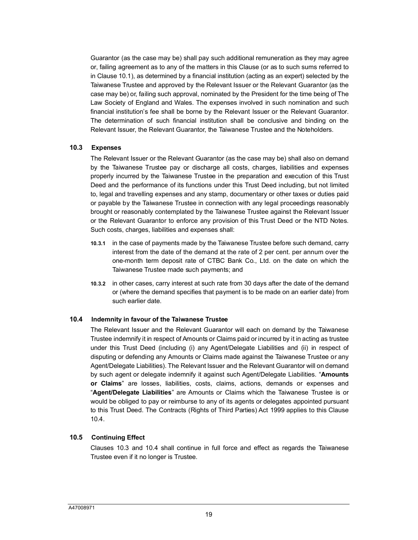Guarantor (as the case may be) shall pay such additional remuneration as they may agree or, failing agreement as to any of the matters in this Clause (or as to such sums referred to in Clause 10.1), as determined by a financial institution (acting as an expert) selected by the Taiwanese Trustee and approved by the Relevant Issuer or the Relevant Guarantor (as the case may be) or, failing such approval, nominated by the President for the time being of The Law Society of England and Wales. The expenses involved in such nomination and such financial institution's fee shall be borne by the Relevant Issuer or the Relevant Guarantor. The determination of such financial institution shall be conclusive and binding on the Relevant Issuer, the Relevant Guarantor, the Taiwanese Trustee and the Noteholders.

#### <span id="page-19-1"></span>**10.3 Expenses**

The Relevant Issuer or the Relevant Guarantor (as the case may be) shall also on demand by the Taiwanese Trustee pay or discharge all costs, charges, liabilities and expenses properly incurred by the Taiwanese Trustee in the preparation and execution of this Trust Deed and the performance of its functions under this Trust Deed including, but not limited to, legal and travelling expenses and any stamp, documentary or other taxes or duties paid or payable by the Taiwanese Trustee in connection with any legal proceedings reasonably brought or reasonably contemplated by the Taiwanese Trustee against the Relevant Issuer or the Relevant Guarantor to enforce any provision of this Trust Deed or the NTD Notes. Such costs, charges, liabilities and expenses shall:

- **10.3.1** in the case of payments made by the Taiwanese Trustee before such demand, carry interest from the date of the demand at the rate of 2 per cent. per annum over the one-month term deposit rate of CTBC Bank Co., Ltd. on the date on which the Taiwanese Trustee made such payments; and
- **10.3.2** in other cases, carry interest at such rate from 30 days after the date of the demand or (where the demand specifies that payment is to be made on an earlier date) from such earlier date.

#### <span id="page-19-0"></span>**10.4 Indemnity in favour of the Taiwanese Trustee**

The Relevant Issuer and the Relevant Guarantor will each on demand by the Taiwanese Trustee indemnify it in respect of Amounts or Claims paid or incurred by it in acting as trustee under this Trust Deed (including (i) any Agent/Delegate Liabilities and (ii) in respect of disputing or defending any Amounts or Claims made against the Taiwanese Trustee or any Agent/Delegate Liabilities). The Relevant Issuer and the Relevant Guarantor will on demand by such agent or delegate indemnify it against such Agent/Delegate Liabilities. "**Amounts or Claims**" are losses, liabilities, costs, claims, actions, demands or expenses and "**Agent/Delegate Liabilities**" are Amounts or Claims which the Taiwanese Trustee is or would be obliged to pay or reimburse to any of its agents or delegates appointed pursuant to this Trust Deed. The Contracts (Rights of Third Parties) Act 1999 applies to this Clause [1](#page-19-0)0.4.

#### **10.5 Continuing Effect**

Cla[uses 1](#page-19-1)0.3 [and 10](#page-19-0).4 shall continue in full force and effect as regards the Taiwanese Trustee even if it no longer is Trustee.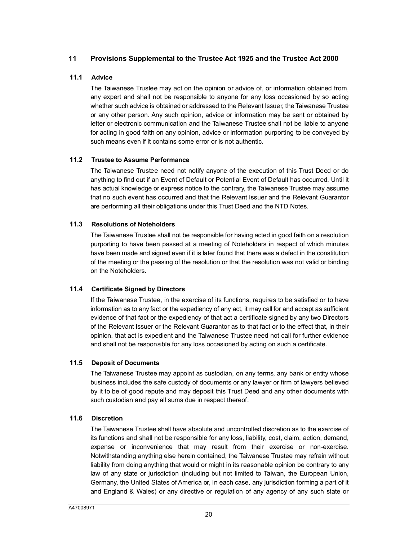## **11 Provisions Supplemental to the Trustee Act 1925 and the Trustee Act 2000**

#### **11.1 Advice**

The Taiwanese Trustee may act on the opinion or advice of, or information obtained from, any expert and shall not be responsible to anyone for any loss occasioned by so acting whether such advice is obtained or addressed to the Relevant Issuer, the Taiwanese Trustee or any other person. Any such opinion, advice or information may be sent or obtained by letter or electronic communication and the Taiwanese Trustee shall not be liable to anyone for acting in good faith on any opinion, advice or information purporting to be conveyed by such means even if it contains some error or is not authentic.

#### **11.2 Trustee to Assume Performance**

The Taiwanese Trustee need not notify anyone of the execution of this Trust Deed or do anything to find out if an Event of Default or Potential Event of Default has occurred. Until it has actual knowledge or express notice to the contrary, the Taiwanese Trustee may assume that no such event has occurred and that the Relevant Issuer and the Relevant Guarantor are performing all their obligations under this Trust Deed and the NTD Notes.

#### **11.3 Resolutions of Noteholders**

The Taiwanese Trustee shall not be responsible for having acted in good faith on a resolution purporting to have been passed at a meeting of Noteholders in respect of which minutes have been made and signed even if it is later found that there was a defect in the constitution of the meeting or the passing of the resolution or that the resolution was not valid or binding on the Noteholders.

## **11.4 Certificate Signed by Directors**

If the Taiwanese Trustee, in the exercise of its functions, requires to be satisfied or to have information as to any fact or the expediency of any act, it may call for and accept as sufficient evidence of that fact or the expediency of that act a certificate signed by any two Directors of the Relevant Issuer or the Relevant Guarantor as to that fact or to the effect that, in their opinion, that act is expedient and the Taiwanese Trustee need not call for further evidence and shall not be responsible for any loss occasioned by acting on such a certificate.

### **11.5 Deposit of Documents**

The Taiwanese Trustee may appoint as custodian, on any terms, any bank or entity whose business includes the safe custody of documents or any lawyer or firm of lawyers believed by it to be of good repute and may deposit this Trust Deed and any other documents with such custodian and pay all sums due in respect thereof.

#### **11.6 Discretion**

The Taiwanese Trustee shall have absolute and uncontrolled discretion as to the exercise of its functions and shall not be responsible for any loss, liability, cost, claim, action, demand, expense or inconvenience that may result from their exercise or non-exercise. Notwithstanding anything else herein contained, the Taiwanese Trustee may refrain without liability from doing anything that would or might in its reasonable opinion be contrary to any law of any state or jurisdiction (including but not limited to Taiwan, the European Union, Germany, the United States of America or, in each case, any jurisdiction forming a part of it and England & Wales) or any directive or regulation of any agency of any such state or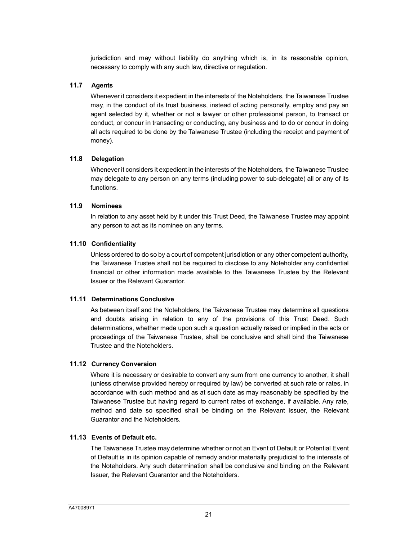jurisdiction and may without liability do anything which is, in its reasonable opinion, necessary to comply with any such law, directive or regulation.

#### **11.7 Agents**

Whenever it considers it expedient in the interests of the Noteholders, the Taiwanese Trustee may, in the conduct of its trust business, instead of acting personally, employ and pay an agent selected by it, whether or not a lawyer or other professional person, to transact or conduct, or concur in transacting or conducting, any business and to do or concur in doing all acts required to be done by the Taiwanese Trustee (including the receipt and payment of money).

#### **11.8 Delegation**

Whenever it considers it expedient in the interests of the Noteholders, the Taiwanese Trustee may delegate to any person on any terms (including power to sub-delegate) all or any of its functions.

#### **11.9 Nominees**

In relation to any asset held by it under this Trust Deed, the Taiwanese Trustee may appoint any person to act as its nominee on any terms.

#### **11.10 Confidentiality**

Unless ordered to do so by a court of competent jurisdiction or any other competent authority, the Taiwanese Trustee shall not be required to disclose to any Noteholder any confidential financial or other information made available to the Taiwanese Trustee by the Relevant Issuer or the Relevant Guarantor.

#### **11.11 Determinations Conclusive**

As between itself and the Noteholders, the Taiwanese Trustee may determine all questions and doubts arising in relation to any of the provisions of this Trust Deed. Such determinations, whether made upon such a question actually raised or implied in the acts or proceedings of the Taiwanese Trustee, shall be conclusive and shall bind the Taiwanese Trustee and the Noteholders.

## **11.12 Currency Conversion**

Where it is necessary or desirable to convert any sum from one currency to another, it shall (unless otherwise provided hereby or required by law) be converted at such rate or rates, in accordance with such method and as at such date as may reasonably be specified by the Taiwanese Trustee but having regard to current rates of exchange, if available. Any rate, method and date so specified shall be binding on the Relevant Issuer, the Relevant Guarantor and the Noteholders.

## **11.13 Events of Default etc.**

The Taiwanese Trustee may determine whether or not an Event of Default or Potential Event of Default is in its opinion capable of remedy and/or materially prejudicial to the interests of the Noteholders. Any such determination shall be conclusive and binding on the Relevant Issuer, the Relevant Guarantor and the Noteholders.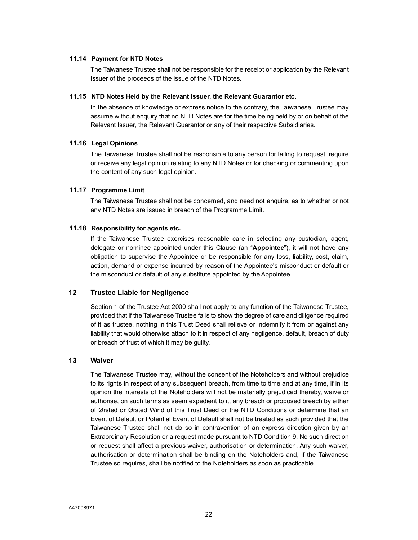#### **11.14 Payment for NTD Notes**

The Taiwanese Trustee shall not be responsible for the receipt or application by the Relevant Issuer of the proceeds of the issue of the NTD Notes.

#### **11.15 NTD Notes Held by the Relevant Issuer, the Relevant Guarantor etc.**

In the absence of knowledge or express notice to the contrary, the Taiwanese Trustee may assume without enquiry that no NTD Notes are for the time being held by or on behalf of the Relevant Issuer, the Relevant Guarantor or any of their respective Subsidiaries.

#### **11.16 Legal Opinions**

The Taiwanese Trustee shall not be responsible to any person for failing to request, require or receive any legal opinion relating to any NTD Notes or for checking or commenting upon the content of any such legal opinion.

#### **11.17 Programme Limit**

The Taiwanese Trustee shall not be concerned, and need not enquire, as to whether or not any NTD Notes are issued in breach of the Programme Limit.

#### **11.18 Responsibility for agents etc.**

If the Taiwanese Trustee exercises reasonable care in selecting any custodian, agent, delegate or nominee appointed under this Clause (an "**Appointee**"), it will not have any obligation to supervise the Appointee or be responsible for any loss, liability, cost, claim, action, demand or expense incurred by reason of the Appointee's misconduct or default or the misconduct or default of any substitute appointed by the Appointee.

## <span id="page-22-0"></span>**12 Trustee Liable for Negligence**

Section 1 of the Trustee Act 2000 shall not apply to any function of the Taiwanese Trustee, provided that if the Taiwanese Trustee fails to show the degree of care and diligence required of it as trustee, nothing in this Trust Deed shall relieve or indemnify it from or against any liability that would otherwise attach to it in respect of any negligence, default, breach of duty or breach of trust of which it may be guilty.

#### **13 Waiver**

The Taiwanese Trustee may, without the consent of the Noteholders and without prejudice to its rights in respect of any subsequent breach, from time to time and at any time, if in its opinion the interests of the Noteholders will not be materially prejudiced thereby, waive or authorise, on such terms as seem expedient to it, any breach or proposed breach by either of Ørsted or Ørsted Wind of this Trust Deed or the NTD Conditions or determine that an Event of Default or Potential Event of Default shall not be treated as such provided that the Taiwanese Trustee shall not do so in contravention of an express direction given by an Extraordinary Resolution or a request made pursuant to NTD Condition 9. No such direction or request shall affect a previous waiver, authorisation or determination. Any such waiver, authorisation or determination shall be binding on the Noteholders and, if the Taiwanese Trustee so requires, shall be notified to the Noteholders as soon as practicable.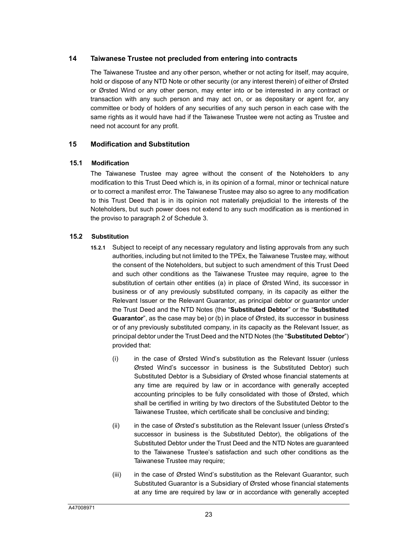## **14 Taiwanese Trustee not precluded from entering into contracts**

The Taiwanese Trustee and any other person, whether or not acting for itself, may acquire, hold or dispose of any NTD Note or other security (or any interest therein) of either of Ørsted or Ørsted Wind or any other person, may enter into or be interested in any contract or transaction with any such person and may act on, or as depositary or agent for, any committee or body of holders of any securities of any such person in each case with the same rights as it would have had if the Taiwanese Trustee were not acting as Trustee and need not account for any profit.

#### **15 Modification and Substitution**

#### **15.1 Modification**

The Taiwanese Trustee may agree without the consent of the Noteholders to any modification to this Trust Deed which is, in its opinion of a formal, minor or technical nature or to correct a manifest error. The Taiwanese Trustee may also so agree to any modification to this Trust Deed t[hat](#page-58-0) is in its opinion not materially prejudicial to the interests of the Noteholders, but such power does not extend to any such modification as is mentioned in the proviso to paragraph 2 of Schedule 3.

#### <span id="page-23-0"></span>**15.2 Substitution**

- **15.2.1** Subject to receipt of any necessary regulatory and listing approvals from any such authorities, including but not limited to the TPEx, the Taiwanese Trustee may, without the consent of the Noteholders, but subject to such amendment of this Trust Deed and such other conditions as the Taiwanese Trustee may require, agree to the substitution of certain other entities (a) in place of Ørsted Wind, its successor in business or of any previously substituted company, in its capacity as either the Relevant Issuer or the Relevant Guarantor, as principal debtor or guarantor under the Trust Deed and the NTD Notes (the "**Substituted Debtor**" or the "**Substituted Guarantor**", as the case may be) or (b) in place of Ørsted, its successor in business or of any previously substituted company, in its capacity as the Relevant Issuer, as principal debtor under the Trust Deed and the NTD Notes (the "**Substituted Debtor**") provided that:
	- (i) in the case of Ørsted Wind's substitution as the Relevant Issuer (unless Ørsted Wind's successor in business is the Substituted Debtor) such Substituted Debtor is a Subsidiary of Ørsted whose financial statements at any time are required by law or in accordance with generally accepted accounting principles to be fully consolidated with those of Ørsted, which shall be certified in writing by two directors of the Substituted Debtor to the Taiwanese Trustee, which certificate shall be conclusive and binding;
	- (ii) in the case of Ørsted's substitution as the Relevant Issuer (unless Ørsted's successor in business is the Substituted Debtor), the obligations of the Substituted Debtor under the Trust Deed and the NTD Notes are guaranteed to the Taiwanese Trustee's satisfaction and such other conditions as the Taiwanese Trustee may require;
	- (iii) in the case of Ørsted Wind's substitution as the Relevant Guarantor, such Substituted Guarantor is a Subsidiary of Ørsted whose financial statements at any time are required by law or in accordance with generally accepted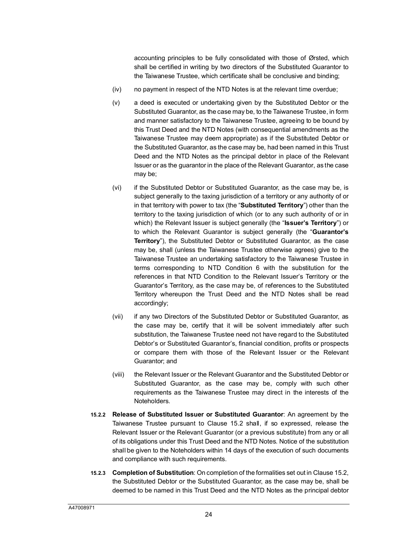accounting principles to be fully consolidated with those of Ørsted, which shall be certified in writing by two directors of the Substituted Guarantor to the Taiwanese Trustee, which certificate shall be conclusive and binding;

- (iv) no payment in respect of the NTD Notes is at the relevant time overdue;
- (v) a deed is executed or undertaking given by the Substituted Debtor or the Substituted Guarantor, as the case may be, to the Taiwanese Trustee, in form and manner satisfactory to the Taiwanese Trustee, agreeing to be bound by this Trust Deed and the NTD Notes (with consequential amendments as the Taiwanese Trustee may deem appropriate) as if the Substituted Debtor or the Substituted Guarantor, as the case may be, had been named in this Trust Deed and the NTD Notes as the principal debtor in place of the Relevant Issuer or as the guarantor in the place of the Relevant Guarantor, as the case may be;
- (vi) if the Substituted Debtor or Substituted Guarantor, as the case may be, is subject generally to the taxing jurisdiction of a territory or any authority of or in that territory with power to tax (the "**Substituted Territory**") other than the territory to the taxing jurisdiction of which (or to any such authority of or in which) the Relevant Issuer is subject generally (the "**Issuer's Territory**") or to which the Relevant Guarantor is subject generally (the "**Guarantor's Territory**"), the Substituted Debtor or Substituted Guarantor, as the case may be, shall (unless the Taiwanese Trustee otherwise agrees) give to the Taiwanese Trustee an undertaking satisfactory to the Taiwanese Trustee in terms corresponding to NTD Condition 6 with the substitution for the references in that NTD Condition to the Relevant Issuer's Territory or the Guarantor's Territory, as the case may be, of references to the Substituted Territory whereupon the Trust Deed and the NTD Notes shall be read accordingly;
- (vii) if any two Directors of the Substituted Debtor or Substituted Guarantor, as the case may be, certify that it will be solvent immediately after such substitution, the Taiwanese Trustee need not have regard to the Substituted Debtor's or Substituted Guarantor's, financial condition, profits or prospects or compare them with those of the Relevant Issuer or the Relevant Guarantor; and
- (viii) the Relevant Issuer or the Relevant Guarantor and the Substituted Debtor or Substituted Guarantor, as the case may be, comply with such other requirements as the Taiwanese Trustee may direct in the interests of the Noteholders.
- **15.2.2 Release of Substituted Issuer or Su[bstitu](#page-23-0)ted Guarantor**: An agreement by the Taiwanese Trustee pursuant to Clause 15.2 shall, if so expressed, release the Relevant Issuer or the Relevant Guarantor (or a previous substitute) from any or all of its obligations under this Trust Deed and the NTD Notes. Notice of the substitution shall be given to the Noteholders within 14 days of the execution of such documents and compliance with such requirements.
- **15.2.3 Completion of Substitution**: On completion of the formalities set out in Clause [15.2,](#page-23-0)  the Substituted Debtor or the Substituted Guarantor, as the case may be, shall be deemed to be named in this Trust Deed and the NTD Notes as the principal debtor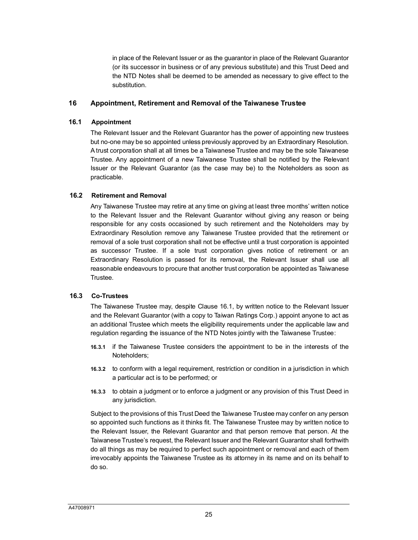in place of the Relevant Issuer or as the guarantor in place of the Relevant Guarantor (or its successor in business or of any previous substitute) and this Trust Deed and the NTD Notes shall be deemed to be amended as necessary to give effect to the substitution.

#### **16 Appointment, Retirement and Removal of the Taiwanese Trustee**

#### **16.1 Appointment**

The Relevant Issuer and the Relevant Guarantor has the power of appointing new trustees but no-one may be so appointed unless previously approved by an Extraordinary Resolution. A trust corporation shall at all times be a Taiwanese Trustee and may be the sole Taiwanese Trustee. Any appointment of a new Taiwanese Trustee shall be notified by the Relevant Issuer or the Relevant Guarantor (as the case may be) to the Noteholders as soon as practicable.

#### **16.2 Retirement and Removal**

Any Taiwanese Trustee may retire at any time on giving at least three months' written notice to the Relevant Issuer and the Relevant Guarantor without giving any reason or being responsible for any costs occasioned by such retirement and the Noteholders may by Extraordinary Resolution remove any Taiwanese Trustee provided that the retirement or removal of a sole trust corporation shall not be effective until a trust corporation is appointed as successor Trustee. If a sole trust corporation gives notice of retirement or an Extraordinary Resolution is passed for its removal, the Relevant Issuer shall use all reasonable endeavours to procure that another trust corporation be appointed as Taiwanese Trustee.

#### **16.3 Co-Trustees**

The Taiwanese Trustee may, despite Clause 16.1, by written notice to the Relevant Issuer and the Relevant Guarantor (with a copy to Taiwan Ratings Corp.) appoint anyone to act as an additional Trustee which meets the eligibility requirements under the applicable law and regulation regarding the issuance of the NTD Notes jointly with the Taiwanese Trustee:

- **16.3.1** if the Taiwanese Trustee considers the appointment to be in the interests of the Noteholders;
- **16.3.2** to conform with a legal requirement, restriction or condition in a jurisdiction in which a particular act is to be performed; or
- **16.3.3** to obtain a judgment or to enforce a judgment or any provision of this Trust Deed in any jurisdiction.

Subject to the provisions of this Trust Deed the Taiwanese Trustee may confer on any person so appointed such functions as it thinks fit. The Taiwanese Trustee may by written notice to the Relevant Issuer, the Relevant Guarantor and that person remove that person. At the Taiwanese Trustee's request, the Relevant Issuer and the Relevant Guarantor shall forthwith do all things as may be required to perfect such appointment or removal and each of them irrevocably appoints the Taiwanese Trustee as its attorney in its name and on its behalf to do so.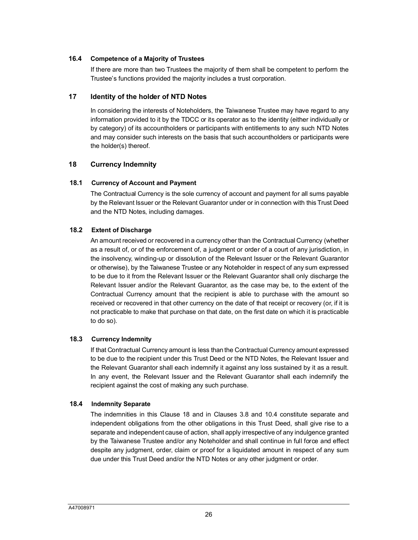#### **16.4 Competence of a Majority of Trustees**

If there are more than two Trustees the majority of them shall be competent to perform the Trustee's functions provided the majority includes a trust corporation.

#### **17 Identity of the holder of NTD Notes**

In considering the interests of Noteholders, the Taiwanese Trustee may have regard to any information provided to it by the TDCC or its operator as to the identity (either individually or by category) of its accountholders or participants with entitlements to any such NTD Notes and may consider such interests on the basis that such accountholders or participants were the holder(s) thereof.

## <span id="page-26-0"></span>**18 Currency Indemnity**

#### **18.1 Currency of Account and Payment**

The Contractual Currency is the sole currency of account and payment for all sums payable by the Relevant Issuer or the Relevant Guarantor under or in connection with this Trust Deed and the NTD Notes, including damages.

#### **18.2 Extent of Discharge**

An amount received or recovered in a currency other than the Contractual Currency (whether as a result of, or of the enforcement of, a judgment or order of a court of any jurisdiction, in the insolvency, winding-up or dissolution of the Relevant Issuer or the Relevant Guarantor or otherwise), by the Taiwanese Trustee or any Noteholder in respect of any sum expressed to be due to it from the Relevant Issuer or the Relevant Guarantor shall only discharge the Relevant Issuer and/or the Relevant Guarantor, as the case may be, to the extent of the Contractual Currency amount that the recipient is able to purchase with the amount so received or recovered in that other currency on the date of that receipt or recovery (or, if it is not practicable to make that purchase on that date, on the first date on which it is practicable to do so).

## **18.3 Currency Indemnity**

If that Contractual Currency amount is less than the Contractual Currency amount expressed to be due to the recipient under this Trust Deed or the NTD Notes, the Relevant Issuer and the Relevant Guarantor shall each indemnify it against any loss sustained by it as a result. In any event, the Relevant Issuer and the Relevant Guarantor shall each indemnify the recipient against the cost of making any such purchase.

#### **18.4 Indemnity Separate**

The indemnities in this Clau[se 1](#page-26-0)8 and in Clauses [3.8](#page-13-0) an[d 10.4](#page-19-0) constitute separate and independent obligations from the other obligations in this Trust Deed, shall give rise to a separate and independent cause of action, shall apply irrespective of any indulgence granted by the Taiwanese Trustee and/or any Noteholder and shall continue in full force and effect despite any judgment, order, claim or proof for a liquidated amount in respect of any sum due under this Trust Deed and/or the NTD Notes or any other judgment or order.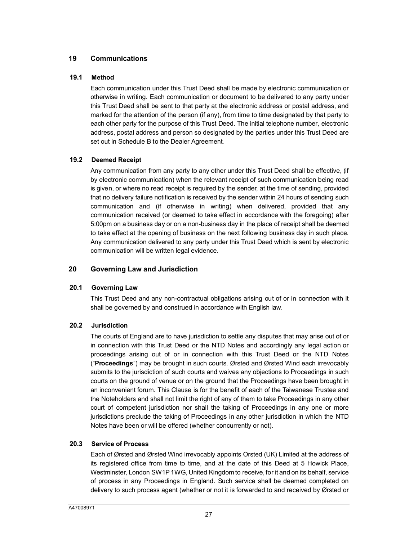## **19 Communications**

#### **19.1 Method**

Each communication under this Trust Deed shall be made by electronic communication or otherwise in writing. Each communication or document to be delivered to any party under this Trust Deed shall be sent to that party at the electronic address or postal address, and marked for the attention of the person (if any), from time to time designated by that party to each other party for the purpose of this Trust Deed. The initial telephone number, electronic address, postal address and person so designated by the parties under this Trust Deed are set out in Schedule B to the Dealer Agreement.

## **19.2 Deemed Receipt**

Any communication from any party to any other under this Trust Deed shall be effective, (if by electronic communication) when the relevant receipt of such communication being read is given, or where no read receipt is required by the sender, at the time of sending, provided that no delivery failure notification is received by the sender within 24 hours of sending such communication and (if otherwise in writing) when delivered, provided that any communication received (or deemed to take effect in accordance with the foregoing) after 5:00pm on a business day or on a non-business day in the place of receipt shall be deemed to take effect at the opening of business on the next following business day in such place. Any communication delivered to any party under this Trust Deed which is sent by electronic communication will be written legal evidence.

## **20 Governing Law and Jurisdiction**

#### **20.1 Governing Law**

This Trust Deed and any non-contractual obligations arising out of or in connection with it shall be governed by and construed in accordance with English law.

## **20.2 Jurisdiction**

The courts of England are to have jurisdiction to settle any disputes that may arise out of or in connection with this Trust Deed or the NTD Notes and accordingly any legal action or proceedings arising out of or in connection with this Trust Deed or the NTD Notes ("**Proceedings**") may be brought in such courts. Ørsted and Ørsted Wind each irrevocably submits to the jurisdiction of such courts and waives any objections to Proceedings in such courts on the ground of venue or on the ground that the Proceedings have been brought in an inconvenient forum. This Clause is for the benefit of each of the Taiwanese Trustee and the Noteholders and shall not limit the right of any of them to take Proceedings in any other court of competent jurisdiction nor shall the taking of Proceedings in any one or more jurisdictions preclude the taking of Proceedings in any other jurisdiction in which the NTD Notes have been or will be offered (whether concurrently or not).

#### **20.3 Service of Process**

Each of Ørsted and Ørsted Wind irrevocably appoints Orsted (UK) Limited at the address of its registered office from time to time, and at the date of this Deed at 5 Howick Place, Westminster, London SW1P1WG, United Kingdom to receive, for it and on its behalf, service of process in any Proceedings in England. Such service shall be deemed completed on delivery to such process agent (whether or not it is forwarded to and received by Ørsted or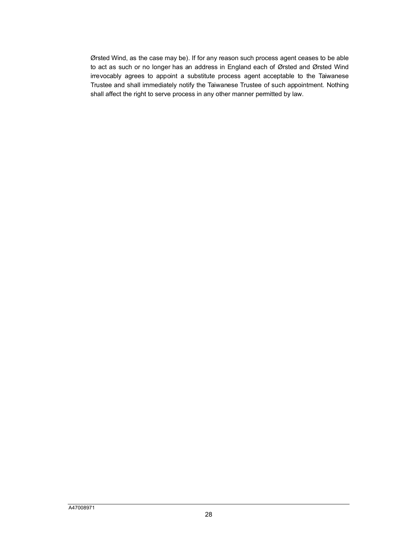Ørsted Wind, as the case may be). If for any reason such process agent ceases to be able to act as such or no longer has an address in England each of Ørsted and Ørsted Wind irrevocably agrees to appoint a substitute process agent acceptable to the Taiwanese Trustee and shall immediately notify the Taiwanese Trustee of such appointment. Nothing shall affect the right to serve process in any other manner permitted by law.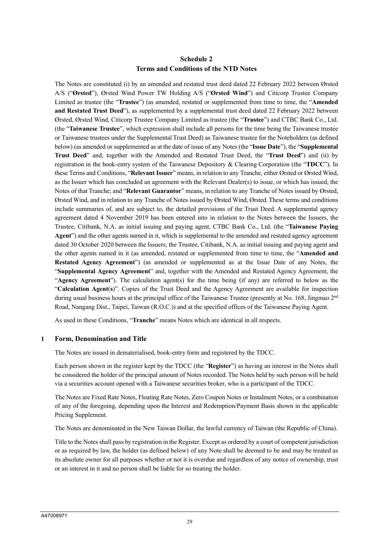# **Schedule 2 Terms and Conditions of the NTD Notes**

The Notes are constituted (i) by an amended and restated trust deed dated 22 February 2022 between Ørsted A/S ("**Ørsted**"), Ørsted Wind Power TW Holding A/S ("**Ørsted Wind**") and Citicorp Trustee Company Limited as trustee (the "**Trustee**") (as amended, restated or supplemented from time to time, the "**Amended and Restated Trust Deed**"), as supplemented by a supplemental trust deed dated 22 February 2022 between Ørsted, Ørsted Wind, Citicorp Trustee Company Limited as trustee (the "**Trustee**") and CTBC Bank Co., Ltd. (the "**Taiwanese Trustee**", which expression shall include all persons for the time being the Taiwanese trustee or Taiwanese trustees under the Supplemental Trust Deed) as Taiwanese trustee for the Noteholders (as defined below) (as amended or supplemented as at the date of issue of any Notes (the "**Issue Date**"), the "**Supplemental Trust Deed**" and, together with the Amended and Restated Trust Deed, the "**Trust Deed**") and (ii) by registration in the book-entry system of the Taiwanese Depository & Clearing Corporation (the "**TDCC**"). In these Terms and Conditions, "**Relevant Issuer**" means, in relation to any Tranche, either Ørsted or Ørsted Wind, as the Issuer which has concluded an agreement with the Relevant Dealer(s) to issue, or which has issued, the Notes of that Tranche; and "**Relevant Guarantor**" means, in relation to any Tranche of Notes issued by Ørsted, Ørsted Wind, and in relation to any Tranche of Notes issued by Ørsted Wind, Ørsted. These terms and conditions include summaries of, and are subject to, the detailed provisions of the Trust Deed. A supplemental agency agreement dated 4 November 2019 has been entered into in relation to the Notes between the Issuers, the Trustee, Citibank, N.A. as initial issuing and paying agent, CTBC Bank Co., Ltd. (the "**Taiwanese Paying Agent**") and the other agents named in it, which is supplemental to the amended and restated agency agreement dated 30 October 2020 between the Issuers, the Trustee, Citibank, N.A. as initial issuing and paying agent and the other agents named in it (as amended, restated or supplemented from time to time, the "**Amended and Restated Agency Agreement**") (as amended or supplemented as at the Issue Date of any Notes, the "**Supplemental Agency Agreement**" and, together with the Amended and Restated Agency Agreement, the "**Agency Agreement**"). The calculation agent(s) for the time being (if any) are referred to below as the "**Calculation Agent**(**s**)". Copies of the Trust Deed and the Agency Agreement are available for inspection during usual business hours at the principal office of the Taiwanese Trustee (presently at No. 168, Jingmao 2<sup>nd</sup> Road, Nangang Dist., Taipei, Taiwan (R.O.C.)) and at the specified offices of the Taiwanese Paying Agent.

As used in these Conditions, "**Tranche**" means Notes which are identical in all respects.

#### **1 Form, Denomination and Title**

The Notes are issued in dematerialised, book-entry form and registered by the TDCC.

Each person shown in the register kept by the TDCC (the "**Register**") as having an interest in the Notes shall be considered the holder of the principal amount of Notes recorded. The Notes held by such person will be held via a securities account opened with a Taiwanese securities broker, who is a participant of the TDCC.

The Notes are Fixed Rate Notes, Floating Rate Notes, Zero Coupon Notes or Instalment Notes, or a combination of any of the foregoing, depending upon the Interest and Redemption/Payment Basis shown in the applicable Pricing Supplement.

The Notes are denominated in the New Taiwan Dollar, the lawful currency of Taiwan (the Republic of China).

Title to the Notes shall pass by registration in the Register. Except as ordered by a court of competent jurisdiction or as required by law, the holder (as defined below) of any Note shall be deemed to be and may be treated as its absolute owner for all purposes whether or not it is overdue and regardless of any notice of ownership, trust or an interest in it and no person shall be liable for so treating the holder.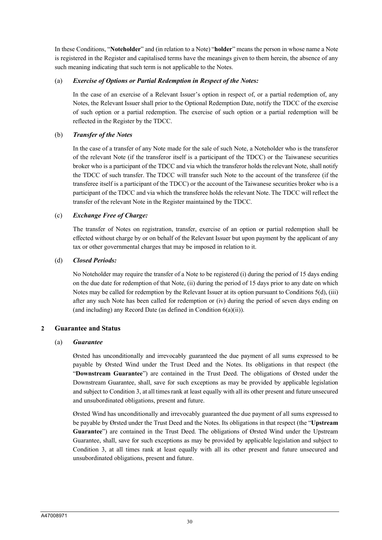In these Conditions, "**Noteholder**" and (in relation to a Note) "**holder**" means the person in whose name a Note is registered in the Register and capitalised terms have the meanings given to them herein, the absence of any such meaning indicating that such term is not applicable to the Notes.

## (a) *Exercise of Options or Partial Redemption in Respect of the Notes:*

In the case of an exercise of a Relevant Issuer's option in respect of, or a partial redemption of, any Notes, the Relevant Issuer shall prior to the Optional Redemption Date, notify the TDCC of the exercise of such option or a partial redemption. The exercise of such option or a partial redemption will be reflected in the Register by the TDCC.

## (b) *Transfer of the Notes*

In the case of a transfer of any Note made for the sale of such Note, a Noteholder who is the transferor of the relevant Note (if the transferor itself is a participant of the TDCC) or the Taiwanese securities broker who is a participant of the TDCC and via which the transferor holds the relevant Note, shall notify the TDCC of such transfer. The TDCC will transfer such Note to the account of the transferee (if the transferee itself is a participant of the TDCC) or the account of the Taiwanese securities broker who is a participant of the TDCC and via which the transferee holds the relevant Note. The TDCC will reflect the transfer of the relevant Note in the Register maintained by the TDCC.

## (c) *Exchange Free of Charge:*

The transfer of Notes on registration, transfer, exercise of an option or partial redemption shall be effected without charge by or on behalf of the Relevant Issuer but upon payment by the applicant of any tax or other governmental charges that may be imposed in relation to it.

## (d) *Closed Periods:*

No Noteholder may require the transfer of a Note to be registered (i) during the period of 15 days ending on the due date for redemption of that Note, (ii) during the period of 15 days prior to any date on which Notes may be called for redemption by the Relevant Issuer at its option pursuant to Conditions 5(d), (iii) after any such Note has been called for redemption or (iv) during the period of seven days ending on (and including) any Record Date (as defined in Condition 6(a)(ii)).

# **2 Guarantee and Status**

## (a) *Guarantee*

Ørsted has unconditionally and irrevocably guaranteed the due payment of all sums expressed to be payable by Ørsted Wind under the Trust Deed and the Notes. Its obligations in that respect (the "**Downstream Guarantee**") are contained in the Trust Deed. The obligations of Ørsted under the Downstream Guarantee, shall, save for such exceptions as may be provided by applicable legislation and subject to Condition 3, at all times rank at least equally with all its other present and future unsecured and unsubordinated obligations, present and future.

Ørsted Wind has unconditionally and irrevocably guaranteed the due payment of all sums expressed to be payable by Ørsted under the Trust Deed and the Notes. Its obligations in that respect (the "**Upstream Guarantee**") are contained in the Trust Deed. The obligations of Ørsted Wind under the Upstream Guarantee, shall, save for such exceptions as may be provided by applicable legislation and subject to Condition 3, at all times rank at least equally with all its other present and future unsecured and unsubordinated obligations, present and future.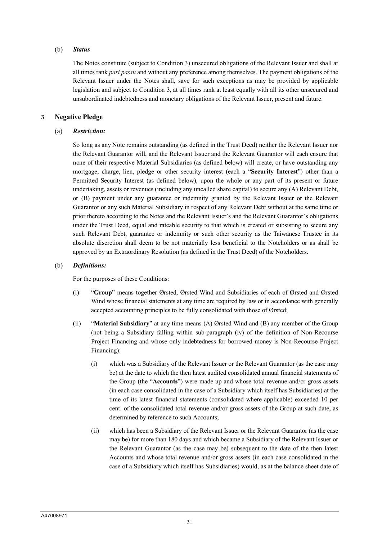## (b) *Status*

The Notes constitute (subject to Condition 3) unsecured obligations of the Relevant Issuer and shall at all times rank *pari passu* and without any preference among themselves. The payment obligations of the Relevant Issuer under the Notes shall, save for such exceptions as may be provided by applicable legislation and subject to Condition 3, at all times rank at least equally with all its other unsecured and unsubordinated indebtedness and monetary obligations of the Relevant Issuer, present and future.

## **3 Negative Pledge**

## (a) *Restriction:*

So long as any Note remains outstanding (as defined in the Trust Deed) neither the Relevant Issuer nor the Relevant Guarantor will, and the Relevant Issuer and the Relevant Guarantor will each ensure that none of their respective Material Subsidiaries (as defined below) will create, or have outstanding any mortgage, charge, lien, pledge or other security interest (each a "**Security Interest**") other than a Permitted Security Interest (as defined below), upon the whole or any part of its present or future undertaking, assets or revenues (including any uncalled share capital) to secure any (A) Relevant Debt, or (B) payment under any guarantee or indemnity granted by the Relevant Issuer or the Relevant Guarantor or any such Material Subsidiary in respect of any Relevant Debt without at the same time or prior thereto according to the Notes and the Relevant Issuer's and the Relevant Guarantor's obligations under the Trust Deed, equal and rateable security to that which is created or subsisting to secure any such Relevant Debt, guarantee or indemnity or such other security as the Taiwanese Trustee in its absolute discretion shall deem to be not materially less beneficial to the Noteholders or as shall be approved by an Extraordinary Resolution (as defined in the Trust Deed) of the Noteholders.

## (b) *Definitions:*

For the purposes of these Conditions:

- (i) "**Group**" means together Ørsted, Ørsted Wind and Subsidiaries of each of Ørsted and Ørsted Wind whose financial statements at any time are required by law or in accordance with generally accepted accounting principles to be fully consolidated with those of Ørsted;
- (ii) "**Material Subsidiary**" at any time means (A) Ørsted Wind and (B) any member of the Group (not being a Subsidiary falling within sub-paragraph (iv) of the definition of Non-Recourse Project Financing and whose only indebtedness for borrowed money is Non-Recourse Project Financing):
	- (i) which was a Subsidiary of the Relevant Issuer or the Relevant Guarantor (as the case may be) at the date to which the then latest audited consolidated annual financial statements of the Group (the "**Accounts**") were made up and whose total revenue and/or gross assets (in each case consolidated in the case of a Subsidiary which itself has Subsidiaries) at the time of its latest financial statements (consolidated where applicable) exceeded 10 per cent. of the consolidated total revenue and/or gross assets of the Group at such date, as determined by reference to such Accounts;
	- (ii) which has been a Subsidiary of the Relevant Issuer or the Relevant Guarantor (as the case may be) for more than 180 days and which became a Subsidiary of the Relevant Issuer or the Relevant Guarantor (as the case may be) subsequent to the date of the then latest Accounts and whose total revenue and/or gross assets (in each case consolidated in the case of a Subsidiary which itself has Subsidiaries) would, as at the balance sheet date of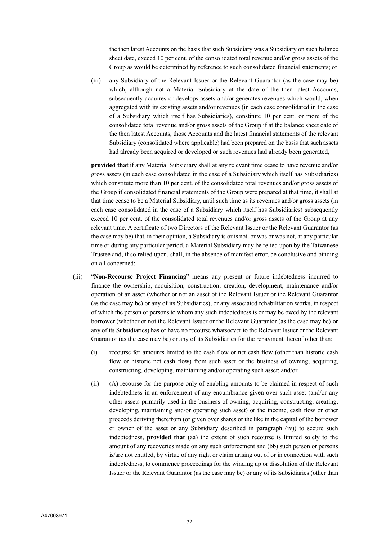the then latest Accounts on the basis that such Subsidiary was a Subsidiary on such balance sheet date, exceed 10 per cent. of the consolidated total revenue and/or gross assets of the Group as would be determined by reference to such consolidated financial statements; or

(iii) any Subsidiary of the Relevant Issuer or the Relevant Guarantor (as the case may be) which, although not a Material Subsidiary at the date of the then latest Accounts, subsequently acquires or develops assets and/or generates revenues which would, when aggregated with its existing assets and/or revenues (in each case consolidated in the case of a Subsidiary which itself has Subsidiaries), constitute 10 per cent. or more of the consolidated total revenue and/or gross assets of the Group if at the balance sheet date of the then latest Accounts, those Accounts and the latest financial statements of the relevant Subsidiary (consolidated where applicable) had been prepared on the basis that such assets had already been acquired or developed or such revenues had already been generated,

**provided that** if any Material Subsidiary shall at any relevant time cease to have revenue and/or gross assets (in each case consolidated in the case of a Subsidiary which itself has Subsidiaries) which constitute more than 10 per cent. of the consolidated total revenues and/or gross assets of the Group if consolidated financial statements of the Group were prepared at that time, it shall at that time cease to be a Material Subsidiary, until such time as its revenues and/or gross assets (in each case consolidated in the case of a Subsidiary which itself has Subsidiaries) subsequently exceed 10 per cent. of the consolidated total revenues and/or gross assets of the Group at any relevant time. A certificate of two Directors of the Relevant Issuer or the Relevant Guarantor (as the case may be) that, in their opinion, a Subsidiary is or is not, or was or was not, at any particular time or during any particular period, a Material Subsidiary may be relied upon by the Taiwanese Trustee and, if so relied upon, shall, in the absence of manifest error, be conclusive and binding on all concerned;

- (iii) "**Non-Recourse Project Financing**" means any present or future indebtedness incurred to finance the ownership, acquisition, construction, creation, development, maintenance and/or operation of an asset (whether or not an asset of the Relevant Issuer or the Relevant Guarantor (as the case may be) or any of its Subsidiaries), or any associated rehabilitation works, in respect of which the person or persons to whom any such indebtedness is or may be owed by the relevant borrower (whether or not the Relevant Issuer or the Relevant Guarantor (as the case may be) or any of its Subsidiaries) has or have no recourse whatsoever to the Relevant Issuer or the Relevant Guarantor (as the case may be) or any of its Subsidiaries for the repayment thereof other than:
	- (i) recourse for amounts limited to the cash flow or net cash flow (other than historic cash flow or historic net cash flow) from such asset or the business of owning, acquiring, constructing, developing, maintaining and/or operating such asset; and/or
	- (ii) (A) recourse for the purpose only of enabling amounts to be claimed in respect of such indebtedness in an enforcement of any encumbrance given over such asset (and/or any other assets primarily used in the business of owning, acquiring, constructing, creating, developing, maintaining and/or operating such asset) or the income, cash flow or other proceeds deriving therefrom (or given over shares or the like in the capital of the borrower or owner of the asset or any Subsidiary described in paragraph (iv)) to secure such indebtedness, **provided that** (aa) the extent of such recourse is limited solely to the amount of any recoveries made on any such enforcement and (bb) such person or persons is/are not entitled, by virtue of any right or claim arising out of or in connection with such indebtedness, to commence proceedings for the winding up or dissolution of the Relevant Issuer or the Relevant Guarantor (as the case may be) or any of its Subsidiaries (other than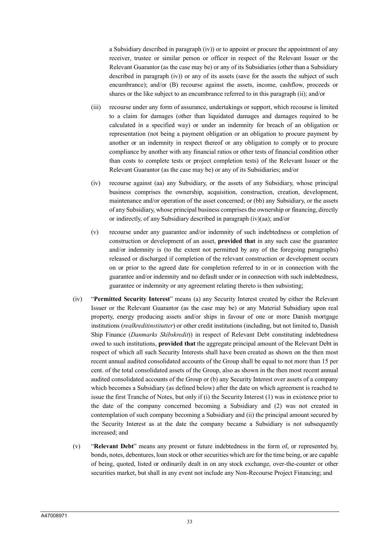a Subsidiary described in paragraph (iv)) or to appoint or procure the appointment of any receiver, trustee or similar person or officer in respect of the Relevant Issuer or the Relevant Guarantor (as the case may be) or any of its Subsidiaries (other than a Subsidiary described in paragraph (iv)) or any of its assets (save for the assets the subject of such encumbrance); and/or (B) recourse against the assets, income, cashflow, proceeds or shares or the like subject to an encumbrance referred to in this paragraph (ii); and/or

- (iii) recourse under any form of assurance, undertakings or support, which recourse is limited to a claim for damages (other than liquidated damages and damages required to be calculated in a specified way) or under an indemnity for breach of an obligation or representation (not being a payment obligation or an obligation to procure payment by another or an indemnity in respect thereof or any obligation to comply or to procure compliance by another with any financial ratios or other tests of financial condition other than costs to complete tests or project completion tests) of the Relevant Issuer or the Relevant Guarantor (as the case may be) or any of its Subsidiaries; and/or
- (iv) recourse against (aa) any Subsidiary, or the assets of any Subsidiary, whose principal business comprises the ownership, acquisition, construction, creation, development, maintenance and/or operation of the asset concerned; or (bb) any Subsidiary, or the assets of any Subsidiary, whose principal business comprises the ownership or financing, directly or indirectly, of any Subsidiary described in paragraph (iv)(aa); and/or
- (v) recourse under any guarantee and/or indemnity of such indebtedness or completion of construction or development of an asset, **provided that** in any such case the guarantee and/or indemnity is (to the extent not permitted by any of the foregoing paragraphs) released or discharged if completion of the relevant construction or development occurs on or prior to the agreed date for completion referred to in or in connection with the guarantee and/or indemnity and no default under or in connection with such indebtedness, guarantee or indemnity or any agreement relating thereto is then subsisting;
- (iv) "**Permitted Security Interest**" means (a) any Security Interest created by either the Relevant Issuer or the Relevant Guarantor (as the case may be) or any Material Subsidiary upon real property, energy producing assets and/or ships in favour of one or more Danish mortgage institutions (*realkreditinstitutter*) or other credit institutions (including, but not limited to, Danish Ship Finance (*Danmarks Skibskredit*)) in respect of Relevant Debt constituting indebtedness owed to such institutions, **provided that** the aggregate principal amount of the Relevant Debt in respect of which all such Security Interests shall have been created as shown on the then most recent annual audited consolidated accounts of the Group shall be equal to not more than 15 per cent. of the total consolidated assets of the Group, also as shown in the then most recent annual audited consolidated accounts of the Group or (b) any Security Interest over assets of a company which becomes a Subsidiary (as defined below) after the date on which agreement is reached to issue the first Tranche of Notes, but only if (i) the Security Interest (1) was in existence prior to the date of the company concerned becoming a Subsidiary and (2) was not created in contemplation of such company becoming a Subsidiary and (ii) the principal amount secured by the Security Interest as at the date the company became a Subsidiary is not subsequently increased; and
- (v) "**Relevant Debt**" means any present or future indebtedness in the form of, or represented by, bonds, notes, debentures, loan stock or other securities which are for the time being, or are capable of being, quoted, listed or ordinarily dealt in on any stock exchange, over-the-counter or other securities market, but shall in any event not include any Non-Recourse Project Financing; and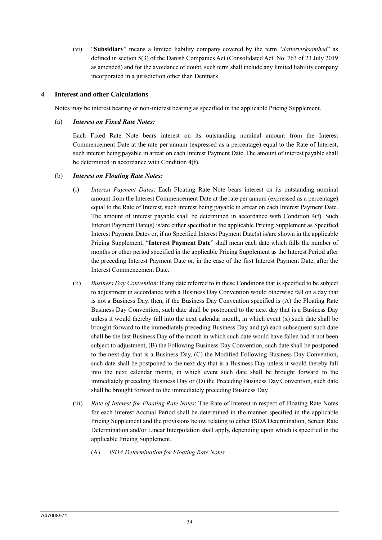(vi) "**Subsidiary**" means a limited liability company covered by the term "*dattervirksomhed*" as defined in section 5(3) of the Danish Companies Act (Consolidated Act. No. 763 of 23 July 2019 as amended) and for the avoidance of doubt, such term shall include any limited liability company incorporated in a jurisdiction other than Denmark.

## **4 Interest and other Calculations**

Notes may be interest bearing or non-interest bearing as specified in the applicable Pricing Supplement.

## (a) *Interest on Fixed Rate Notes:*

Each Fixed Rate Note bears interest on its outstanding nominal amount from the Interest Commencement Date at the rate per annum (expressed as a percentage) equal to the Rate of Interest, such interest being payable in arrear on each Interest Payment Date. The amount of interest payable shall be determined in accordance with Condition 4(f).

## (b) *Interest on Floating Rate Notes:*

- (i) *Interest Payment Dates*: Each Floating Rate Note bears interest on its outstanding nominal amount from the Interest Commencement Date at the rate per annum (expressed as a percentage) equal to the Rate of Interest, such interest being payable in arrear on each Interest Payment Date. The amount of interest payable shall be determined in accordance with Condition 4(f). Such Interest Payment Date(s) is/are either specified in the applicable Pricing Supplement as Specified Interest Payment Dates or, if no Specified Interest Payment Date(s) is/are shown in the applicable Pricing Supplement, "**Interest Payment Date**" shall mean each date which falls the number of months or other period specified in the applicable Pricing Supplement as the Interest Period after the preceding Interest Payment Date or, in the case of the first Interest Payment Date, after the Interest Commencement Date.
- (ii) *Business Day Convention*: If any date referred to in these Conditions that is specified to be subject to adjustment in accordance with a Business Day Convention would otherwise fall on a day that is not a Business Day, then, if the Business Day Convention specified is (A) the Floating Rate Business Day Convention, such date shall be postponed to the next day that is a Business Day unless it would thereby fall into the next calendar month, in which event (x) such date shall be brought forward to the immediately preceding Business Day and (y) each subsequent such date shall be the last Business Day of the month in which such date would have fallen had it not been subject to adjustment, (B) the Following Business Day Convention, such date shall be postponed to the next day that is a Business Day, (C) the Modified Following Business Day Convention, such date shall be postponed to the next day that is a Business Day unless it would thereby fall into the next calendar month, in which event such date shall be brought forward to the immediately preceding Business Day or (D) the Preceding Business Day Convention, such date shall be brought forward to the immediately preceding Business Day.
- (iii) *Rate of Interest for Floating Rate Notes*: The Rate of Interest in respect of Floating Rate Notes for each Interest Accrual Period shall be determined in the manner specified in the applicable Pricing Supplement and the provisions below relating to either ISDA Determination, Screen Rate Determination and/or Linear Interpolation shall apply, depending upon which is specified in the applicable Pricing Supplement.
	- (A) *ISDA Determination for Floating Rate Notes*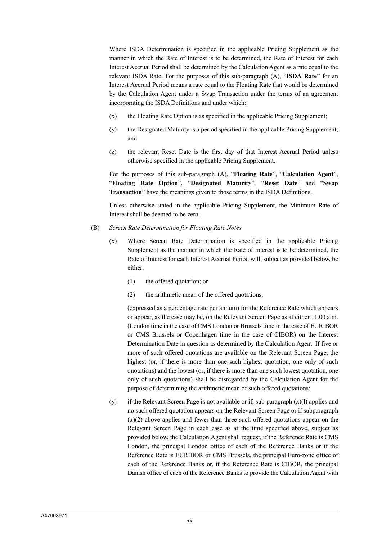Where ISDA Determination is specified in the applicable Pricing Supplement as the manner in which the Rate of Interest is to be determined, the Rate of Interest for each Interest Accrual Period shall be determined by the Calculation Agent as a rate equal to the relevant ISDA Rate. For the purposes of this sub-paragraph (A), "**ISDA Rate**" for an Interest Accrual Period means a rate equal to the Floating Rate that would be determined by the Calculation Agent under a Swap Transaction under the terms of an agreement incorporating the ISDA Definitions and under which:

- (x) the Floating Rate Option is as specified in the applicable Pricing Supplement;
- (y) the Designated Maturity is a period specified in the applicable Pricing Supplement; and
- (z) the relevant Reset Date is the first day of that Interest Accrual Period unless otherwise specified in the applicable Pricing Supplement.

For the purposes of this sub-paragraph (A), "**Floating Rate**", "**Calculation Agent**", "**Floating Rate Option**", "**Designated Maturity**", "**Reset Date**" and "**Swap Transaction**" have the meanings given to those terms in the ISDA Definitions.

Unless otherwise stated in the applicable Pricing Supplement, the Minimum Rate of Interest shall be deemed to be zero.

- (B) *Screen Rate Determination for Floating Rate Notes*
	- (x) Where Screen Rate Determination is specified in the applicable Pricing Supplement as the manner in which the Rate of Interest is to be determined, the Rate of Interest for each Interest Accrual Period will, subject as provided below, be either:
		- (1) the offered quotation; or
		- (2) the arithmetic mean of the offered quotations,

(expressed as a percentage rate per annum) for the Reference Rate which appears or appear, as the case may be, on the Relevant Screen Page as at either 11.00 a.m. (London time in the case of CMS London or Brussels time in the case of EURIBOR or CMS Brussels or Copenhagen time in the case of CIBOR) on the Interest Determination Date in question as determined by the Calculation Agent. If five or more of such offered quotations are available on the Relevant Screen Page, the highest (or, if there is more than one such highest quotation, one only of such quotations) and the lowest (or, if there is more than one such lowest quotation, one only of such quotations) shall be disregarded by the Calculation Agent for the purpose of determining the arithmetic mean of such offered quotations;

(y) if the Relevant Screen Page is not available or if, sub-paragraph (x)(l) applies and no such offered quotation appears on the Relevant Screen Page or if subparagraph  $(x)(2)$  above applies and fewer than three such offered quotations appear on the Relevant Screen Page in each case as at the time specified above, subject as provided below, the Calculation Agent shall request, if the Reference Rate is CMS London, the principal London office of each of the Reference Banks or if the Reference Rate is EURIBOR or CMS Brussels, the principal Euro-zone office of each of the Reference Banks or, if the Reference Rate is CIBOR, the principal Danish office of each of the Reference Banks to provide the Calculation Agent with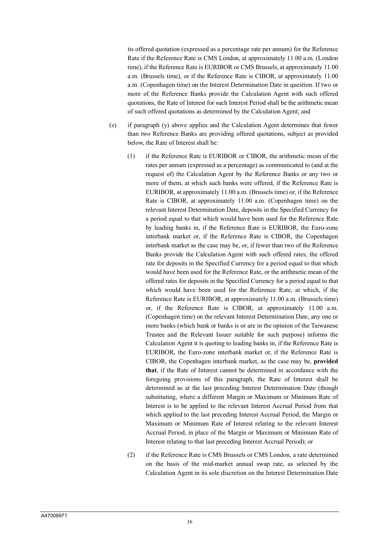its offered quotation (expressed as a percentage rate per annum) for the Reference Rate if the Reference Rate is CMS London, at approximately 11.00 a.m. (London time), if the Reference Rate is EURIBOR or CMS Brussels, at approximately 11.00 a.m. (Brussels time), or if the Reference Rate is CIBOR, at approximately 11.00 a.m. (Copenhagen time) on the Interest Determination Date in question. If two or more of the Reference Banks provide the Calculation Agent with such offered quotations, the Rate of Interest for such Interest Period shall be the arithmetic mean of such offered quotations as determined by the Calculation Agent; and

- (z) if paragraph (y) above applies and the Calculation Agent determines that fewer than two Reference Banks are providing offered quotations, subject as provided below, the Rate of Interest shall be:
	- (1) if the Reference Rate is EURIBOR or CIBOR, the arithmetic mean of the rates per annum (expressed as a percentage) as communicated to (and at the request of) the Calculation Agent by the Reference Banks or any two or more of them, at which such banks were offered, if the Reference Rate is EURIBOR, at approximately 11.00 a.m. (Brussels time) or, if the Reference Rate is CIBOR, at approximately 11.00 a.m. (Copenhagen time) on the relevant Interest Determination Date, deposits in the Specified Currency for a period equal to that which would have been used for the Reference Rate by leading banks in, if the Reference Rate is EURIBOR, the Euro-zone interbank market or, if the Reference Rate is CIBOR, the Copenhagen interbank market as the case may be, or, if fewer than two of the Reference Banks provide the Calculation Agent with such offered rates, the offered rate for deposits in the Specified Currency for a period equal to that which would have been used for the Reference Rate, or the arithmetic mean of the offered rates for deposits in the Specified Currency for a period equal to that which would have been used for the Reference Rate, at which, if the Reference Rate is EURIBOR, at approximately 11.00 a.m. (Brussels time) or, if the Reference Rate is CIBOR, at approximately 11.00 a.m. (Copenhagen time) on the relevant Interest Determination Date, any one or more banks (which bank or banks is or are in the opinion of the Taiwanese Trustee and the Relevant Issuer suitable for such purpose) informs the Calculation Agent it is quoting to leading banks in, if the Reference Rate is EURIBOR, the Euro-zone interbank market or, if the Reference Rate is CIBOR, the Copenhagen interbank market, as the case may be, **provided that**, if the Rate of Interest cannot be determined in accordance with the foregoing provisions of this paragraph, the Rate of Interest shall be determined as at the last preceding Interest Determination Date (though substituting, where a different Margin or Maximum or Minimum Rate of Interest is to be applied to the relevant Interest Accrual Period from that which applied to the last preceding Interest Accrual Period, the Margin or Maximum or Minimum Rate of Interest relating to the relevant Interest Accrual Period, in place of the Margin or Maximum or Minimum Rate of Interest relating to that last preceding Interest Accrual Period); or
	- (2) if the Reference Rate is CMS Brussels or CMS London, a rate determined on the basis of the mid-market annual swap rate, as selected by the Calculation Agent in its sole discretion on the Interest Determination Date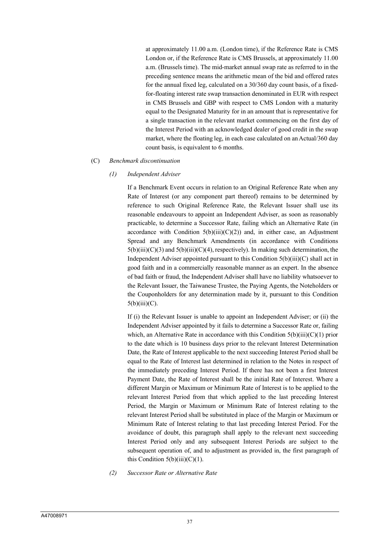at approximately 11.00 a.m. (London time), if the Reference Rate is CMS London or, if the Reference Rate is CMS Brussels, at approximately 11.00 a.m. (Brussels time). The mid-market annual swap rate as referred to in the preceding sentence means the arithmetic mean of the bid and offered rates for the annual fixed leg, calculated on a 30/360 day count basis, of a fixedfor-floating interest rate swap transaction denominated in EUR with respect in CMS Brussels and GBP with respect to CMS London with a maturity equal to the Designated Maturity for in an amount that is representative for a single transaction in the relevant market commencing on the first day of the Interest Period with an acknowledged dealer of good credit in the swap market, where the floating leg, in each case calculated on an Actual/360 day count basis, is equivalent to 6 months.

#### (C) *Benchmark discontinuation*

#### *(1) Independent Adviser*

If a Benchmark Event occurs in relation to an Original Reference Rate when any Rate of Interest (or any component part thereof) remains to be determined by reference to such Original Reference Rate, the Relevant Issuer shall use its reasonable endeavours to appoint an Independent Adviser, as soon as reasonably practicable, to determine a Successor Rate, failing which an Alternative Rate (in accordance with Condition  $5(b)(iii)(C)(2))$  and, in either case, an Adjustment Spread and any Benchmark Amendments (in accordance with Conditions  $5(b)(iii)(C)(3)$  and  $5(b)(iii)(C)(4)$ , respectively). In making such determination, the Independent Adviser appointed pursuant to this Condition  $5(b)(iii)(C)$  shall act in good faith and in a commercially reasonable manner as an expert. In the absence of bad faith or fraud, the Independent Adviser shall have no liability whatsoever to the Relevant Issuer, the Taiwanese Trustee, the Paying Agents, the Noteholders or the Couponholders for any determination made by it, pursuant to this Condition  $5(b)(iii)(C).$ 

If (i) the Relevant Issuer is unable to appoint an Independent Adviser; or (ii) the Independent Adviser appointed by it fails to determine a Successor Rate or, failing which, an Alternative Rate in accordance with this Condition  $5(b)(iii)(C)(1)$  prior to the date which is 10 business days prior to the relevant Interest Determination Date, the Rate of Interest applicable to the next succeeding Interest Period shall be equal to the Rate of Interest last determined in relation to the Notes in respect of the immediately preceding Interest Period. If there has not been a first Interest Payment Date, the Rate of Interest shall be the initial Rate of Interest. Where a different Margin or Maximum or Minimum Rate of Interest is to be applied to the relevant Interest Period from that which applied to the last preceding Interest Period, the Margin or Maximum or Minimum Rate of Interest relating to the relevant Interest Period shall be substituted in place of the Margin or Maximum or Minimum Rate of Interest relating to that last preceding Interest Period. For the avoidance of doubt, this paragraph shall apply to the relevant next succeeding Interest Period only and any subsequent Interest Periods are subject to the subsequent operation of, and to adjustment as provided in, the first paragraph of this Condition  $5(b)(iii)(C)(1)$ .

*(2) Successor Rate or Alternative Rate*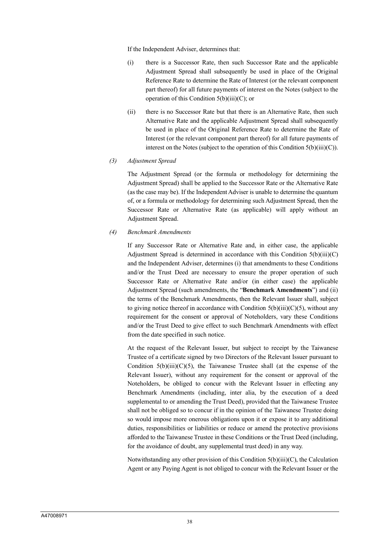If the Independent Adviser, determines that:

- (i) there is a Successor Rate, then such Successor Rate and the applicable Adjustment Spread shall subsequently be used in place of the Original Reference Rate to determine the Rate of Interest (or the relevant component part thereof) for all future payments of interest on the Notes (subject to the operation of this Condition 5(b)(iii)(C); or
- (ii) there is no Successor Rate but that there is an Alternative Rate, then such Alternative Rate and the applicable Adjustment Spread shall subsequently be used in place of the Original Reference Rate to determine the Rate of Interest (or the relevant component part thereof) for all future payments of interest on the Notes (subject to the operation of this Condition  $5(b)(iii)(C)$ ).
- *(3) Adjustment Spread*

The Adjustment Spread (or the formula or methodology for determining the Adjustment Spread) shall be applied to the Successor Rate or the Alternative Rate (as the case may be). If the Independent Adviser is unable to determine the quantum of, or a formula or methodology for determining such Adjustment Spread, then the Successor Rate or Alternative Rate (as applicable) will apply without an Adjustment Spread.

*(4) Benchmark Amendments*

If any Successor Rate or Alternative Rate and, in either case, the applicable Adjustment Spread is determined in accordance with this Condition  $5(b)(iii)(C)$ and the Independent Adviser, determines (i) that amendments to these Conditions and/or the Trust Deed are necessary to ensure the proper operation of such Successor Rate or Alternative Rate and/or (in either case) the applicable Adjustment Spread (such amendments, the "**Benchmark Amendments**") and (ii) the terms of the Benchmark Amendments, then the Relevant Issuer shall, subject to giving notice thereof in accordance with Condition  $5(b)(iii)(C)(5)$ , without any requirement for the consent or approval of Noteholders, vary these Conditions and/or the Trust Deed to give effect to such Benchmark Amendments with effect from the date specified in such notice.

At the request of the Relevant Issuer, but subject to receipt by the Taiwanese Trustee of a certificate signed by two Directors of the Relevant Issuer pursuant to Condition  $5(b)(iii)(C)(5)$ , the Taiwanese Trustee shall (at the expense of the Relevant Issuer), without any requirement for the consent or approval of the Noteholders, be obliged to concur with the Relevant Issuer in effecting any Benchmark Amendments (including, inter alia, by the execution of a deed supplemental to or amending the Trust Deed), provided that the Taiwanese Trustee shall not be obliged so to concur if in the opinion of the Taiwanese Trustee doing so would impose more onerous obligations upon it or expose it to any additional duties, responsibilities or liabilities or reduce or amend the protective provisions afforded to the Taiwanese Trustee in these Conditions or the Trust Deed (including, for the avoidance of doubt, any supplemental trust deed) in any way.

Notwithstanding any other provision of this Condition 5(b)(iii)(C), the Calculation Agent or any Paying Agent is not obliged to concur with the Relevant Issuer or the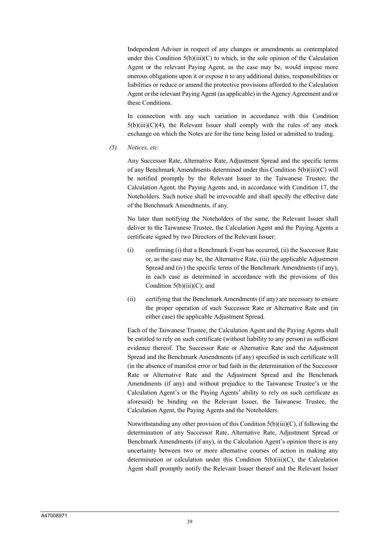Independent Adviser in respect of any changes or amendments as contemplated under this Condition  $5(b)(iii)(C)$  to which, in the sole opinion of the Calculation Agent or the relevant Paying Agent, as the case may be, would impose more onerous obligations upon it or expose it to any additional duties, responsibilities or liabilities or reduce or amend the protective provisions afforded to the Calculation Agent or the relevant Paying Agent (as applicable) in the Agency Agreement and/or these Conditions.

In connection with any such variation in accordance with this Condition  $5(b)(iii)(C)(4)$ , the Relevant Issuer shall comply with the rules of any stock exchange on which the Notes are for the time being listed or admitted to trading.

*(5) Notices, etc.*

Any Successor Rate, Alternative Rate, Adjustment Spread and the specific terms of any Benchmark Amendments determined under this Condition 5(b)(iii)(C) will be notified promptly by the Relevant Issuer to the Taiwanese Trustee, the Calculation Agent, the Paying Agents and, in accordance with Condition 17, the Noteholders. Such notice shall be irrevocable and shall specify the effective date of the Benchmark Amendments, if any.

No later than notifying the Noteholders of the same, the Relevant Issuer shall deliver to the Taiwanese Trustee, the Calculation Agent and the Paying Agents a certificate signed by two Directors of the Relevant Issuer:

- (i) confirming (i) that a Benchmark Event has occurred, (ii) the Successor Rate or, as the case may be, the Alternative Rate, (iii) the applicable Adjustment Spread and (iv) the specific terms of the Benchmark Amendments (if any), in each case as determined in accordance with the provisions of this Condition  $5(b)(iii)(C)$ ; and
- (ii) certifying that the Benchmark Amendments (if any) are necessary to ensure the proper operation of such Successor Rate or Alternative Rate and (in either case) the applicable Adjustment Spread.

Each of the Taiwanese Trustee, the Calculation Agent and the Paying Agents shall be entitled to rely on such certificate (without liability to any person) as sufficient evidence thereof. The Successor Rate or Alternative Rate and the Adjustment Spread and the Benchmark Amendments (if any) specified in such certificate will (in the absence of manifest error or bad faith in the determination of the Successor Rate or Alternative Rate and the Adjustment Spread and the Benchmark Amendments (if any) and without prejudice to the Taiwanese Trustee's or the Calculation Agent's or the Paying Agents' ability to rely on such certificate as aforesaid) be binding on the Relevant Issuer, the Taiwanese Trustee, the Calculation Agent, the Paying Agents and the Noteholders.

Notwithstanding any other provision of this Condition 5(b)(iii)(C), if following the determination of any Successor Rate, Alternative Rate, Adjustment Spread or Benchmark Amendments (if any), in the Calculation Agent's opinion there is any uncertainty between two or more alternative courses of action in making any determination or calculation under this Condition 5(b)(iii)(C), the Calculation Agent shall promptly notify the Relevant Issuer thereof and the Relevant Issuer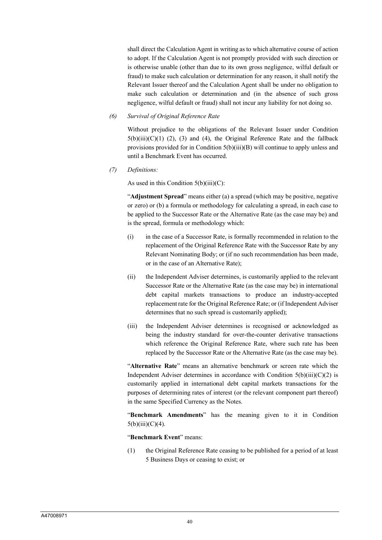shall direct the Calculation Agent in writing as to which alternative course of action to adopt. If the Calculation Agent is not promptly provided with such direction or is otherwise unable (other than due to its own gross negligence, wilful default or fraud) to make such calculation or determination for any reason, it shall notify the Relevant Issuer thereof and the Calculation Agent shall be under no obligation to make such calculation or determination and (in the absence of such gross negligence, wilful default or fraud) shall not incur any liability for not doing so.

## *(6) Survival of Original Reference Rate*

Without prejudice to the obligations of the Relevant Issuer under Condition  $5(b)(iii)(C)(1)$  (2), (3) and (4), the Original Reference Rate and the fallback provisions provided for in Condition 5(b)(iii)(B) will continue to apply unless and until a Benchmark Event has occurred.

*(7) Definitions:*

As used in this Condition  $5(b)(iii)(C)$ :

"**Adjustment Spread**" means either (a) a spread (which may be positive, negative or zero) or (b) a formula or methodology for calculating a spread, in each case to be applied to the Successor Rate or the Alternative Rate (as the case may be) and is the spread, formula or methodology which:

- (i) in the case of a Successor Rate, is formally recommended in relation to the replacement of the Original Reference Rate with the Successor Rate by any Relevant Nominating Body; or (if no such recommendation has been made, or in the case of an Alternative Rate);
- (ii) the Independent Adviser determines, is customarily applied to the relevant Successor Rate or the Alternative Rate (as the case may be) in international debt capital markets transactions to produce an industry-accepted replacement rate for the Original Reference Rate; or (if Independent Adviser determines that no such spread is customarily applied);
- (iii) the Independent Adviser determines is recognised or acknowledged as being the industry standard for over-the-counter derivative transactions which reference the Original Reference Rate, where such rate has been replaced by the Successor Rate or the Alternative Rate (as the case may be).

"**Alternative Rate**" means an alternative benchmark or screen rate which the Independent Adviser determines in accordance with Condition  $5(b)(iii)(C)(2)$  is customarily applied in international debt capital markets transactions for the purposes of determining rates of interest (or the relevant component part thereof) in the same Specified Currency as the Notes.

"**Benchmark Amendments**" has the meaning given to it in Condition  $5(b)(iii)(C)(4)$ .

"**Benchmark Event**" means:

(1) the Original Reference Rate ceasing to be published for a period of at least 5 Business Days or ceasing to exist; or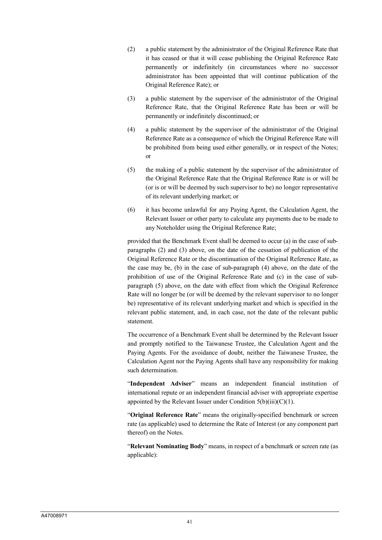- (2) a public statement by the administrator of the Original Reference Rate that it has ceased or that it will cease publishing the Original Reference Rate permanently or indefinitely (in circumstances where no successor administrator has been appointed that will continue publication of the Original Reference Rate); or
- (3) a public statement by the supervisor of the administrator of the Original Reference Rate, that the Original Reference Rate has been or will be permanently or indefinitely discontinued; or
- (4) a public statement by the supervisor of the administrator of the Original Reference Rate as a consequence of which the Original Reference Rate will be prohibited from being used either generally, or in respect of the Notes; or
- (5) the making of a public statement by the supervisor of the administrator of the Original Reference Rate that the Original Reference Rate is or will be (or is or will be deemed by such supervisor to be) no longer representative of its relevant underlying market; or
- (6) it has become unlawful for any Paying Agent, the Calculation Agent, the Relevant Issuer or other party to calculate any payments due to be made to any Noteholder using the Original Reference Rate;

provided that the Benchmark Event shall be deemed to occur (a) in the case of subparagraphs (2) and (3) above, on the date of the cessation of publication of the Original Reference Rate or the discontinuation of the Original Reference Rate, as the case may be, (b) in the case of sub-paragraph (4) above, on the date of the prohibition of use of the Original Reference Rate and (c) in the case of subparagraph (5) above, on the date with effect from which the Original Reference Rate will no longer be (or will be deemed by the relevant supervisor to no longer be) representative of its relevant underlying market and which is specified in the relevant public statement, and, in each case, not the date of the relevant public statement.

The occurrence of a Benchmark Event shall be determined by the Relevant Issuer and promptly notified to the Taiwanese Trustee, the Calculation Agent and the Paying Agents. For the avoidance of doubt, neither the Taiwanese Trustee, the Calculation Agent nor the Paying Agents shall have any responsibility for making such determination.

"**Independent Adviser**" means an independent financial institution of international repute or an independent financial adviser with appropriate expertise appointed by the Relevant Issuer under Condition  $5(b)(iii)(C)(1)$ .

"**Original Reference Rate**" means the originally-specified benchmark or screen rate (as applicable) used to determine the Rate of Interest (or any component part thereof) on the Notes.

"**Relevant Nominating Body**" means, in respect of a benchmark or screen rate (as applicable):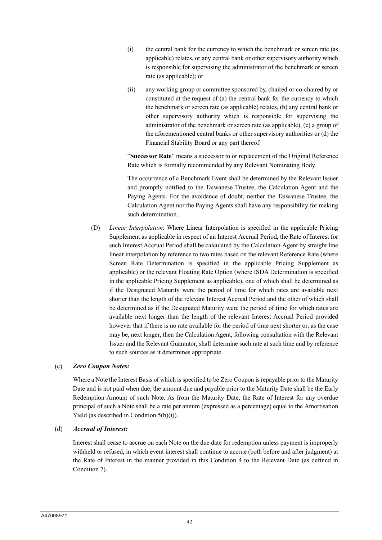- (i) the central bank for the currency to which the benchmark or screen rate (as applicable) relates, or any central bank or other supervisory authority which is responsible for supervising the administrator of the benchmark or screen rate (as applicable); or
- (ii) any working group or committee sponsored by, chaired or co-chaired by or constituted at the request of (a) the central bank for the currency to which the benchmark or screen rate (as applicable) relates, (b) any central bank or other supervisory authority which is responsible for supervising the administrator of the benchmark or screen rate (as applicable), (c) a group of the aforementioned central banks or other supervisory authorities or (d) the Financial Stability Board or any part thereof.

"**Successor Rate**" means a successor to or replacement of the Original Reference Rate which is formally recommended by any Relevant Nominating Body.

The occurrence of a Benchmark Event shall be determined by the Relevant Issuer and promptly notified to the Taiwanese Trustee, the Calculation Agent and the Paying Agents. For the avoidance of doubt, neither the Taiwanese Trustee, the Calculation Agent nor the Paying Agents shall have any responsibility for making such determination.

(D) *Linear Interpolation*: Where Linear Interpolation is specified in the applicable Pricing Supplement as applicable in respect of an Interest Accrual Period, the Rate of Interest for such Interest Accrual Period shall be calculated by the Calculation Agent by straight line linear interpolation by reference to two rates based on the relevant Reference Rate (where Screen Rate Determination is specified in the applicable Pricing Supplement as applicable) or the relevant Floating Rate Option (where ISDA Determination is specified in the applicable Pricing Supplement as applicable), one of which shall be determined as if the Designated Maturity were the period of time for which rates are available next shorter than the length of the relevant Interest Accrual Period and the other of which shall be determined as if the Designated Maturity were the period of time for which rates are available next longer than the length of the relevant Interest Accrual Period provided however that if there is no rate available for the period of time next shorter or, as the case may be, next longer, then the Calculation Agent, following consultation with the Relevant Issuer and the Relevant Guarantor, shall determine such rate at such time and by reference to such sources as it determines appropriate.

## (c) *Zero Coupon Notes:*

Where a Note the Interest Basis of which is specified to be Zero Coupon is repayable prior to the Maturity Date and is not paid when due, the amount due and payable prior to the Maturity Date shall be the Early Redemption Amount of such Note. As from the Maturity Date, the Rate of Interest for any overdue principal of such a Note shall be a rate per annum (expressed as a percentage) equal to the Amortisation Yield (as described in Condition 5(b)(i)).

## (d) *Accrual of Interest:*

Interest shall cease to accrue on each Note on the due date for redemption unless payment is improperly withheld or refused, in which event interest shall continue to accrue (both before and after judgment) at the Rate of Interest in the manner provided in this Condition 4 to the Relevant Date (as defined in Condition 7).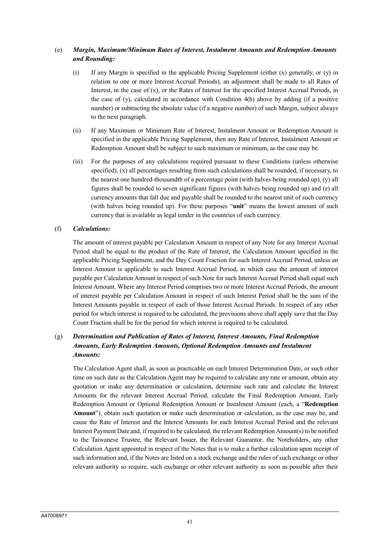# (e) *Margin, Maximum/Minimum Rates of Interest, Instalment Amounts and Redemption Amounts and Rounding:*

- (i) If any Margin is specified in the applicable Pricing Supplement (either (x) generally, or (y) in relation to one or more Interest Accrual Periods), an adjustment shall be made to all Rates of Interest, in the case of (x), or the Rates of Interest for the specified Interest Accrual Periods, in the case of (y), calculated in accordance with Condition 4(b) above by adding (if a positive number) or subtracting the absolute value (if a negative number) of such Margin, subject always to the next paragraph.
- (ii) If any Maximum or Minimum Rate of Interest, Instalment Amount or Redemption Amount is specified in the applicable Pricing Supplement, then any Rate of Interest, Instalment Amount or Redemption Amount shall be subject to such maximum or minimum, as the case may be.
- (iii) For the purposes of any calculations required pursuant to these Conditions (unless otherwise specified), (x) all percentages resulting from such calculations shall be rounded, if necessary, to the nearest one hundred-thousandth of a percentage point (with halves being rounded up), (y) all figures shall be rounded to seven significant figures (with halves being rounded up) and (z) all currency amounts that fall due and payable shall be rounded to the nearest unit of such currency (with halves being rounded up). For these purposes "**unit**" means the lowest amount of such currency that is available as legal tender in the countries of such currency.

## (f) *Calculations:*

The amount of interest payable per Calculation Amount in respect of any Note for any Interest Accrual Period shall be equal to the product of the Rate of Interest, the Calculation Amount specified in the applicable Pricing Supplement, and the Day Count Fraction for such Interest Accrual Period, unless an Interest Amount is applicable to such Interest Accrual Period, in which case the amount of interest payable per Calculation Amount in respect of such Note for such Interest Accrual Period shall equal such Interest Amount. Where any Interest Period comprises two or more Interest Accrual Periods, the amount of interest payable per Calculation Amount in respect of such Interest Period shall be the sum of the Interest Amounts payable in respect of each of those Interest Accrual Periods. In respect of any other period for which interest is required to be calculated, the provisions above shall apply save that the Day Count Fraction shall be for the period for which interest is required to be calculated.

# (g) *Determination and Publication of Rates of Interest, Interest Amounts, Final Redemption Amounts, Early Redemption Amounts, Optional Redemption Amounts and Instalment Amounts:*

The Calculation Agent shall, as soon as practicable on each Interest Determination Date, or such other time on such date as the Calculation Agent may be required to calculate any rate or amount, obtain any quotation or make any determination or calculation, determine such rate and calculate the Interest Amounts for the relevant Interest Accrual Period, calculate the Final Redemption Amount, Early Redemption Amount or Optional Redemption Amount or Instalment Amount (each, a "**Redemption Amount**"), obtain such quotation or make such determination or calculation, as the case may be, and cause the Rate of Interest and the Interest Amounts for each Interest Accrual Period and the relevant Interest Payment Date and, if required to be calculated, the relevant Redemption Amount(s) to be notified to the Taiwanese Trustee, the Relevant Issuer, the Relevant Guarantor, the Noteholders, any other Calculation Agent appointed in respect of the Notes that is to make a further calculation upon receipt of such information and, if the Notes are listed on a stock exchange and the rules of such exchange or other relevant authority so require, such exchange or other relevant authority as soon as possible after their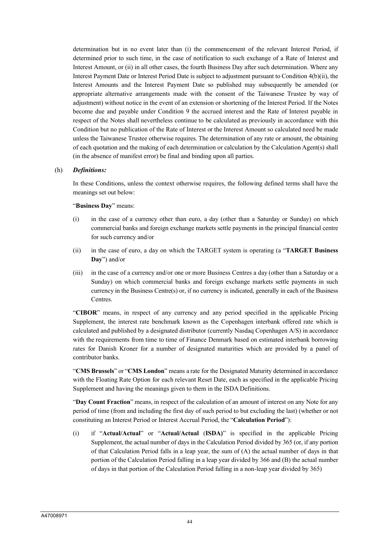determination but in no event later than (i) the commencement of the relevant Interest Period, if determined prior to such time, in the case of notification to such exchange of a Rate of Interest and Interest Amount, or (ii) in all other cases, the fourth Business Day after such determination. Where any Interest Payment Date or Interest Period Date is subject to adjustment pursuant to Condition 4(b)(ii), the Interest Amounts and the Interest Payment Date so published may subsequently be amended (or appropriate alternative arrangements made with the consent of the Taiwanese Trustee by way of adjustment) without notice in the event of an extension or shortening of the Interest Period. If the Notes become due and payable under Condition 9 the accrued interest and the Rate of Interest payable in respect of the Notes shall nevertheless continue to be calculated as previously in accordance with this Condition but no publication of the Rate of Interest or the Interest Amount so calculated need be made unless the Taiwanese Trustee otherwise requires. The determination of any rate or amount, the obtaining of each quotation and the making of each determination or calculation by the Calculation Agent(s) shall (in the absence of manifest error) be final and binding upon all parties.

#### (h) *Definitions:*

In these Conditions, unless the context otherwise requires, the following defined terms shall have the meanings set out below:

#### "**Business Day**" means:

- (i) in the case of a currency other than euro, a day (other than a Saturday or Sunday) on which commercial banks and foreign exchange markets settle payments in the principal financial centre for such currency and/or
- (ii) in the case of euro, a day on which the TARGET system is operating (a "**TARGET Business Day**") and/or
- (iii) in the case of a currency and/or one or more Business Centres a day (other than a Saturday or a Sunday) on which commercial banks and foreign exchange markets settle payments in such currency in the Business Centre(s) or, if no currency is indicated, generally in each of the Business Centres.

"**CIBOR**" means, in respect of any currency and any period specified in the applicable Pricing Supplement, the interest rate benchmark known as the Copenhagen interbank offered rate which is calculated and published by a designated distributor (currently Nasdaq Copenhagen A/S) in accordance with the requirements from time to time of Finance Denmark based on estimated interbank borrowing rates for Danish Kroner for a number of designated maturities which are provided by a panel of contributor banks.

"**CMS Brussels**" or "**CMS London**" means a rate for the Designated Maturity determined in accordance with the Floating Rate Option for each relevant Reset Date, each as specified in the applicable Pricing Supplement and having the meanings given to them in the ISDA Definitions.

"**Day Count Fraction**" means, in respect of the calculation of an amount of interest on any Note for any period of time (from and including the first day of such period to but excluding the last) (whether or not constituting an Interest Period or Interest Accrual Period, the "**Calculation Period**"):

(i) if "**Actual/Actual**" or "**Actual/Actual** (**ISDA)**" is specified in the applicable Pricing Supplement, the actual number of days in the Calculation Period divided by 365 (or, if any portion of that Calculation Period falls in a leap year, the sum of (A) the actual number of days in that portion of the Calculation Period falling in a leap year divided by 366 and (B) the actual number of days in that portion of the Calculation Period falling in a non-leap year divided by 365)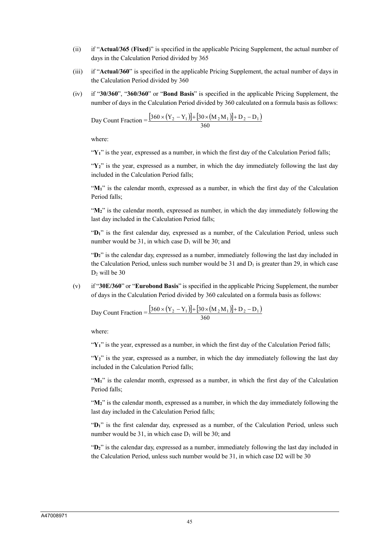- (ii) if "**Actual/365** (**Fixed**)" is specified in the applicable Pricing Supplement, the actual number of days in the Calculation Period divided by 365
- (iii) if "**Actual/360**" is specified in the applicable Pricing Supplement, the actual number of days in the Calculation Period divided by 360
- (iv) if "**30/360**", "**360/360**" or "**Bond Basis**" is specified in the applicable Pricing Supplement, the number of days in the Calculation Period divided by 360 calculated on a formula basis as follows:

Day Count Fraction = 
$$
\frac{[360 \times (Y_2 - Y_1)] + [30 \times (M_2 M_1)] + D_2 - D_1]}{360}
$$

where:

"**Y1**" is the year, expressed as a number, in which the first day of the Calculation Period falls;

 $\mathbf{Y}_2$ <sup>"</sup> is the year, expressed as a number, in which the day immediately following the last day included in the Calculation Period falls;

" $M<sub>1</sub>$ " is the calendar month, expressed as a number, in which the first day of the Calculation Period falls;

"**M2**" is the calendar month, expressed as number, in which the day immediately following the last day included in the Calculation Period falls;

"**D1**" is the first calendar day, expressed as a number, of the Calculation Period, unless such number would be 31, in which case  $D_1$  will be 30; and

"**D2**" is the calendar day, expressed as a number, immediately following the last day included in the Calculation Period, unless such number would be 31 and  $D_1$  is greater than 29, in which case  $D_2$  will be 30

(v) if "**30E/360**" or "**Eurobond Basis**" is specified in the applicable Pricing Supplement, the number of days in the Calculation Period divided by 360 calculated on a formula basis as follows:

Day Count Fraction = 
$$
\frac{[360 \times (Y_2 - Y_1)] + [30 \times (M_2 M_1)] + D_2 - D_1]}{360}
$$

where:

" $Y_1$ " is the year, expressed as a number, in which the first day of the Calculation Period falls;

 $\mathbf{Y}_2$ <sup>"</sup> is the year, expressed as a number, in which the day immediately following the last day included in the Calculation Period falls;

"M<sub>1</sub>" is the calendar month, expressed as a number, in which the first day of the Calculation Period falls;

"**M2**" is the calendar month, expressed as a number, in which the day immediately following the last day included in the Calculation Period falls;

"**D1**" is the first calendar day, expressed as a number, of the Calculation Period, unless such number would be 31, in which case  $D_1$  will be 30; and

"**D2**" is the calendar day, expressed as a number, immediately following the last day included in the Calculation Period, unless such number would be 31, in which case D2 will be 30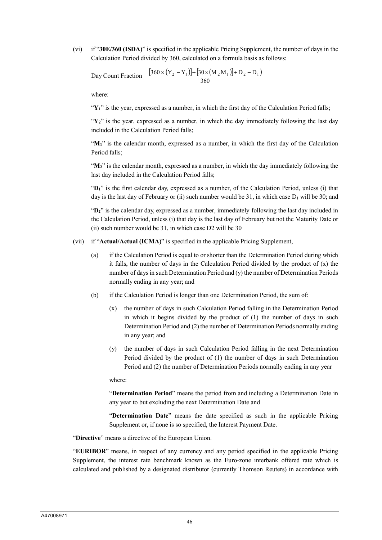(vi) if "**30E/360 (ISDA)**" is specified in the applicable Pricing Supplement, the number of days in the Calculation Period divided by 360, calculated on a formula basis as follows:

Day Count Fraction = 
$$
\frac{[360 \times (Y_2 - Y_1)] + [30 \times (M_2 M_1)] + D_2 - D_1]}{360}
$$

where:

"Y<sub>1</sub>" is the year, expressed as a number, in which the first day of the Calculation Period falls;

 $Y_2$ <sup>"</sup> is the year, expressed as a number, in which the day immediately following the last day included in the Calculation Period falls;

"M<sub>1</sub>" is the calendar month, expressed as a number, in which the first day of the Calculation Period falls;

" $M_2$ " is the calendar month, expressed as a number, in which the day immediately following the last day included in the Calculation Period falls;

"**D1**" is the first calendar day, expressed as a number, of the Calculation Period, unless (i) that day is the last day of February or (ii) such number would be 31, in which case  $D_1$  will be 30; and

"**D2**" is the calendar day, expressed as a number, immediately following the last day included in the Calculation Period, unless (i) that day is the last day of February but not the Maturity Date or (ii) such number would be 31, in which case D2 will be 30

- (vii) if "**Actual/Actual (ICMA)**" is specified in the applicable Pricing Supplement,
	- (a) if the Calculation Period is equal to or shorter than the Determination Period during which it falls, the number of days in the Calculation Period divided by the product of  $(x)$  the number of days in such Determination Period and (y) the number of Determination Periods normally ending in any year; and
	- (b) if the Calculation Period is longer than one Determination Period, the sum of:
		- (x) the number of days in such Calculation Period falling in the Determination Period in which it begins divided by the product of (1) the number of days in such Determination Period and (2) the number of Determination Periods normally ending in any year; and
		- (y) the number of days in such Calculation Period falling in the next Determination Period divided by the product of (1) the number of days in such Determination Period and (2) the number of Determination Periods normally ending in any year

where:

"**Determination Period**" means the period from and including a Determination Date in any year to but excluding the next Determination Date and

"**Determination Date**" means the date specified as such in the applicable Pricing Supplement or, if none is so specified, the Interest Payment Date.

"**Directive**" means a directive of the European Union.

"**EURIBOR**" means, in respect of any currency and any period specified in the applicable Pricing Supplement, the interest rate benchmark known as the Euro-zone interbank offered rate which is calculated and published by a designated distributor (currently Thomson Reuters) in accordance with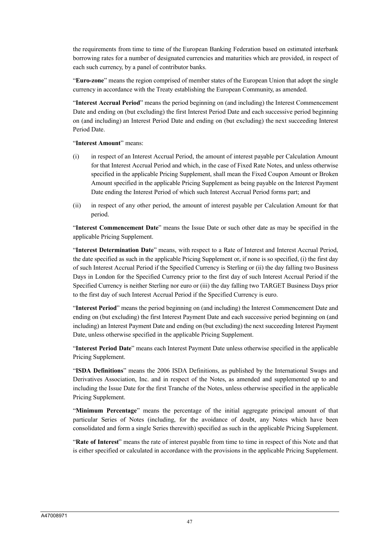the requirements from time to time of the European Banking Federation based on estimated interbank borrowing rates for a number of designated currencies and maturities which are provided, in respect of each such currency, by a panel of contributor banks.

"**Euro-zone**" means the region comprised of member states of the European Union that adopt the single currency in accordance with the Treaty establishing the European Community, as amended.

"**Interest Accrual Period**" means the period beginning on (and including) the Interest Commencement Date and ending on (but excluding) the first Interest Period Date and each successive period beginning on (and including) an Interest Period Date and ending on (but excluding) the next succeeding Interest Period Date.

"**Interest Amount**" means:

- (i) in respect of an Interest Accrual Period, the amount of interest payable per Calculation Amount for that Interest Accrual Period and which, in the case of Fixed Rate Notes, and unless otherwise specified in the applicable Pricing Supplement, shall mean the Fixed Coupon Amount or Broken Amount specified in the applicable Pricing Supplement as being payable on the Interest Payment Date ending the Interest Period of which such Interest Accrual Period forms part; and
- (ii) in respect of any other period, the amount of interest payable per Calculation Amount for that period.

"**Interest Commencement Date**" means the Issue Date or such other date as may be specified in the applicable Pricing Supplement.

"**Interest Determination Date**" means, with respect to a Rate of Interest and Interest Accrual Period, the date specified as such in the applicable Pricing Supplement or, if none is so specified, (i) the first day of such Interest Accrual Period if the Specified Currency is Sterling or (ii) the day falling two Business Days in London for the Specified Currency prior to the first day of such Interest Accrual Period if the Specified Currency is neither Sterling nor euro or (iii) the day falling two TARGET Business Days prior to the first day of such Interest Accrual Period if the Specified Currency is euro.

"**Interest Period**" means the period beginning on (and including) the Interest Commencement Date and ending on (but excluding) the first Interest Payment Date and each successive period beginning on (and including) an Interest Payment Date and ending on (but excluding) the next succeeding Interest Payment Date, unless otherwise specified in the applicable Pricing Supplement.

"**Interest Period Date**" means each Interest Payment Date unless otherwise specified in the applicable Pricing Supplement.

"**ISDA Definitions**" means the 2006 ISDA Definitions, as published by the International Swaps and Derivatives Association, Inc. and in respect of the Notes, as amended and supplemented up to and including the Issue Date for the first Tranche of the Notes, unless otherwise specified in the applicable Pricing Supplement.

"**Minimum Percentage**" means the percentage of the initial aggregate principal amount of that particular Series of Notes (including, for the avoidance of doubt, any Notes which have been consolidated and form a single Series therewith) specified as such in the applicable Pricing Supplement.

"**Rate of Interest**" means the rate of interest payable from time to time in respect of this Note and that is either specified or calculated in accordance with the provisions in the applicable Pricing Supplement.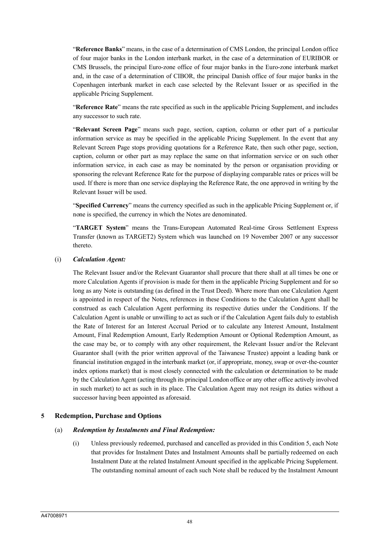"**Reference Banks**" means, in the case of a determination of CMS London, the principal London office of four major banks in the London interbank market, in the case of a determination of EURIBOR or CMS Brussels, the principal Euro-zone office of four major banks in the Euro-zone interbank market and, in the case of a determination of CIBOR, the principal Danish office of four major banks in the Copenhagen interbank market in each case selected by the Relevant Issuer or as specified in the applicable Pricing Supplement.

"**Reference Rate**" means the rate specified as such in the applicable Pricing Supplement, and includes any successor to such rate.

"**Relevant Screen Page**" means such page, section, caption, column or other part of a particular information service as may be specified in the applicable Pricing Supplement. In the event that any Relevant Screen Page stops providing quotations for a Reference Rate, then such other page, section, caption, column or other part as may replace the same on that information service or on such other information service, in each case as may be nominated by the person or organisation providing or sponsoring the relevant Reference Rate for the purpose of displaying comparable rates or prices will be used. If there is more than one service displaying the Reference Rate, the one approved in writing by the Relevant Issuer will be used.

"**Specified Currency**" means the currency specified as such in the applicable Pricing Supplement or, if none is specified, the currency in which the Notes are denominated.

"**TARGET System**" means the Trans-European Automated Real-time Gross Settlement Express Transfer (known as TARGET2) System which was launched on 19 November 2007 or any successor thereto.

#### (i) *Calculation Agent:*

The Relevant Issuer and/or the Relevant Guarantor shall procure that there shall at all times be one or more Calculation Agents if provision is made for them in the applicable Pricing Supplement and for so long as any Note is outstanding (as defined in the Trust Deed). Where more than one Calculation Agent is appointed in respect of the Notes, references in these Conditions to the Calculation Agent shall be construed as each Calculation Agent performing its respective duties under the Conditions. If the Calculation Agent is unable or unwilling to act as such or if the Calculation Agent fails duly to establish the Rate of Interest for an Interest Accrual Period or to calculate any Interest Amount, Instalment Amount, Final Redemption Amount, Early Redemption Amount or Optional Redemption Amount, as the case may be, or to comply with any other requirement, the Relevant Issuer and/or the Relevant Guarantor shall (with the prior written approval of the Taiwanese Trustee) appoint a leading bank or financial institution engaged in the interbank market (or, if appropriate, money, swap or over-the-counter index options market) that is most closely connected with the calculation or determination to be made by the Calculation Agent (acting through its principal London office or any other office actively involved in such market) to act as such in its place. The Calculation Agent may not resign its duties without a successor having been appointed as aforesaid.

## **5 Redemption, Purchase and Options**

#### (a) *Redemption by Instalments and Final Redemption:*

(i) Unless previously redeemed, purchased and cancelled as provided in this Condition 5, each Note that provides for Instalment Dates and Instalment Amounts shall be partially redeemed on each Instalment Date at the related Instalment Amount specified in the applicable Pricing Supplement. The outstanding nominal amount of each such Note shall be reduced by the Instalment Amount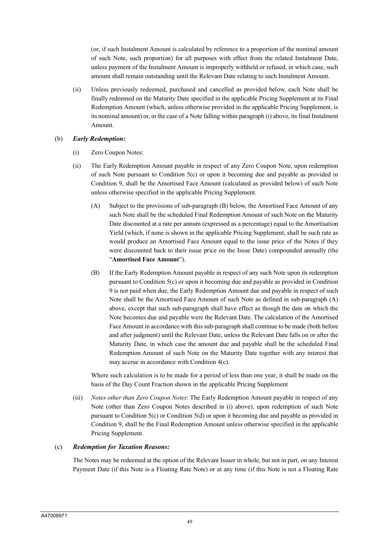(or, if such Instalment Amount is calculated by reference to a proportion of the nominal amount of such Note, such proportion) for all purposes with effect from the related Instalment Date, unless payment of the Instalment Amount is improperly withheld or refused, in which case, such amount shall remain outstanding until the Relevant Date relating to such Instalment Amount.

(ii) Unless previously redeemed, purchased and cancelled as provided below, each Note shall be finally redeemed on the Maturity Date specified in the applicable Pricing Supplement at its Final Redemption Amount (which, unless otherwise provided in the applicable Pricing Supplement, is its nominal amount) or, in the case of a Note falling within paragraph (i) above, its final Instalment Amount.

# (b) *Early Redemption:*

- (i) Zero Coupon Notes:
- (ii) The Early Redemption Amount payable in respect of any Zero Coupon Note, upon redemption of such Note pursuant to Condition  $5(c)$  or upon it becoming due and payable as provided in Condition 9, shall be the Amortised Face Amount (calculated as provided below) of such Note unless otherwise specified in the applicable Pricing Supplement.
	- (A) Subject to the provisions of sub-paragraph (B) below, the Amortised Face Amount of any such Note shall be the scheduled Final Redemption Amount of such Note on the Maturity Date discounted at a rate per annum (expressed as a percentage) equal to the Amortisation Yield (which, if none is shown in the applicable Pricing Supplement, shall be such rate as would produce an Amortised Face Amount equal to the issue price of the Notes if they were discounted back to their issue price on the Issue Date) compounded annually (the "**Amortised Face Amount**").
	- (B) If the Early Redemption Amount payable in respect of any such Note upon its redemption pursuant to Condition 5(c) or upon it becoming due and payable as provided in Condition 9 is not paid when due, the Early Redemption Amount due and payable in respect of such Note shall be the Amortised Face Amount of such Note as defined in sub-paragraph (A) above, except that such sub-paragraph shall have effect as though the date on which the Note becomes due and payable were the Relevant Date. The calculation of the Amortised Face Amount in accordance with this sub-paragraph shall continue to be made (both before and after judgment) until the Relevant Date, unless the Relevant Date falls on or after the Maturity Date, in which case the amount due and payable shall be the scheduled Final Redemption Amount of such Note on the Maturity Date together with any interest that may accrue in accordance with Condition 4(c).

Where such calculation is to be made for a period of less than one year, it shall be made on the basis of the Day Count Fraction shown in the applicable Pricing Supplement

(iii) *Notes other than Zero Coupon Notes*: The Early Redemption Amount payable in respect of any Note (other than Zero Coupon Notes described in (i) above), upon redemption of such Note pursuant to Condition 5(c) or Condition 5(d) or upon it becoming due and payable as provided in Condition 9, shall be the Final Redemption Amount unless otherwise specified in the applicable Pricing Supplement.

## (c) *Redemption for Taxation Reasons:*

The Notes may be redeemed at the option of the Relevant Issuer in whole, but not in part, on any Interest Payment Date (if this Note is a Floating Rate Note) or at any time (if this Note is not a Floating Rate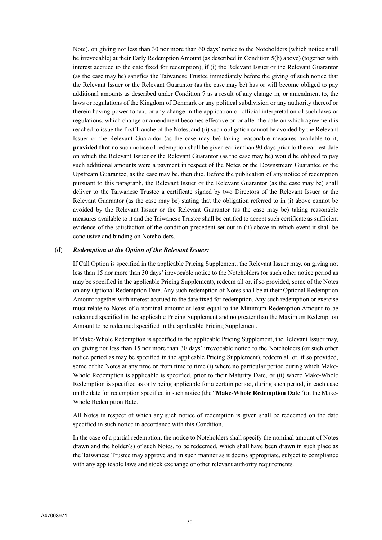Note), on giving not less than 30 nor more than 60 days' notice to the Noteholders (which notice shall be irrevocable) at their Early Redemption Amount (as described in Condition 5(b) above) (together with interest accrued to the date fixed for redemption), if (i) the Relevant Issuer or the Relevant Guarantor (as the case may be) satisfies the Taiwanese Trustee immediately before the giving of such notice that the Relevant Issuer or the Relevant Guarantor (as the case may be) has or will become obliged to pay additional amounts as described under Condition 7 as a result of any change in, or amendment to, the laws or regulations of the Kingdom of Denmark or any political subdivision or any authority thereof or therein having power to tax, or any change in the application or official interpretation of such laws or regulations, which change or amendment becomes effective on or after the date on which agreement is reached to issue the first Tranche of the Notes, and (ii) such obligation cannot be avoided by the Relevant Issuer or the Relevant Guarantor (as the case may be) taking reasonable measures available to it, **provided that** no such notice of redemption shall be given earlier than 90 days prior to the earliest date on which the Relevant Issuer or the Relevant Guarantor (as the case may be) would be obliged to pay such additional amounts were a payment in respect of the Notes or the Downstream Guarantee or the Upstream Guarantee, as the case may be, then due. Before the publication of any notice of redemption pursuant to this paragraph, the Relevant Issuer or the Relevant Guarantor (as the case may be) shall deliver to the Taiwanese Trustee a certificate signed by two Directors of the Relevant Issuer or the Relevant Guarantor (as the case may be) stating that the obligation referred to in (i) above cannot be avoided by the Relevant Issuer or the Relevant Guarantor (as the case may be) taking reasonable measures available to it and the Taiwanese Trustee shall be entitled to accept such certificate as sufficient evidence of the satisfaction of the condition precedent set out in (ii) above in which event it shall be conclusive and binding on Noteholders.

#### (d) *Redemption at the Option of the Relevant Issuer:*

If Call Option is specified in the applicable Pricing Supplement, the Relevant Issuer may, on giving not less than 15 nor more than 30 days' irrevocable notice to the Noteholders (or such other notice period as may be specified in the applicable Pricing Supplement), redeem all or, if so provided, some of the Notes on any Optional Redemption Date. Any such redemption of Notes shall be at their Optional Redemption Amount together with interest accrued to the date fixed for redemption. Any such redemption or exercise must relate to Notes of a nominal amount at least equal to the Minimum Redemption Amount to be redeemed specified in the applicable Pricing Supplement and no greater than the Maximum Redemption Amount to be redeemed specified in the applicable Pricing Supplement.

If Make-Whole Redemption is specified in the applicable Pricing Supplement, the Relevant Issuer may, on giving not less than 15 nor more than 30 days' irrevocable notice to the Noteholders (or such other notice period as may be specified in the applicable Pricing Supplement), redeem all or, if so provided, some of the Notes at any time or from time to time (i) where no particular period during which Make-Whole Redemption is applicable is specified, prior to their Maturity Date, or (ii) where Make-Whole Redemption is specified as only being applicable for a certain period, during such period, in each case on the date for redemption specified in such notice (the "**Make-Whole Redemption Date**") at the Make-Whole Redemption Rate.

All Notes in respect of which any such notice of redemption is given shall be redeemed on the date specified in such notice in accordance with this Condition.

In the case of a partial redemption, the notice to Noteholders shall specify the nominal amount of Notes drawn and the holder(s) of such Notes, to be redeemed, which shall have been drawn in such place as the Taiwanese Trustee may approve and in such manner as it deems appropriate, subject to compliance with any applicable laws and stock exchange or other relevant authority requirements.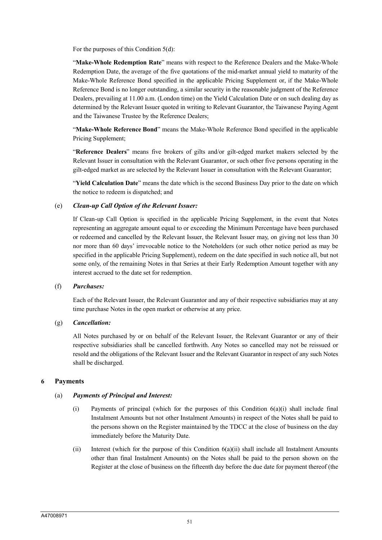For the purposes of this Condition 5(d):

"**Make-Whole Redemption Rate**" means with respect to the Reference Dealers and the Make-Whole Redemption Date, the average of the five quotations of the mid-market annual yield to maturity of the Make-Whole Reference Bond specified in the applicable Pricing Supplement or, if the Make-Whole Reference Bond is no longer outstanding, a similar security in the reasonable judgment of the Reference Dealers, prevailing at 11.00 a.m. (London time) on the Yield Calculation Date or on such dealing day as determined by the Relevant Issuer quoted in writing to Relevant Guarantor, the Taiwanese Paying Agent and the Taiwanese Trustee by the Reference Dealers;

"**Make-Whole Reference Bond**" means the Make-Whole Reference Bond specified in the applicable Pricing Supplement;

"**Reference Dealers**" means five brokers of gilts and/or gilt-edged market makers selected by the Relevant Issuer in consultation with the Relevant Guarantor, or such other five persons operating in the gilt-edged market as are selected by the Relevant Issuer in consultation with the Relevant Guarantor;

"**Yield Calculation Date**" means the date which is the second Business Day prior to the date on which the notice to redeem is dispatched; and

#### (e) *Clean-up Call Option of the Relevant Issuer:*

If Clean-up Call Option is specified in the applicable Pricing Supplement, in the event that Notes representing an aggregate amount equal to or exceeding the Minimum Percentage have been purchased or redeemed and cancelled by the Relevant Issuer, the Relevant Issuer may, on giving not less than 30 nor more than 60 days' irrevocable notice to the Noteholders (or such other notice period as may be specified in the applicable Pricing Supplement), redeem on the date specified in such notice all, but not some only, of the remaining Notes in that Series at their Early Redemption Amount together with any interest accrued to the date set for redemption.

#### (f) *Purchases:*

Each of the Relevant Issuer, the Relevant Guarantor and any of their respective subsidiaries may at any time purchase Notes in the open market or otherwise at any price.

#### (g) *Cancellation:*

All Notes purchased by or on behalf of the Relevant Issuer, the Relevant Guarantor or any of their respective subsidiaries shall be cancelled forthwith. Any Notes so cancelled may not be reissued or resold and the obligations of the Relevant Issuer and the Relevant Guarantor in respect of any such Notes shall be discharged.

#### **6 Payments**

## (a) *Payments of Principal and Interest:*

- (i) Payments of principal (which for the purposes of this Condition 6(a)(i) shall include final Instalment Amounts but not other Instalment Amounts) in respect of the Notes shall be paid to the persons shown on the Register maintained by the TDCC at the close of business on the day immediately before the Maturity Date.
- (ii) Interest (which for the purpose of this Condition 6(a)(ii) shall include all Instalment Amounts other than final Instalment Amounts) on the Notes shall be paid to the person shown on the Register at the close of business on the fifteenth day before the due date for payment thereof (the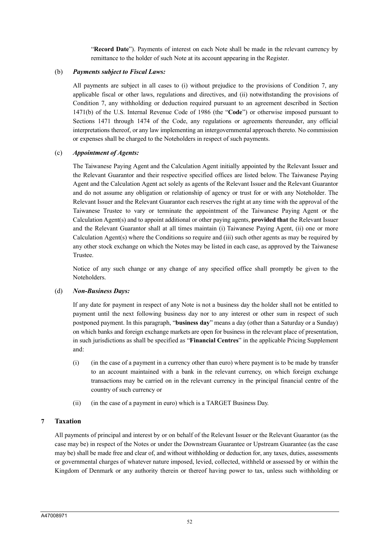"**Record Date**"). Payments of interest on each Note shall be made in the relevant currency by remittance to the holder of such Note at its account appearing in the Register.

## (b) *Payments subject to Fiscal Laws:*

All payments are subject in all cases to (i) without prejudice to the provisions of Condition 7, any applicable fiscal or other laws, regulations and directives, and (ii) notwithstanding the provisions of Condition 7, any withholding or deduction required pursuant to an agreement described in Section 1471(b) of the U.S. Internal Revenue Code of 1986 (the "**Code**") or otherwise imposed pursuant to Sections 1471 through 1474 of the Code, any regulations or agreements thereunder, any official interpretations thereof, or any law implementing an intergovernmental approach thereto. No commission or expenses shall be charged to the Noteholders in respect of such payments.

#### (c) *Appointment of Agents:*

The Taiwanese Paying Agent and the Calculation Agent initially appointed by the Relevant Issuer and the Relevant Guarantor and their respective specified offices are listed below. The Taiwanese Paying Agent and the Calculation Agent act solely as agents of the Relevant Issuer and the Relevant Guarantor and do not assume any obligation or relationship of agency or trust for or with any Noteholder. The Relevant Issuer and the Relevant Guarantor each reserves the right at any time with the approval of the Taiwanese Trustee to vary or terminate the appointment of the Taiwanese Paying Agent or the Calculation Agent(s) and to appoint additional or other paying agents, **provided that** the Relevant Issuer and the Relevant Guarantor shall at all times maintain (i) Taiwanese Paying Agent, (ii) one or more Calculation Agent(s) where the Conditions so require and (iii) such other agents as may be required by any other stock exchange on which the Notes may be listed in each case, as approved by the Taiwanese Trustee.

Notice of any such change or any change of any specified office shall promptly be given to the Noteholders.

#### (d) *Non-Business Days:*

If any date for payment in respect of any Note is not a business day the holder shall not be entitled to payment until the next following business day nor to any interest or other sum in respect of such postponed payment. In this paragraph, "**business day**" means a day (other than a Saturday or a Sunday) on which banks and foreign exchange markets are open for business in the relevant place of presentation, in such jurisdictions as shall be specified as "**Financial Centres**" in the applicable Pricing Supplement and:

- (i) (in the case of a payment in a currency other than euro) where payment is to be made by transfer to an account maintained with a bank in the relevant currency, on which foreign exchange transactions may be carried on in the relevant currency in the principal financial centre of the country of such currency or
- (ii) (in the case of a payment in euro) which is a TARGET Business Day.

## **7 Taxation**

All payments of principal and interest by or on behalf of the Relevant Issuer or the Relevant Guarantor (as the case may be) in respect of the Notes or under the Downstream Guarantee or Upstream Guarantee (as the case may be) shall be made free and clear of, and without withholding or deduction for, any taxes, duties, assessments or governmental charges of whatever nature imposed, levied, collected, withheld or assessed by or within the Kingdom of Denmark or any authority therein or thereof having power to tax, unless such withholding or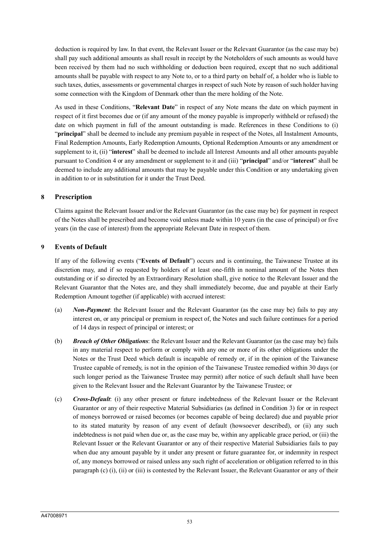deduction is required by law. In that event, the Relevant Issuer or the Relevant Guarantor (as the case may be) shall pay such additional amounts as shall result in receipt by the Noteholders of such amounts as would have been received by them had no such withholding or deduction been required, except that no such additional amounts shall be payable with respect to any Note to, or to a third party on behalf of, a holder who is liable to such taxes, duties, assessments or governmental charges in respect of such Note by reason of such holder having some connection with the Kingdom of Denmark other than the mere holding of the Note.

As used in these Conditions, "**Relevant Date**" in respect of any Note means the date on which payment in respect of it first becomes due or (if any amount of the money payable is improperly withheld or refused) the date on which payment in full of the amount outstanding is made. References in these Conditions to (i) "**principal**" shall be deemed to include any premium payable in respect of the Notes, all Instalment Amounts, Final Redemption Amounts, Early Redemption Amounts, Optional Redemption Amounts or any amendment or supplement to it, (ii) "**interest**" shall be deemed to include all Interest Amounts and all other amounts payable pursuant to Condition 4 or any amendment or supplement to it and (iii) "**principal**" and/or "**interest**" shall be deemed to include any additional amounts that may be payable under this Condition or any undertaking given in addition to or in substitution for it under the Trust Deed.

## **8 Prescription**

Claims against the Relevant Issuer and/or the Relevant Guarantor (as the case may be) for payment in respect of the Notes shall be prescribed and become void unless made within 10 years (in the case of principal) or five years (in the case of interest) from the appropriate Relevant Date in respect of them.

## **9 Events of Default**

If any of the following events ("**Events of Default**") occurs and is continuing, the Taiwanese Trustee at its discretion may, and if so requested by holders of at least one-fifth in nominal amount of the Notes then outstanding or if so directed by an Extraordinary Resolution shall, give notice to the Relevant Issuer and the Relevant Guarantor that the Notes are, and they shall immediately become, due and payable at their Early Redemption Amount together (if applicable) with accrued interest:

- (a) *Non-Payment*: the Relevant Issuer and the Relevant Guarantor (as the case may be) fails to pay any interest on, or any principal or premium in respect of, the Notes and such failure continues for a period of 14 days in respect of principal or interest; or
- (b) *Breach of Other Obligations*: the Relevant Issuer and the Relevant Guarantor (as the case may be) fails in any material respect to perform or comply with any one or more of its other obligations under the Notes or the Trust Deed which default is incapable of remedy or, if in the opinion of the Taiwanese Trustee capable of remedy, is not in the opinion of the Taiwanese Trustee remedied within 30 days (or such longer period as the Taiwanese Trustee may permit) after notice of such default shall have been given to the Relevant Issuer and the Relevant Guarantor by the Taiwanese Trustee; or
- (c) *Cross-Default*: (i) any other present or future indebtedness of the Relevant Issuer or the Relevant Guarantor or any of their respective Material Subsidiaries (as defined in Condition 3) for or in respect of moneys borrowed or raised becomes (or becomes capable of being declared) due and payable prior to its stated maturity by reason of any event of default (howsoever described), or (ii) any such indebtedness is not paid when due or, as the case may be, within any applicable grace period, or (iii) the Relevant Issuer or the Relevant Guarantor or any of their respective Material Subsidiaries fails to pay when due any amount payable by it under any present or future guarantee for, or indemnity in respect of, any moneys borrowed or raised unless any such right of acceleration or obligation referred to in this paragraph (c) (i), (ii) or (iii) is contested by the Relevant Issuer, the Relevant Guarantor or any of their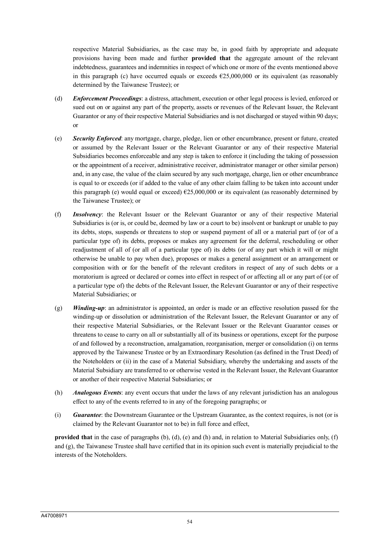respective Material Subsidiaries, as the case may be, in good faith by appropriate and adequate provisions having been made and further **provided that** the aggregate amount of the relevant indebtedness, guarantees and indemnities in respect of which one or more of the events mentioned above in this paragraph (c) have occurred equals or exceeds  $\epsilon$ 25,000,000 or its equivalent (as reasonably determined by the Taiwanese Trustee); or

- (d) *Enforcement Proceedings*: a distress, attachment, execution or other legal process is levied, enforced or sued out on or against any part of the property, assets or revenues of the Relevant Issuer, the Relevant Guarantor or any of their respective Material Subsidiaries and is not discharged or stayed within 90 days; or
- (e) *Security Enforced*: any mortgage, charge, pledge, lien or other encumbrance, present or future, created or assumed by the Relevant Issuer or the Relevant Guarantor or any of their respective Material Subsidiaries becomes enforceable and any step is taken to enforce it (including the taking of possession or the appointment of a receiver, administrative receiver, administrator manager or other similar person) and, in any case, the value of the claim secured by any such mortgage, charge, lien or other encumbrance is equal to or exceeds (or if added to the value of any other claim falling to be taken into account under this paragraph (e) would equal or exceed) €25,000,000 or its equivalent (as reasonably determined by the Taiwanese Trustee); or
- (f) *Insolvency*: the Relevant Issuer or the Relevant Guarantor or any of their respective Material Subsidiaries is (or is, or could be, deemed by law or a court to be) insolvent or bankrupt or unable to pay its debts, stops, suspends or threatens to stop or suspend payment of all or a material part of (or of a particular type of) its debts, proposes or makes any agreement for the deferral, rescheduling or other readjustment of all of (or all of a particular type of) its debts (or of any part which it will or might otherwise be unable to pay when due), proposes or makes a general assignment or an arrangement or composition with or for the benefit of the relevant creditors in respect of any of such debts or a moratorium is agreed or declared or comes into effect in respect of or affecting all or any part of (or of a particular type of) the debts of the Relevant Issuer, the Relevant Guarantor or any of their respective Material Subsidiaries; or
- (g) *Winding-up*: an administrator is appointed, an order is made or an effective resolution passed for the winding-up or dissolution or administration of the Relevant Issuer, the Relevant Guarantor or any of their respective Material Subsidiaries, or the Relevant Issuer or the Relevant Guarantor ceases or threatens to cease to carry on all or substantially all of its business or operations, except for the purpose of and followed by a reconstruction, amalgamation, reorganisation, merger or consolidation (i) on terms approved by the Taiwanese Trustee or by an Extraordinary Resolution (as defined in the Trust Deed) of the Noteholders or (ii) in the case of a Material Subsidiary, whereby the undertaking and assets of the Material Subsidiary are transferred to or otherwise vested in the Relevant Issuer, the Relevant Guarantor or another of their respective Material Subsidiaries; or
- (h) *Analogous Events*: any event occurs that under the laws of any relevant jurisdiction has an analogous effect to any of the events referred to in any of the foregoing paragraphs; or
- (i) *Guarantee*: the Downstream Guarantee or the Upstream Guarantee, as the context requires, is not (or is claimed by the Relevant Guarantor not to be) in full force and effect,

**provided that** in the case of paragraphs (b), (d), (e) and (h) and, in relation to Material Subsidiaries only, (f) and (g), the Taiwanese Trustee shall have certified that in its opinion such event is materially prejudicial to the interests of the Noteholders.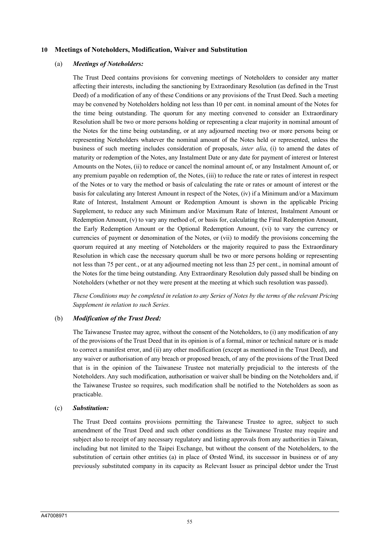#### **10 Meetings of Noteholders, Modification, Waiver and Substitution**

#### (a) *Meetings of Noteholders:*

The Trust Deed contains provisions for convening meetings of Noteholders to consider any matter affecting their interests, including the sanctioning by Extraordinary Resolution (as defined in the Trust Deed) of a modification of any of these Conditions or any provisions of the Trust Deed. Such a meeting may be convened by Noteholders holding not less than 10 per cent. in nominal amount of the Notes for the time being outstanding. The quorum for any meeting convened to consider an Extraordinary Resolution shall be two or more persons holding or representing a clear majority in nominal amount of the Notes for the time being outstanding, or at any adjourned meeting two or more persons being or representing Noteholders whatever the nominal amount of the Notes held or represented, unless the business of such meeting includes consideration of proposals, *inter alia*, (i) to amend the dates of maturity or redemption of the Notes, any Instalment Date or any date for payment of interest or Interest Amounts on the Notes, (ii) to reduce or cancel the nominal amount of, or any Instalment Amount of, or any premium payable on redemption of, the Notes, (iii) to reduce the rate or rates of interest in respect of the Notes or to vary the method or basis of calculating the rate or rates or amount of interest or the basis for calculating any Interest Amount in respect of the Notes, (iv) if a Minimum and/or a Maximum Rate of Interest, Instalment Amount or Redemption Amount is shown in the applicable Pricing Supplement, to reduce any such Minimum and/or Maximum Rate of Interest, Instalment Amount or Redemption Amount, (v) to vary any method of, or basis for, calculating the Final Redemption Amount, the Early Redemption Amount or the Optional Redemption Amount, (vi) to vary the currency or currencies of payment or denomination of the Notes, or (vii) to modify the provisions concerning the quorum required at any meeting of Noteholders or the majority required to pass the Extraordinary Resolution in which case the necessary quorum shall be two or more persons holding or representing not less than 75 per cent., or at any adjourned meeting not less than 25 per cent., in nominal amount of the Notes for the time being outstanding. Any Extraordinary Resolution duly passed shall be binding on Noteholders (whether or not they were present at the meeting at which such resolution was passed).

*These Conditions may be completed in relation to any Series of Notes by the terms of the relevant Pricing Supplement in relation to such Series.*

#### (b) *Modification of the Trust Deed:*

The Taiwanese Trustee may agree, without the consent of the Noteholders, to (i) any modification of any of the provisions of the Trust Deed that in its opinion is of a formal, minor or technical nature or is made to correct a manifest error, and (ii) any other modification (except as mentioned in the Trust Deed), and any waiver or authorisation of any breach or proposed breach, of any of the provisions of the Trust Deed that is in the opinion of the Taiwanese Trustee not materially prejudicial to the interests of the Noteholders. Any such modification, authorisation or waiver shall be binding on the Noteholders and, if the Taiwanese Trustee so requires, such modification shall be notified to the Noteholders as soon as practicable.

#### (c) *Substitution:*

The Trust Deed contains provisions permitting the Taiwanese Trustee to agree, subject to such amendment of the Trust Deed and such other conditions as the Taiwanese Trustee may require and subject also to receipt of any necessary regulatory and listing approvals from any authorities in Taiwan, including but not limited to the Taipei Exchange, but without the consent of the Noteholders, to the substitution of certain other entities (a) in place of Ørsted Wind, its successor in business or of any previously substituted company in its capacity as Relevant Issuer as principal debtor under the Trust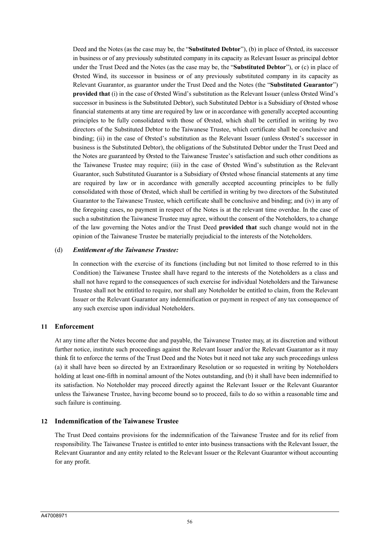Deed and the Notes (as the case may be, the "**Substituted Debtor**"), (b) in place of Ørsted, its successor in business or of any previously substituted company in its capacity as Relevant Issuer as principal debtor under the Trust Deed and the Notes (as the case may be, the "**Substituted Debtor**"), or (c) in place of Ørsted Wind, its successor in business or of any previously substituted company in its capacity as Relevant Guarantor, as guarantor under the Trust Deed and the Notes (the "**Substituted Guarantor**") **provided that** (i) in the case of Ørsted Wind's substitution as the Relevant Issuer (unless Ørsted Wind's successor in business is the Substituted Debtor), such Substituted Debtor is a Subsidiary of Ørsted whose financial statements at any time are required by law or in accordance with generally accepted accounting principles to be fully consolidated with those of Ørsted, which shall be certified in writing by two directors of the Substituted Debtor to the Taiwanese Trustee, which certificate shall be conclusive and binding; (ii) in the case of Ørsted's substitution as the Relevant Issuer (unless Ørsted's successor in business is the Substituted Debtor), the obligations of the Substituted Debtor under the Trust Deed and the Notes are guaranteed by Ørsted to the Taiwanese Trustee's satisfaction and such other conditions as the Taiwanese Trustee may require; (iii) in the case of Ørsted Wind's substitution as the Relevant Guarantor, such Substituted Guarantor is a Subsidiary of Ørsted whose financial statements at any time are required by law or in accordance with generally accepted accounting principles to be fully consolidated with those of Ørsted, which shall be certified in writing by two directors of the Substituted Guarantor to the Taiwanese Trustee, which certificate shall be conclusive and binding; and (iv) in any of the foregoing cases, no payment in respect of the Notes is at the relevant time overdue. In the case of such a substitution the Taiwanese Trustee may agree, without the consent of the Noteholders, to a change of the law governing the Notes and/or the Trust Deed **provided that** such change would not in the opinion of the Taiwanese Trustee be materially prejudicial to the interests of the Noteholders.

#### (d) *Entitlement of the Taiwanese Trustee:*

In connection with the exercise of its functions (including but not limited to those referred to in this Condition) the Taiwanese Trustee shall have regard to the interests of the Noteholders as a class and shall not have regard to the consequences of such exercise for individual Noteholders and the Taiwanese Trustee shall not be entitled to require, nor shall any Noteholder be entitled to claim, from the Relevant Issuer or the Relevant Guarantor any indemnification or payment in respect of any tax consequence of any such exercise upon individual Noteholders.

## **11 Enforcement**

At any time after the Notes become due and payable, the Taiwanese Trustee may, at its discretion and without further notice, institute such proceedings against the Relevant Issuer and/or the Relevant Guarantor as it may think fit to enforce the terms of the Trust Deed and the Notes but it need not take any such proceedings unless (a) it shall have been so directed by an Extraordinary Resolution or so requested in writing by Noteholders holding at least one-fifth in nominal amount of the Notes outstanding, and (b) it shall have been indemnified to its satisfaction. No Noteholder may proceed directly against the Relevant Issuer or the Relevant Guarantor unless the Taiwanese Trustee, having become bound so to proceed, fails to do so within a reasonable time and such failure is continuing.

## **12 Indemnification of the Taiwanese Trustee**

The Trust Deed contains provisions for the indemnification of the Taiwanese Trustee and for its relief from responsibility. The Taiwanese Trustee is entitled to enter into business transactions with the Relevant Issuer, the Relevant Guarantor and any entity related to the Relevant Issuer or the Relevant Guarantor without accounting for any profit.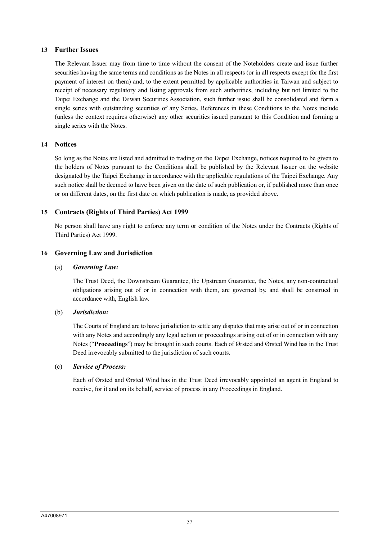## **13 Further Issues**

The Relevant Issuer may from time to time without the consent of the Noteholders create and issue further securities having the same terms and conditions as the Notes in all respects (or in all respects except for the first payment of interest on them) and, to the extent permitted by applicable authorities in Taiwan and subject to receipt of necessary regulatory and listing approvals from such authorities, including but not limited to the Taipei Exchange and the Taiwan Securities Association, such further issue shall be consolidated and form a single series with outstanding securities of any Series. References in these Conditions to the Notes include (unless the context requires otherwise) any other securities issued pursuant to this Condition and forming a single series with the Notes.

## **14 Notices**

So long as the Notes are listed and admitted to trading on the Taipei Exchange, notices required to be given to the holders of Notes pursuant to the Conditions shall be published by the Relevant Issuer on the website designated by the Taipei Exchange in accordance with the applicable regulations of the Taipei Exchange. Any such notice shall be deemed to have been given on the date of such publication or, if published more than once or on different dates, on the first date on which publication is made, as provided above.

# **15 Contracts (Rights of Third Parties) Act 1999**

No person shall have any right to enforce any term or condition of the Notes under the Contracts (Rights of Third Parties) Act 1999.

## **16 Governing Law and Jurisdiction**

## (a) *Governing Law:*

The Trust Deed, the Downstream Guarantee, the Upstream Guarantee, the Notes, any non-contractual obligations arising out of or in connection with them, are governed by, and shall be construed in accordance with, English law.

## (b) *Jurisdiction:*

The Courts of England are to have jurisdiction to settle any disputes that may arise out of or in connection with any Notes and accordingly any legal action or proceedings arising out of or in connection with any Notes ("**Proceedings**") may be brought in such courts. Each of Ørsted and Ørsted Wind has in the Trust Deed irrevocably submitted to the jurisdiction of such courts.

## (c) *Service of Process:*

Each of Ørsted and Ørsted Wind has in the Trust Deed irrevocably appointed an agent in England to receive, for it and on its behalf, service of process in any Proceedings in England.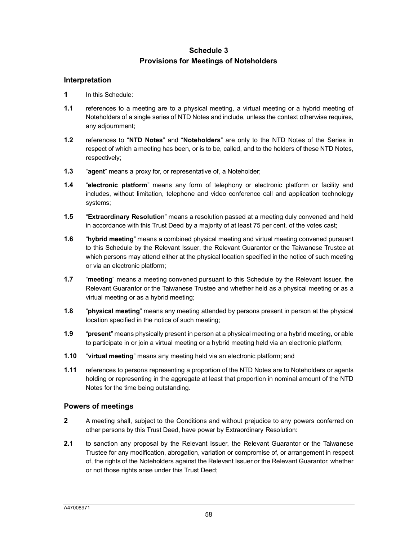# **Schedule 3 Provisions for Meetings of Noteholders**

## **Interpretation**

- **1** In this Schedule:
- **1.1** references to a meeting are to a physical meeting, a virtual meeting or a hybrid meeting of Noteholders of a single series of NTD Notes and include, unless the context otherwise requires, any adjournment;
- **1.2** references to "**NTD Notes**" and "**Noteholders**" are only to the NTD Notes of the Series in respect of which a meeting has been, or is to be, called, and to the holders of these NTD Notes, respectively;
- **1.3** "**agent**" means a proxy for, or representative of, a Noteholder;
- **1.4** "**electronic platform**" means any form of telephony or electronic platform or facility and includes, without limitation, telephone and video conference call and application technology systems;
- **1.5** "**Extraordinary Resolution**" means a resolution passed at a meeting duly convened and held in accordance with this Trust Deed by a majority of at least 75 per cent. of the votes cast;
- **1.6** "**hybrid meeting**" means a combined physical meeting and virtual meeting convened pursuant to this Schedule by the Relevant Issuer, the Relevant Guarantor or the Taiwanese Trustee at which persons may attend either at the physical location specified in the notice of such meeting or via an electronic platform;
- **1.7** "**meeting**" means a meeting convened pursuant to this Schedule by the Relevant Issuer, the Relevant Guarantor or the Taiwanese Trustee and whether held as a physical meeting or as a virtual meeting or as a hybrid meeting;
- **1.8** "**physical meeting**" means any meeting attended by persons present in person at the physical location specified in the notice of such meeting;
- **1.9** "**present**" means physically present in person at a physical meeting or a hybrid meeting, or able to participate in or join a virtual meeting or a hybrid meeting held via an electronic platform;
- **1.10** "**virtual meeting**" means any meeting held via an electronic platform; and
- **1.11** references to persons representing a proportion of the NTD Notes are to Noteholders or agents holding or representing in the aggregate at least that proportion in nominal amount of the NTD Notes for the time being outstanding.

## <span id="page-58-0"></span>**Powers of meetings**

- **2** A meeting shall, subject to the Conditions and without prejudice to any powers conferred on other persons by this Trust Deed, have power by Extraordinary Resolution:
- **2.1** to sanction any proposal by the Relevant Issuer, the Relevant Guarantor or the Taiwanese Trustee for any modification, abrogation, variation or compromise of, or arrangement in respect of, the rights of the Noteholders against the Relevant Issuer or the Relevant Guarantor, whether or not those rights arise under this Trust Deed;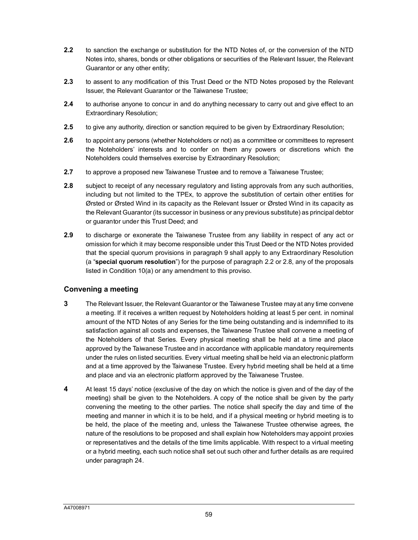- <span id="page-59-0"></span>**2.2** to sanction the exchange or substitution for the NTD Notes of, or the conversion of the NTD Notes into, shares, bonds or other obligations or securities of the Relevant Issuer, the Relevant Guarantor or any other entity;
- **2.3** to assent to any modification of this Trust Deed or the NTD Notes proposed by the Relevant Issuer, the Relevant Guarantor or the Taiwanese Trustee;
- **2.4** to authorise anyone to concur in and do anything necessary to carry out and give effect to an Extraordinary Resolution;
- **2.5** to give any authority, direction or sanction required to be given by Extraordinary Resolution;
- **2.6** to appoint any persons (whether Noteholders or not) as a committee or committees to represent the Noteholders' interests and to confer on them any powers or discretions which the Noteholders could themselves exercise by Extraordinary Resolution;
- <span id="page-59-1"></span>**2.7** to approve a proposed new Taiwanese Trustee and to remove a Taiwanese Trustee;
- **2.8** subject to receipt of any necessary regulatory and listing approvals from any such authorities, including but not limited to the TPEx, to approve the substitution of certain other entities for Ørsted or Ørsted Wind in its capacity as the Relevant Issuer or Ørsted Wind in its capacity as the Relevant Guarantor (its successor in business or any previous substitute) as principal debtor or guarantor under this Trust Deed; and
- **2.9** to discharge or exonerate the Taiwanese Trustee from any liability in respect of any act or omission for which it may become responsible under this Trust [Deed](#page-59-0) or [the](#page-59-1) NTD Notes provided that the special quorum provisions in paragraph 9 shall apply to any Extraordinary Resolution (a "**special quorum resolution**") for the purpose of paragraph 2.2 or 2.8, any of the proposals listed in Condition 10(a) or any amendment to this proviso.

# **Convening a meeting**

- **3** The Relevant Issuer, the Relevant Guarantor or the Taiwanese Trustee may at any time convene a meeting. If it receives a written request by Noteholders holding at least 5 per cent. in nominal amount of the NTD Notes of any Series for the time being outstanding and is indemnified to its satisfaction against all costs and expenses, the Taiwanese Trustee shall convene a meeting of the Noteholders of that Series. Every physical meeting shall be held at a time and place approved by the Taiwanese Trustee and in accordance with applicable mandatory requirements under the rules on listed securities. Every virtual meeting shall be held via an electronic platform and at a time approved by the Taiwanese Trustee. Every hybrid meeting shall be held at a time and place and via an electronic platform approved by the Taiwanese Trustee.
- **4** At least 15 days' notice (exclusive of the day on which the notice is given and of the day of the meeting) shall be given to the Noteholders. A copy of the notice shall be given by the party convening the meeting to the other parties. The notice shall specify the day and time of the meeting and manner in which it is to be held, and if a physical meeting or hybrid meeting is to be held, the place of the meeting and, unless the Taiwanese Trustee otherwise agrees, the nature of the resolutions to be proposed and shall explain how Noteholders may appoint proxies or representatives and the details of the time limits applicable. With respect to a virtual meeting or a hybrid meeting, each such notice shall set out such other and further details as are required under paragraph 24.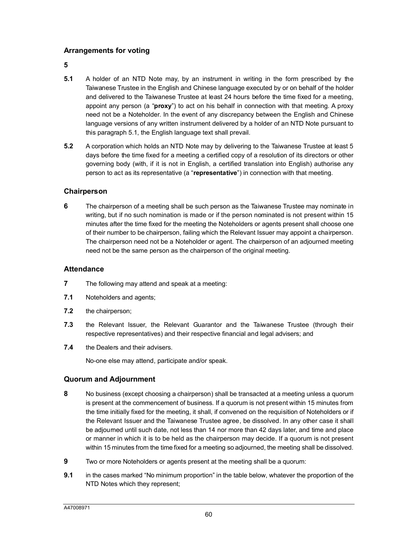# <span id="page-60-2"></span><span id="page-60-0"></span>**Arrangements for voting**

**5**

- **5.1** A holder of an NTD Note may, by an instrument in writing in the form prescribed by the Taiwanese Trustee in the English and Chinese language executed by or on behalf of the holder and delivered to the Taiwanese Trustee at least 24 hours before the time fixed for a meeting, appoint any person (a "**proxy**") to act on his behalf in connection with that meeting. A proxy need not [be a](#page-60-0) Noteholder. In the event of any discrepancy between the English and Chinese language versions of any written instrument delivered by a holder of an NTD Note pursuant to this paragraph 5.1, the English language text shall prevail.
- **5.2** A corporation which holds an NTD Note may by delivering to the Taiwanese Trustee at least 5 days before the time fixed for a meeting a certified copy of a resolution of its directors or other governing body (with, if it is not in English, a certified translation into English) authorise any person to act as its representative (a "**representative**") in connection with that meeting.

## **Chairperson**

**6** The chairperson of a meeting shall be such person as the Taiwanese Trustee may nominate in writing, but if no such nomination is made or if the person nominated is not present within 15 minutes after the time fixed for the meeting the Noteholders or agents present shall choose one of their number to be chairperson, failing which the Relevant Issuer may appoint a chairperson. The chairperson need not be a Noteholder or agent. The chairperson of an adjourned meeting need not be the same person as the chairperson of the original meeting.

## **Attendance**

- **7** The following may attend and speak at a meeting:
- **7.1** Noteholders and agents;
- **7.2** the chairperson;
- **7.3** the Relevant Issuer, the Relevant Guarantor and the Taiwanese Trustee (through their respective representatives) and their respective financial and legal advisers; and
- **7.4** the Dealers and their advisers.

No-one else may attend, participate and/or speak.

## <span id="page-60-1"></span>**Quorum and Adjournment**

- **8** No business (except choosing a chairperson) shall be transacted at a meeting unless a quorum is present at the commencement of business. If a quorum is not present within 15 minutes from the time initially fixed for the meeting, it shall, if convened on the requisition of Noteholders or if the Relevant Issuer and the Taiwanese Trustee agree, be dissolved. In any other case it shall be adjourned until such date, not less than 14 nor more than 42 days later, and time and place or manner in which it is to be held as the chairperson may decide. If a quorum is not present within 15 minutes from the time fixed for a meeting so adjourned, the meeting shall be dissolved.
- **9** Two or more Noteholders or agents present at the meeting shall be a quorum:
- **9.1** in the cases marked "No minimum proportion" in the table below, whatever the proportion of the NTD Notes which they represent;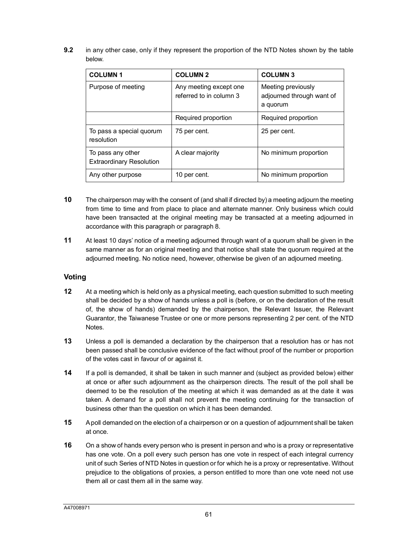**9.2** in any other case, only if they represent the proportion of the NTD Notes shown by the table below.

| <b>COLUMN1</b>                                       | <b>COLUMN 2</b>                                   | <b>COLUMN 3</b>                                             |
|------------------------------------------------------|---------------------------------------------------|-------------------------------------------------------------|
| Purpose of meeting                                   | Any meeting except one<br>referred to in column 3 | Meeting previously<br>adjourned through want of<br>a quorum |
|                                                      | Required proportion                               | Required proportion                                         |
| To pass a special quorum<br>resolution               | 75 per cent.                                      | 25 per cent.                                                |
| To pass any other<br><b>Extraordinary Resolution</b> | A clear majority                                  | No minimum proportion                                       |
| Any other purpose                                    | 10 per cent.                                      | No minimum proportion                                       |

- **10** The chairperson may with the consent of (and shall if directed by) a meeting adjourn the meeting from time to time and from place to place [an](#page-60-1)d alternate manner. Only business which could have been transacted at the original meeting may be transacted at a meeting adjourned in accordance with this paragraph or paragraph 8.
- **11** At least 10 days' notice of a meeting adjourned through want of a quorum shall be given in the same manner as for an original meeting and that notice shall state the quorum required at the adjourned meeting. No notice need, however, otherwise be given of an adjourned meeting.

# **Voting**

- **12** At a meeting which is held only as a physical meeting, each question submitted to such meeting shall be decided by a show of hands unless a poll is (before, or on the declaration of the result of, the show of hands) demanded by the chairperson, the Relevant Issuer, the Relevant Guarantor, the Taiwanese Trustee or one or more persons representing 2 per cent. of the NTD Notes.
- **13** Unless a poll is demanded a declaration by the chairperson that a resolution has or has not been passed shall be conclusive evidence of the fact without proof of the number or proportion of the votes cast in favour of or against it.
- **14** If a poll is demanded, it shall be taken in such manner and (subject as provided below) either at once or after such adjournment as the chairperson directs. The result of the poll shall be deemed to be the resolution of the meeting at which it was demanded as at the date it was taken. A demand for a poll shall not prevent the meeting continuing for the transaction of business other than the question on which it has been demanded.
- **15** A poll demanded on the election of a chairperson or on a question of adjournment shall be taken at once.
- **16** On a show of hands every person who is present in person and who is a proxy or representative has one vote. On a poll every such person has one vote in respect of each integral currency unit of such Series of NTD Notes in question or for which he is a proxy or representative. Without prejudice to the obligations of proxies, a person entitled to more than one vote need not use them all or cast them all in the same way.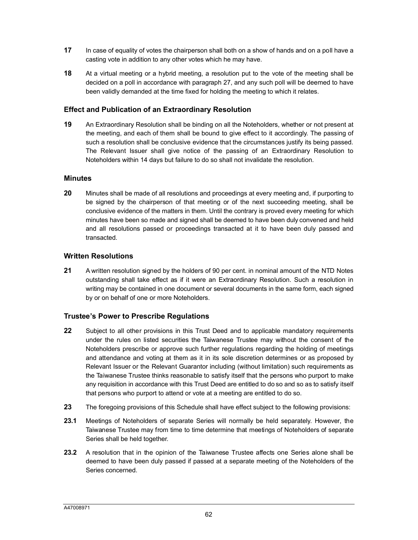- **17** In case of equality of votes the chairperson shall both on a show of hands and on a poll have a casting vote in addition to any other votes which he may have.
- **18** At a virtual meeting or a hybrid meeting, a resolution put to the vote of the meeting shall be decided on a poll in accordance with paragraph 27, and any such poll will be deemed to have been validly demanded at the time fixed for holding the meeting to which it relates.

## **Effect and Publication of an Extraordinary Resolution**

**19** An Extraordinary Resolution shall be binding on all the Noteholders, whether or not present at the meeting, and each of them shall be bound to give effect to it accordingly. The passing of such a resolution shall be conclusive evidence that the circumstances justify its being passed. The Relevant Issuer shall give notice of the passing of an Extraordinary Resolution to Noteholders within 14 days but failure to do so shall not invalidate the resolution.

## **Minutes**

**20** Minutes shall be made of all resolutions and proceedings at every meeting and, if purporting to be signed by the chairperson of that meeting or of the next succeeding meeting, shall be conclusive evidence of the matters in them. Until the contrary is proved every meeting for which minutes have been so made and signed shall be deemed to have been duly convened and held and all resolutions passed or proceedings transacted at it to have been duly passed and transacted.

## **Written Resolutions**

**21** A written resolution signed by the holders of 90 per cent. in nominal amount of the NTD Notes outstanding shall take effect as if it were an Extraordinary Resolution. Such a resolution in writing may be contained in one document or several documents in the same form, each signed by or on behalf of one or more Noteholders.

## **Trustee's Power to Prescribe Regulations**

- **22** Subject to all other provisions in this Trust Deed and to applicable mandatory requirements under the rules on listed securities the Taiwanese Trustee may without the consent of the Noteholders prescribe or approve such further regulations regarding the holding of meetings and attendance and voting at them as it in its sole discretion determines or as proposed by Relevant Issuer or the Relevant Guarantor including (without limitation) such requirements as the Taiwanese Trustee thinks reasonable to satisfy itself that the persons who purport to make any requisition in accordance with this Trust Deed are entitled to do so and so as to satisfy itself that persons who purport to attend or vote at a meeting are entitled to do so.
- **23** The foregoing provisions of this Schedule shall have effect subject to the following provisions:
- **23.1** Meetings of Noteholders of separate Series will normally be held separately. However, the Taiwanese Trustee may from time to time determine that meetings of Noteholders of separate Series shall be held together.
- **23.2** A resolution that in the opinion of the Taiwanese Trustee affects one Series alone shall be deemed to have been duly passed if passed at a separate meeting of the Noteholders of the Series concerned.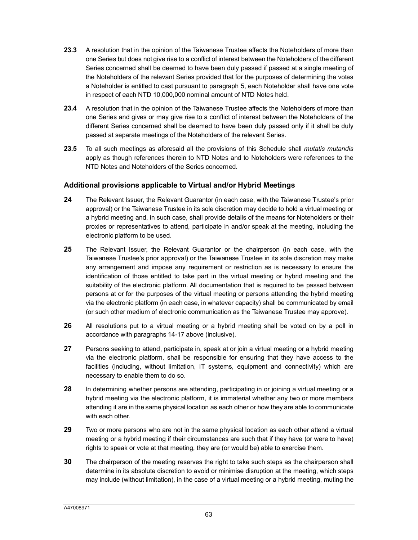- **23.3** A resolution that in the opinion of the Taiwanese Trustee affects the Noteholders of more than one Series but does not give rise to a conflict of intere[st b](#page-60-2)etween the Noteholders of the different Series concerned shall be deemed to have been duly passed if passed at a single meeting of the Noteholders of the relevant Series provided that for the purposes of determining the votes a Noteholder is entitled to cast pursuant to paragraph 5, each Noteholder shall have one vote in respect of each NTD 10,000,000 nominal amount of NTD Notes held.
- **23.4** A resolution that in the opinion of the Taiwanese Trustee affects the Noteholders of more than one Series and gives or may give rise to a conflict of interest between the Noteholders of the different Series concerned shall be deemed to have been duly passed only if it shall be duly passed at separate meetings of the Noteholders of the relevant Series.
- **23.5** To all such meetings as aforesaid all the provisions of this Schedule shall *mutatis mutandis* apply as though references therein to NTD Notes and to Noteholders were references to the NTD Notes and Noteholders of the Series concerned.

# **Additional provisions applicable to Virtual and/or Hybrid Meetings**

- **24** The Relevant Issuer, the Relevant Guarantor (in each case, with the Taiwanese Trustee's prior approval) or the Taiwanese Trustee in its sole discretion may decide to hold a virtual meeting or a hybrid meeting and, in such case, shall provide details of the means for Noteholders or their proxies or representatives to attend, participate in and/or speak at the meeting, including the electronic platform to be used.
- **25** The Relevant Issuer, the Relevant Guarantor or the chairperson (in each case, with the Taiwanese Trustee's prior approval) or the Taiwanese Trustee in its sole discretion may make any arrangement and impose any requirement or restriction as is necessary to ensure the identification of those entitled to take part in the virtual meeting or hybrid meeting and the suitability of the electronic platform. All documentation that is required to be passed between persons at or for the purposes of the virtual meeting or persons attending the hybrid meeting via the electronic platform (in each case, in whatever capacity) shall be communicated by email (or such other medium of electronic communication as the Taiwanese Trustee may approve).
- **26** All resolutions put to a virtual meeting or a hybrid meeting shall be voted on by a poll in accordance with paragraphs 14-17 above (inclusive).
- **27** Persons seeking to attend, participate in, speak at or join a virtual meeting or a hybrid meeting via the electronic platform, shall be responsible for ensuring that they have access to the facilities (including, without limitation, IT systems, equipment and connectivity) which are necessary to enable them to do so.
- **28** In determining whether persons are attending, participating in or joining a virtual meeting or a hybrid meeting via the electronic platform, it is immaterial whether any two or more members attending it are in the same physical location as each other or how they are able to communicate with each other.
- **29** Two or more persons who are not in the same physical location as each other attend a virtual meeting or a hybrid meeting if their circumstances are such that if they have (or were to have) rights to speak or vote at that meeting, they are (or would be) able to exercise them.
- **30** The chairperson of the meeting reserves the right to take such steps as the chairperson shall determine in its absolute discretion to avoid or minimise disruption at the meeting, which steps may include (without limitation), in the case of a virtual meeting or a hybrid meeting, muting the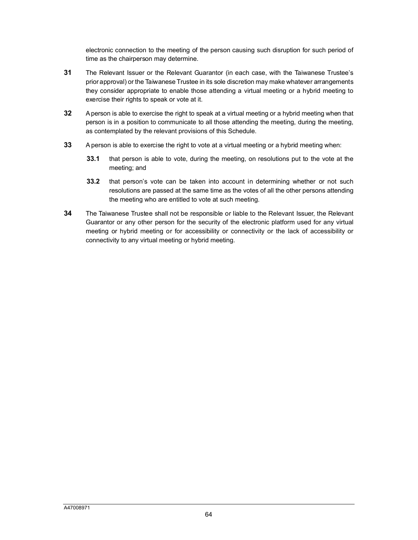electronic connection to the meeting of the person causing such disruption for such period of time as the chairperson may determine.

- **31** The Relevant Issuer or the Relevant Guarantor (in each case, with the Taiwanese Trustee's prior approval) or the Taiwanese Trustee in its sole discretion may make whatever arrangements they consider appropriate to enable those attending a virtual meeting or a hybrid meeting to exercise their rights to speak or vote at it.
- **32** A person is able to exercise the right to speak at a virtual meeting or a hybrid meeting when that person is in a position to communicate to all those attending the meeting, during the meeting, as contemplated by the relevant provisions of this Schedule.
- **33** A person is able to exercise the right to vote at a virtual meeting or a hybrid meeting when:
	- **33.1** that person is able to vote, during the meeting, on resolutions put to the vote at the meeting; and
	- **33.2** that person's vote can be taken into account in determining whether or not such resolutions are passed at the same time as the votes of all the other persons attending the meeting who are entitled to vote at such meeting.
- **34** The Taiwanese Trustee shall not be responsible or liable to the Relevant Issuer, the Relevant Guarantor or any other person for the security of the electronic platform used for any virtual meeting or hybrid meeting or for accessibility or connectivity or the lack of accessibility or connectivity to any virtual meeting or hybrid meeting.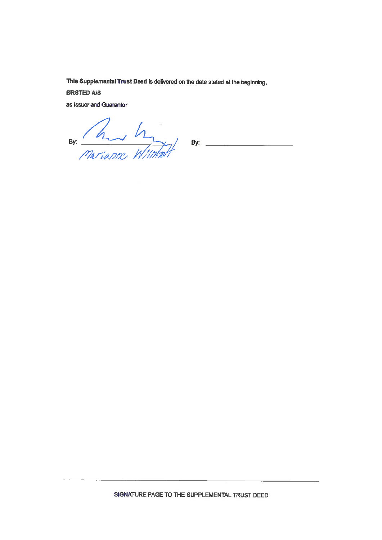This Supplemental Trust Deed is delivered on the date stated at the beginning.

ØRSTED A/S

as Issuer and Guarantor

By: hunde Withholt By: -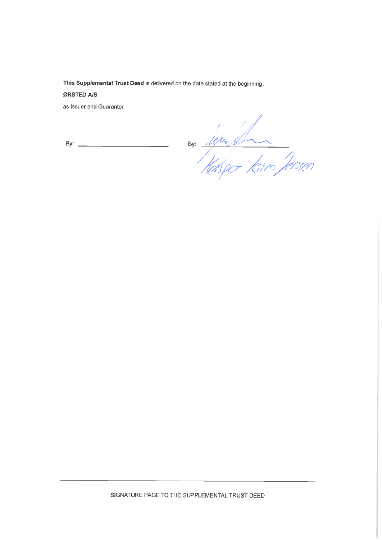This Supplemental Trust Deed is delivered on the date stated at the beginning.

## ØRSTED A/S

as Issuer and Guarantor

By: Windows Reason

SIGNATURE PAGE TO THE SUPPLEMENTAL TRUST DEED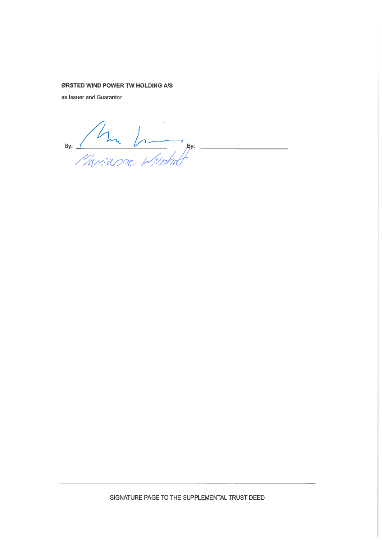#### ØRSTED WIND POWER TW HOLDING A/S

as Issuer and Guarantor

By: Am Image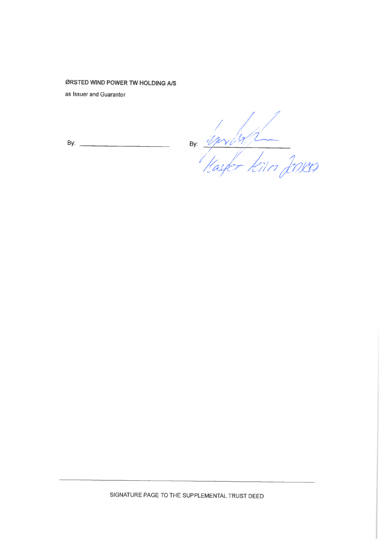# ØRSTED WIND POWER TW HOLDING A/S

as Issuer and Guarantor

By:  $\qquad \qquad \qquad$ 

By: Springh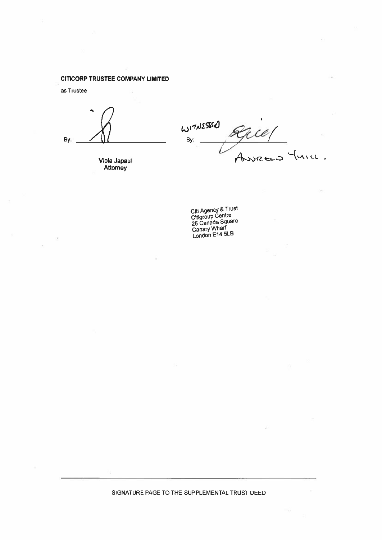#### **CITICORP TRUSTEE COMPANY LIMITED**

as Trustee

By:

Viola Japaul<br>Attorney

WITNESSED  $\frac{2}{3}$ rce/ r By:  $A$ 

Citi Agency & Trust<br>Citigroup Centre<br>25 Canada Square<br>Canary Wharf<br>London E14 5LB

SIGNATURE PAGE TO THE SUPPLEMENTAL TRUST DEED